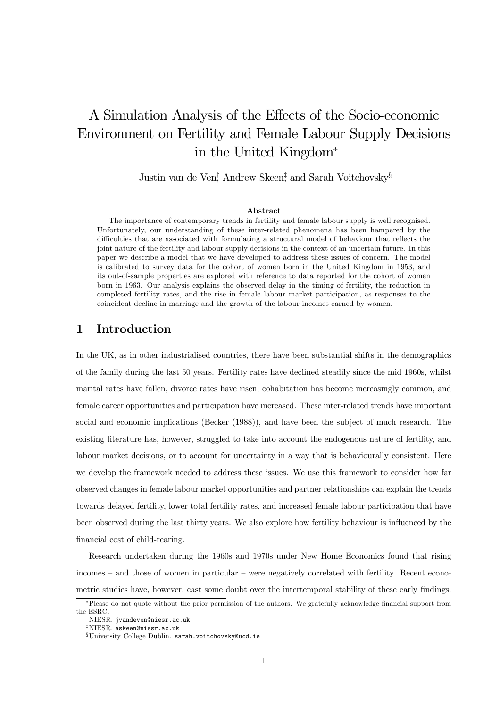# A Simulation Analysis of the Effects of the Socio-economic Environment on Fertility and Female Labour Supply Decisions in the United Kingdom<sup>∗</sup>

Justin van de Ven† , Andrew Skeen‡ , and Sarah Voitchovsky§

#### Abstract

The importance of contemporary trends in fertility and female labour supply is well recognised. Unfortunately, our understanding of these inter-related phenomena has been hampered by the difficulties that are associated with formulating a structural model of behaviour that reflects the joint nature of the fertility and labour supply decisions in the context of an uncertain future. In this paper we describe a model that we have developed to address these issues of concern. The model is calibrated to survey data for the cohort of women born in the United Kingdom in 1953, and its out-of-sample properties are explored with reference to data reported for the cohort of women born in 1963. Our analysis explains the observed delay in the timing of fertility, the reduction in completed fertility rates, and the rise in female labour market participation, as responses to the coincident decline in marriage and the growth of the labour incomes earned by women.

## 1 Introduction

In the UK, as in other industrialised countries, there have been substantial shifts in the demographics of the family during the last 50 years. Fertility rates have declined steadily since the mid 1960s, whilst marital rates have fallen, divorce rates have risen, cohabitation has become increasingly common, and female career opportunities and participation have increased. These inter-related trends have important social and economic implications (Becker (1988)), and have been the subject of much research. The existing literature has, however, struggled to take into account the endogenous nature of fertility, and labour market decisions, or to account for uncertainty in a way that is behaviourally consistent. Here we develop the framework needed to address these issues. We use this framework to consider how far observed changes in female labour market opportunities and partner relationships can explain the trends towards delayed fertility, lower total fertility rates, and increased female labour participation that have been observed during the last thirty years. We also explore how fertility behaviour is influenced by the financial cost of child-rearing.

Research undertaken during the 1960s and 1970s under New Home Economics found that rising incomes — and those of women in particular — were negatively correlated with fertility. Recent econometric studies have, however, cast some doubt over the intertemporal stability of these early findings.

<sup>∗</sup>Please do not quote without the prior permission of the authors. We gratefully acknowledge financial support from the ESRC.

<sup>†</sup>NIESR. jvandeven@niesr.ac.uk

<sup>‡</sup>NIESR. askeen@niesr.ac.uk

<sup>§</sup>University College Dublin. sarah.voitchovsky@ucd.ie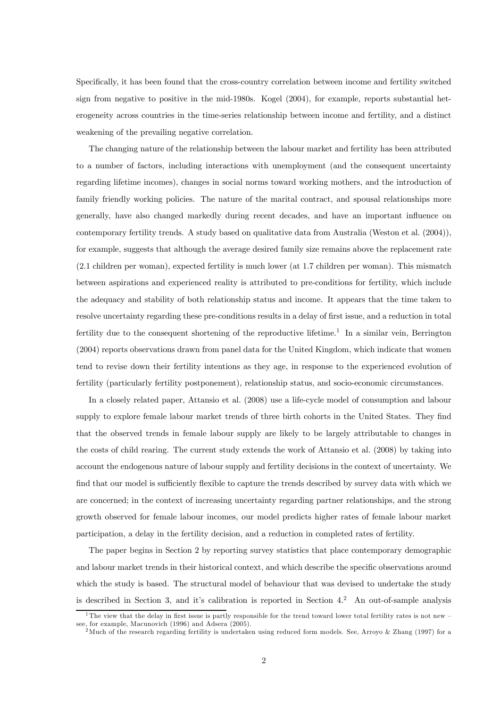Specifically, it has been found that the cross-country correlation between income and fertility switched sign from negative to positive in the mid-1980s. Kogel (2004), for example, reports substantial heterogeneity across countries in the time-series relationship between income and fertility, and a distinct weakening of the prevailing negative correlation.

The changing nature of the relationship between the labour market and fertility has been attributed to a number of factors, including interactions with unemployment (and the consequent uncertainty regarding lifetime incomes), changes in social norms toward working mothers, and the introduction of family friendly working policies. The nature of the marital contract, and spousal relationships more generally, have also changed markedly during recent decades, and have an important influence on contemporary fertility trends. A study based on qualitative data from Australia (Weston et al. (2004)), for example, suggests that although the average desired family size remains above the replacement rate (2.1 children per woman), expected fertility is much lower (at 1.7 children per woman). This mismatch between aspirations and experienced reality is attributed to pre-conditions for fertility, which include the adequacy and stability of both relationship status and income. It appears that the time taken to resolve uncertainty regarding these pre-conditions results in a delay of first issue, and a reduction in total fertility due to the consequent shortening of the reproductive lifetime.<sup>1</sup> In a similar vein, Berrington (2004) reports observations drawn from panel data for the United Kingdom, which indicate that women tend to revise down their fertility intentions as they age, in response to the experienced evolution of fertility (particularly fertility postponement), relationship status, and socio-economic circumstances.

In a closely related paper, Attansio et al. (2008) use a life-cycle model of consumption and labour supply to explore female labour market trends of three birth cohorts in the United States. They find that the observed trends in female labour supply are likely to be largely attributable to changes in the costs of child rearing. The current study extends the work of Attansio et al. (2008) by taking into account the endogenous nature of labour supply and fertility decisions in the context of uncertainty. We find that our model is sufficiently flexible to capture the trends described by survey data with which we are concerned; in the context of increasing uncertainty regarding partner relationships, and the strong growth observed for female labour incomes, our model predicts higher rates of female labour market participation, a delay in the fertility decision, and a reduction in completed rates of fertility.

The paper begins in Section 2 by reporting survey statistics that place contemporary demographic and labour market trends in their historical context, and which describe the specific observations around which the study is based. The structural model of behaviour that was devised to undertake the study is described in Section 3, and it's calibration is reported in Section 4.<sup>2</sup> An out-of-sample analysis

<sup>&</sup>lt;sup>1</sup>The view that the delay in first issue is partly responsible for the trend toward lower total fertility rates is not new  $$ see, for example, Macunovich (1996) and Adsera (2005).

<sup>&</sup>lt;sup>2</sup>Much of the research regarding fertility is undertaken using reduced form models. See, Arroyo & Zhang (1997) for a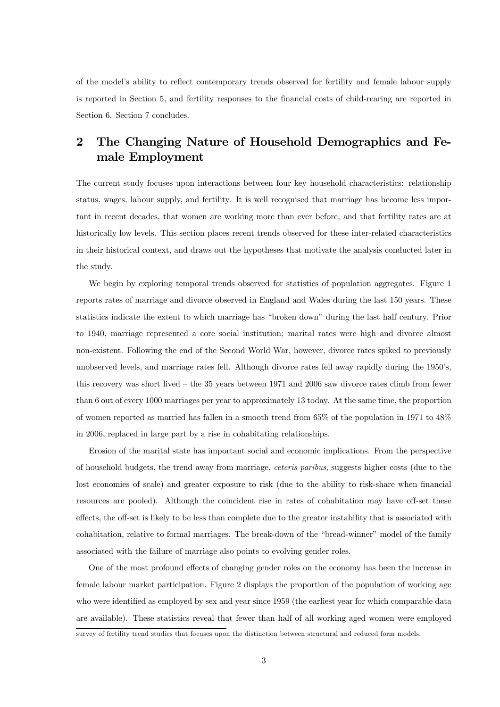of the model's ability to reflect contemporary trends observed for fertility and female labour supply is reported in Section 5, and fertility responses to the financial costs of child-rearing are reported in Section 6. Section 7 concludes.

# 2 The Changing Nature of Household Demographics and Female Employment

The current study focuses upon interactions between four key household characteristics: relationship status, wages, labour supply, and fertility. It is well recognised that marriage has become less important in recent decades, that women are working more than ever before, and that fertility rates are at historically low levels. This section places recent trends observed for these inter-related characteristics in their historical context, and draws out the hypotheses that motivate the analysis conducted later in the study.

We begin by exploring temporal trends observed for statistics of population aggregates. Figure 1 reports rates of marriage and divorce observed in England and Wales during the last 150 years. These statistics indicate the extent to which marriage has "broken down" during the last half century. Prior to 1940, marriage represented a core social institution; marital rates were high and divorce almost non-existent. Following the end of the Second World War, however, divorce rates spiked to previously unobserved levels, and marriage rates fell. Although divorce rates fell away rapidly during the 1950's, this recovery was short lived — the 35 years between 1971 and 2006 saw divorce rates climb from fewer than 6 out of every 1000 marriages per year to approximately 13 today. At the same time, the proportion of women reported as married has fallen in a smooth trend from 65% of the population in 1971 to 48% in 2006, replaced in large part by a rise in cohabitating relationships.

Erosion of the marital state has important social and economic implications. From the perspective of household budgets, the trend away from marriage, ceteris paribus, suggests higher costs (due to the lost economies of scale) and greater exposure to risk (due to the ability to risk-share when financial resources are pooled). Although the coincident rise in rates of cohabitation may have off-set these effects, the off-set is likely to be less than complete due to the greater instability that is associated with cohabitation, relative to formal marriages. The break-down of the "bread-winner" model of the family associated with the failure of marriage also points to evolving gender roles.

One of the most profound effects of changing gender roles on the economy has been the increase in female labour market participation. Figure 2 displays the proportion of the population of working age who were identified as employed by sex and year since 1959 (the earliest year for which comparable data are available). These statistics reveal that fewer than half of all working aged women were employed survey of fertility trend studies that focuses upon the distinction between structural and reduced form models.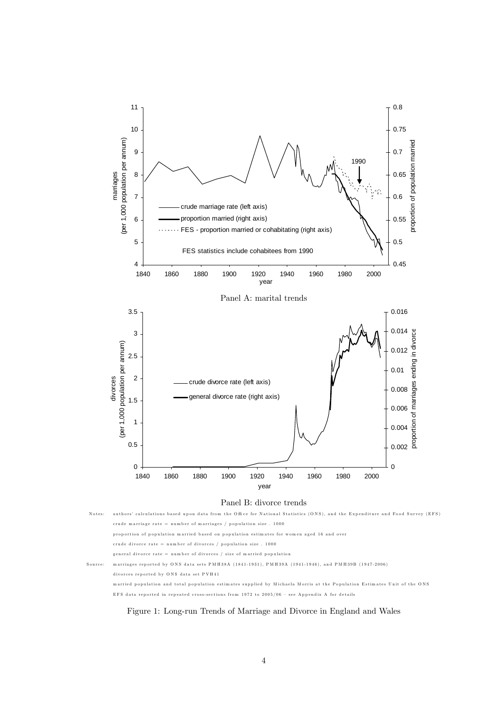



Figure 1: Long-run Trends of Marriage and Divorce in England and Wales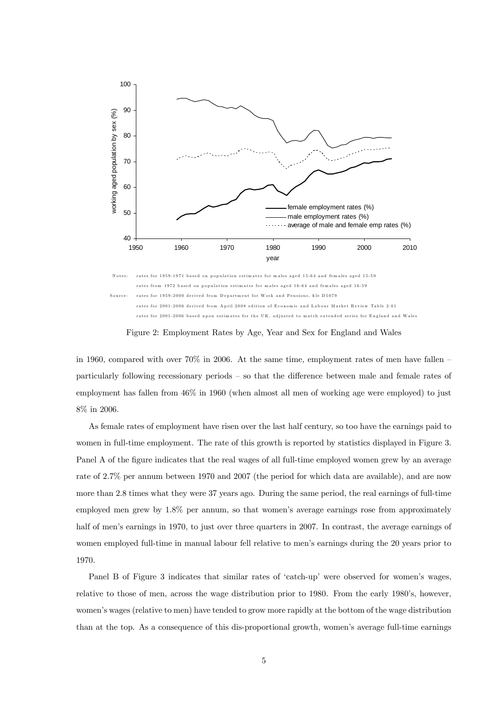

Figure 2: Employment Rates by Age, Year and Sex for England and Wales

in 1960, compared with over  $70\%$  in 2006. At the same time, employment rates of men have fallen  $$ particularly following recessionary periods — so that the difference between male and female rates of employment has fallen from 46% in 1960 (when almost all men of working age were employed) to just 8% in 2006.

As female rates of employment have risen over the last half century, so too have the earnings paid to women in full-time employment. The rate of this growth is reported by statistics displayed in Figure 3. Panel A of the figure indicates that the real wages of all full-time employed women grew by an average rate of 2.7% per annum between 1970 and 2007 (the period for which data are available), and are now more than 2.8 times what they were 37 years ago. During the same period, the real earnings of full-time employed men grew by 1.8% per annum, so that women's average earnings rose from approximately half of men's earnings in 1970, to just over three quarters in 2007. In contrast, the average earnings of women employed full-time in manual labour fell relative to men's earnings during the 20 years prior to 1970.

Panel B of Figure 3 indicates that similar rates of 'catch-up' were observed for women's wages, relative to those of men, across the wage distribution prior to 1980. From the early 1980's, however, women's wages (relative to men) have tended to grow more rapidly at the bottom of the wage distribution than at the top. As a consequence of this dis-proportional growth, women's average full-time earnings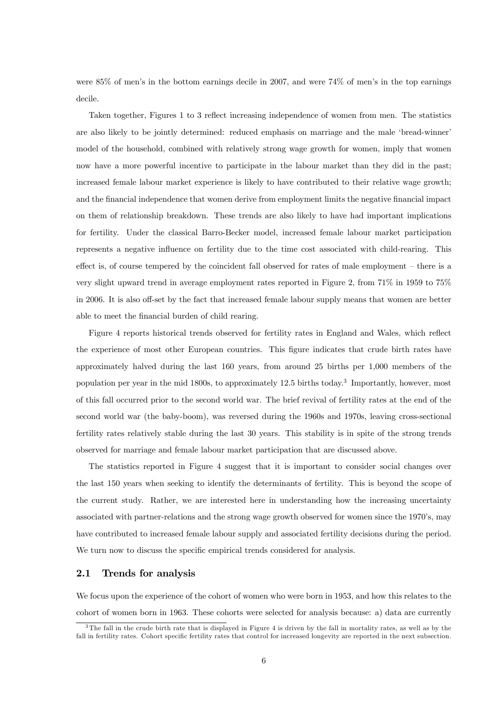were 85% of men's in the bottom earnings decile in 2007, and were 74% of men's in the top earnings decile.

Taken together, Figures 1 to 3 reflect increasing independence of women from men. The statistics are also likely to be jointly determined: reduced emphasis on marriage and the male 'bread-winner' model of the household, combined with relatively strong wage growth for women, imply that women now have a more powerful incentive to participate in the labour market than they did in the past; increased female labour market experience is likely to have contributed to their relative wage growth; and the financial independence that women derive from employment limits the negative financial impact on them of relationship breakdown. These trends are also likely to have had important implications for fertility. Under the classical Barro-Becker model, increased female labour market participation represents a negative influence on fertility due to the time cost associated with child-rearing. This effect is, of course tempered by the coincident fall observed for rates of male employment  $-$  there is a very slight upward trend in average employment rates reported in Figure 2, from 71% in 1959 to 75% in 2006. It is also off-set by the fact that increased female labour supply means that women are better able to meet the financial burden of child rearing.

Figure 4 reports historical trends observed for fertility rates in England and Wales, which reflect the experience of most other European countries. This figure indicates that crude birth rates have approximately halved during the last 160 years, from around 25 births per 1,000 members of the population per year in the mid 1800s, to approximately 12.5 births today.<sup>3</sup> Importantly, however, most of this fall occurred prior to the second world war. The brief revival of fertility rates at the end of the second world war (the baby-boom), was reversed during the 1960s and 1970s, leaving cross-sectional fertility rates relatively stable during the last 30 years. This stability is in spite of the strong trends observed for marriage and female labour market participation that are discussed above.

The statistics reported in Figure 4 suggest that it is important to consider social changes over the last 150 years when seeking to identify the determinants of fertility. This is beyond the scope of the current study. Rather, we are interested here in understanding how the increasing uncertainty associated with partner-relations and the strong wage growth observed for women since the 1970's, may have contributed to increased female labour supply and associated fertility decisions during the period. We turn now to discuss the specific empirical trends considered for analysis.

### 2.1 Trends for analysis

We focus upon the experience of the cohort of women who were born in 1953, and how this relates to the cohort of women born in 1963. These cohorts were selected for analysis because: a) data are currently

<sup>3</sup>The fall in the crude birth rate that is displayed in Figure 4 is driven by the fall in mortality rates, as well as by the fall in fertility rates. Cohort specific fertility rates that control for increased longevity are reported in the next subsection.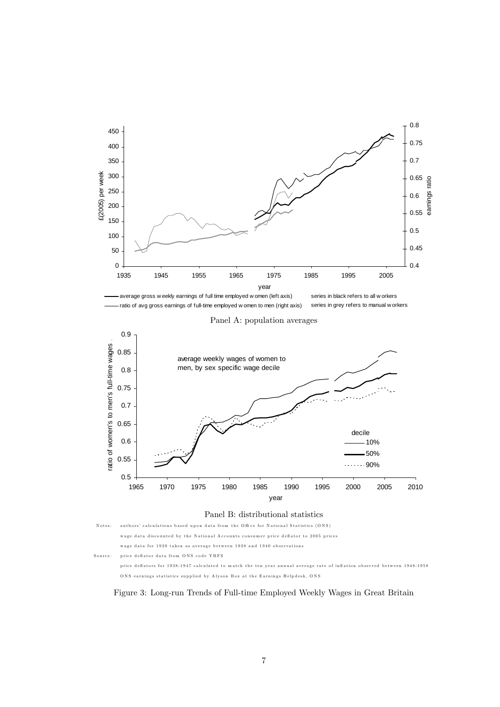



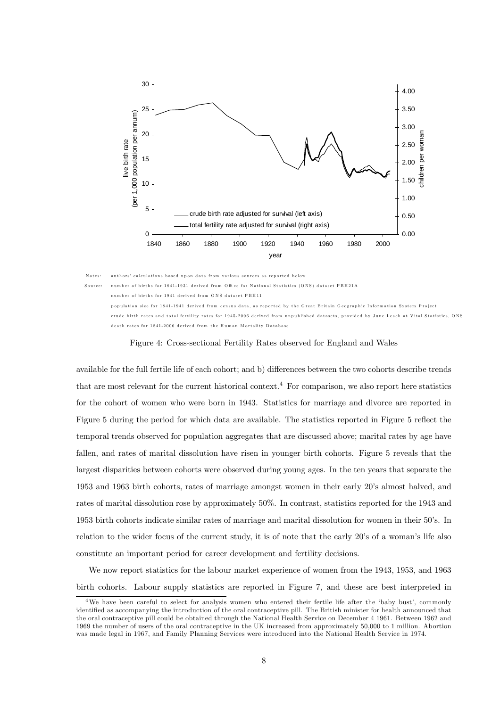

Notes: authors' calculations based upon data from various sources as reported below Source: number of births for 1841-1931 derived from Office for National Statistics (ONS) dataset PBH 214 number of births for 1941 derived from O NS dataset PBH 11 population size for 1841-1941 derived from census data, as reported by the Great Britain Geographic Information System Project crude birth rates and total fertility rates for 1945-2006 derived from unpublished datasets, provided by June Leach at Vital Statistics, ON S death rates for 1841-2006 derived from the Hum an M ortality D atabase

#### Figure 4: Cross-sectional Fertility Rates observed for England and Wales

available for the full fertile life of each cohort; and b) differences between the two cohorts describe trends that are most relevant for the current historical context.<sup>4</sup> For comparison, we also report here statistics for the cohort of women who were born in 1943. Statistics for marriage and divorce are reported in Figure 5 during the period for which data are available. The statistics reported in Figure 5 reflect the temporal trends observed for population aggregates that are discussed above; marital rates by age have fallen, and rates of marital dissolution have risen in younger birth cohorts. Figure 5 reveals that the largest disparities between cohorts were observed during young ages. In the ten years that separate the 1953 and 1963 birth cohorts, rates of marriage amongst women in their early 20's almost halved, and rates of marital dissolution rose by approximately 50%. In contrast, statistics reported for the 1943 and 1953 birth cohorts indicate similar rates of marriage and marital dissolution for women in their 50's. In relation to the wider focus of the current study, it is of note that the early 20's of a woman's life also constitute an important period for career development and fertility decisions.

We now report statistics for the labour market experience of women from the 1943, 1953, and 1963 birth cohorts. Labour supply statistics are reported in Figure 7, and these are best interpreted in

<sup>4</sup>We have been careful to select for analysis women who entered their fertile life after the 'baby bust', commonly identified as accompanying the introduction of the oral contraceptive pill. The British minister for health announced that the oral contraceptive pill could be obtained through the National Health Service on December 4 1961. Between 1962 and 1969 the number of users of the oral contraceptive in the UK increased from approximately 50,000 to 1 million. Abortion was made legal in 1967, and Family Planning Services were introduced into the National Health Service in 1974.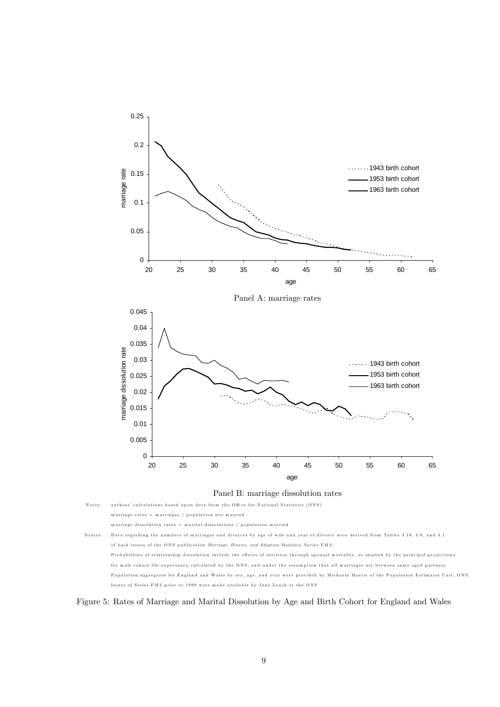

Notes: authors' calculations based upon data from the Office for National Statistics (ONS) m arriage rates  $=$  m arriages / population not m arried m arriage dissolution rates = m arital dissolutions / p opulation m arried

Source: D ata regarding the num bers of m arriages and divorces by age of wife and year of divorce were derived from Tables 3.19, 3.6, and 4.1 of back issues of the ONS publication Marriage, Divorce, and Adoption Statistics, Series FM 2. Probabilities of relationship dissolution include the effects of attrition through spousal mortality, as implied by the principal projections for male cohort life-expectancy calculated by the ONS, and under the assumption that all marriages are between same aged partners. Population aggregates for England and Wales by sex, age, and year were provided by M ichaela M orris of the Population Estim ates Unit, ONS. Issues of Series FM 2 prior to 1999 were m ade available by June Leach at the O NS

Figure 5: Rates of Marriage and Marital Dissolution by Age and Birth Cohort for England and Wales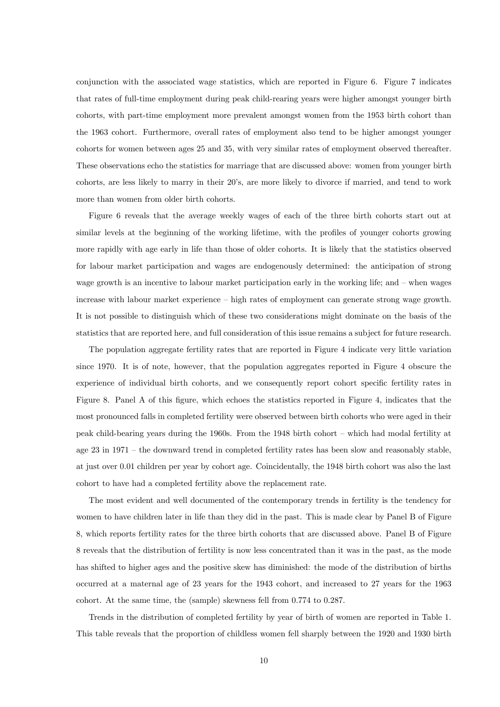conjunction with the associated wage statistics, which are reported in Figure 6. Figure 7 indicates that rates of full-time employment during peak child-rearing years were higher amongst younger birth cohorts, with part-time employment more prevalent amongst women from the 1953 birth cohort than the 1963 cohort. Furthermore, overall rates of employment also tend to be higher amongst younger cohorts for women between ages 25 and 35, with very similar rates of employment observed thereafter. These observations echo the statistics for marriage that are discussed above: women from younger birth cohorts, are less likely to marry in their 20's, are more likely to divorce if married, and tend to work more than women from older birth cohorts.

Figure 6 reveals that the average weekly wages of each of the three birth cohorts start out at similar levels at the beginning of the working lifetime, with the profiles of younger cohorts growing more rapidly with age early in life than those of older cohorts. It is likely that the statistics observed for labour market participation and wages are endogenously determined: the anticipation of strong wage growth is an incentive to labour market participation early in the working life; and — when wages increase with labour market experience — high rates of employment can generate strong wage growth. It is not possible to distinguish which of these two considerations might dominate on the basis of the statistics that are reported here, and full consideration of this issue remains a subject for future research.

The population aggregate fertility rates that are reported in Figure 4 indicate very little variation since 1970. It is of note, however, that the population aggregates reported in Figure 4 obscure the experience of individual birth cohorts, and we consequently report cohort specific fertility rates in Figure 8. Panel A of this figure, which echoes the statistics reported in Figure 4, indicates that the most pronounced falls in completed fertility were observed between birth cohorts who were aged in their peak child-bearing years during the 1960s. From the 1948 birth cohort — which had modal fertility at age 23 in 1971 — the downward trend in completed fertility rates has been slow and reasonably stable, at just over 0.01 children per year by cohort age. Coincidentally, the 1948 birth cohort was also the last cohort to have had a completed fertility above the replacement rate.

The most evident and well documented of the contemporary trends in fertility is the tendency for women to have children later in life than they did in the past. This is made clear by Panel B of Figure 8, which reports fertility rates for the three birth cohorts that are discussed above. Panel B of Figure 8 reveals that the distribution of fertility is now less concentrated than it was in the past, as the mode has shifted to higher ages and the positive skew has diminished: the mode of the distribution of births occurred at a maternal age of 23 years for the 1943 cohort, and increased to 27 years for the 1963 cohort. At the same time, the (sample) skewness fell from 0.774 to 0.287.

Trends in the distribution of completed fertility by year of birth of women are reported in Table 1. This table reveals that the proportion of childless women fell sharply between the 1920 and 1930 birth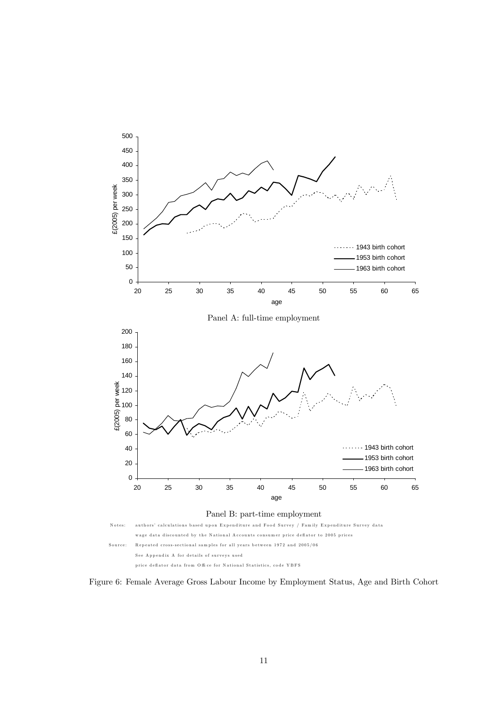

price deflator data from Office for National Statistics, code YBFS

Figure 6: Female Average Gross Labour Income by Employment Status, Age and Birth Cohort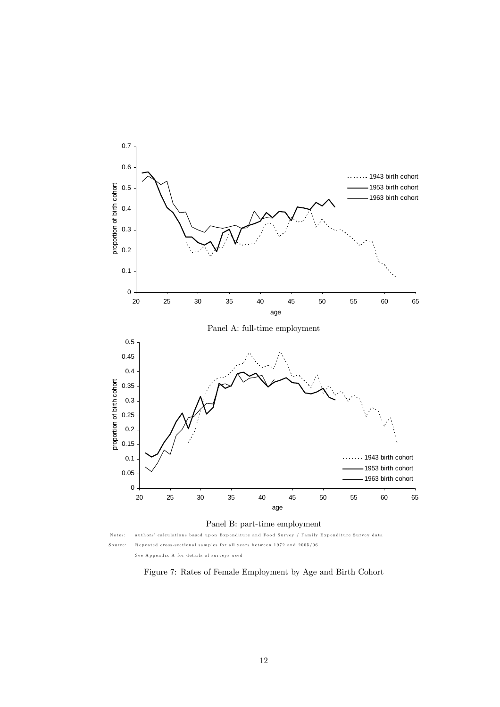

Panel B: part-time employment

Notes: authors' calculations based upon Expenditure and Food Survey / Family Expenditure Survey data Source: R epeated cross-sectional sam ples for all years between 1972 and 2005/06 See A ppendix A for details of surveys used

Figure 7: Rates of Female Employment by Age and Birth Cohort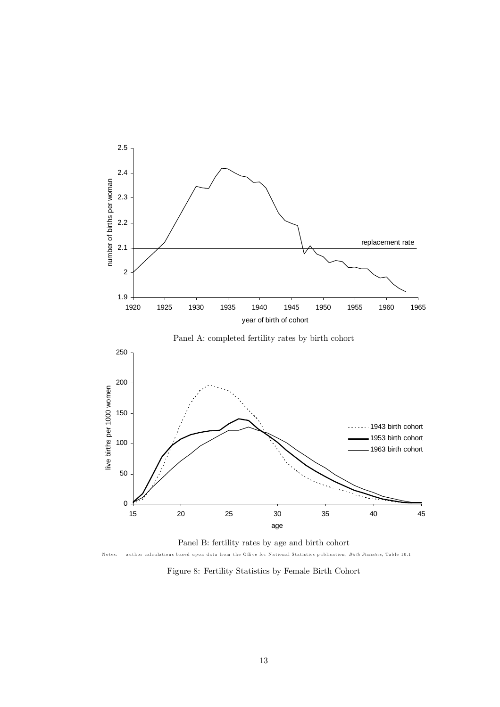

Notes: author calculations based upon data from the Office for National Statistics publication, Birth Statistics, Table 10.1

Figure 8: Fertility Statistics by Female Birth Cohort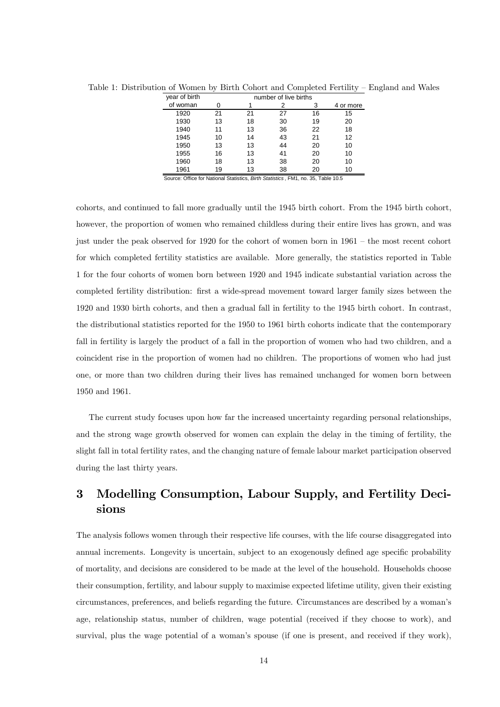| year of birth |    |    |    |    |           |
|---------------|----|----|----|----|-----------|
| of woman      |    |    |    |    | 4 or more |
| 1920          | 21 | 21 | 27 | 16 | 15        |
| 1930          | 13 | 18 | 30 | 19 | 20        |
| 1940          | 11 | 13 | 36 | 22 | 18        |
| 1945          | 10 | 14 | 43 | 21 | 12        |
| 1950          | 13 | 13 | 44 | 20 | 10        |
| 1955          | 16 | 13 | 41 | 20 | 10        |
| 1960          | 18 | 13 | 38 | 20 | 10        |
| 1961          | 19 | 13 | 38 |    | 10        |

Table 1: Distribution of Women by Birth Cohort and Completed Fertility — England and Wales

Source: Office for National Statistics, *Birth Statistics* , FM1, no. 35, Table 10.5

cohorts, and continued to fall more gradually until the 1945 birth cohort. From the 1945 birth cohort, however, the proportion of women who remained childless during their entire lives has grown, and was just under the peak observed for 1920 for the cohort of women born in 1961 — the most recent cohort for which completed fertility statistics are available. More generally, the statistics reported in Table 1 for the four cohorts of women born between 1920 and 1945 indicate substantial variation across the completed fertility distribution: first a wide-spread movement toward larger family sizes between the 1920 and 1930 birth cohorts, and then a gradual fall in fertility to the 1945 birth cohort. In contrast, the distributional statistics reported for the 1950 to 1961 birth cohorts indicate that the contemporary fall in fertility is largely the product of a fall in the proportion of women who had two children, and a coincident rise in the proportion of women had no children. The proportions of women who had just one, or more than two children during their lives has remained unchanged for women born between 1950 and 1961.

The current study focuses upon how far the increased uncertainty regarding personal relationships, and the strong wage growth observed for women can explain the delay in the timing of fertility, the slight fall in total fertility rates, and the changing nature of female labour market participation observed during the last thirty years.

# 3 Modelling Consumption, Labour Supply, and Fertility Decisions

The analysis follows women through their respective life courses, with the life course disaggregated into annual increments. Longevity is uncertain, subject to an exogenously defined age specific probability of mortality, and decisions are considered to be made at the level of the household. Households choose their consumption, fertility, and labour supply to maximise expected lifetime utility, given their existing circumstances, preferences, and beliefs regarding the future. Circumstances are described by a woman's age, relationship status, number of children, wage potential (received if they choose to work), and survival, plus the wage potential of a woman's spouse (if one is present, and received if they work),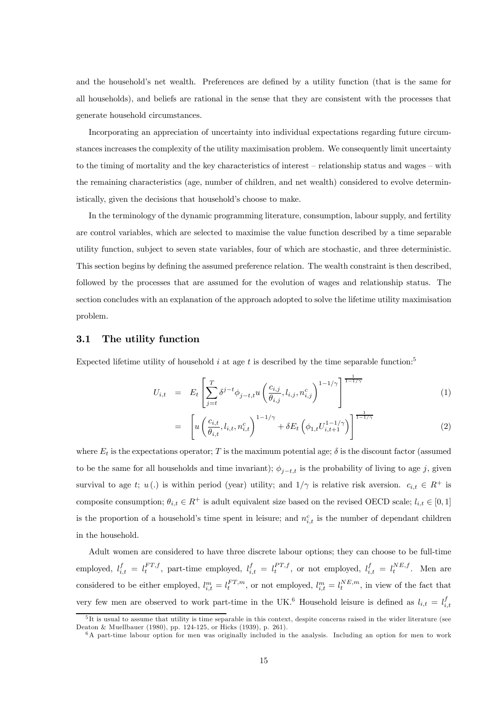and the household's net wealth. Preferences are defined by a utility function (that is the same for all households), and beliefs are rational in the sense that they are consistent with the processes that generate household circumstances.

Incorporating an appreciation of uncertainty into individual expectations regarding future circumstances increases the complexity of the utility maximisation problem. We consequently limit uncertainty to the timing of mortality and the key characteristics of interest — relationship status and wages — with the remaining characteristics (age, number of children, and net wealth) considered to evolve deterministically, given the decisions that household's choose to make.

In the terminology of the dynamic programming literature, consumption, labour supply, and fertility are control variables, which are selected to maximise the value function described by a time separable utility function, subject to seven state variables, four of which are stochastic, and three deterministic. This section begins by defining the assumed preference relation. The wealth constraint is then described, followed by the processes that are assumed for the evolution of wages and relationship status. The section concludes with an explanation of the approach adopted to solve the lifetime utility maximisation problem.

#### 3.1 The utility function

Expected lifetime utility of household i at age t is described by the time separable function:<sup>5</sup>

$$
U_{i,t} = E_t \left[ \sum_{j=t}^{T} \delta^{j-t} \phi_{j-t,t} u \left( \frac{c_{i,j}}{\theta_{i,j}}, l_{i,j}, n_{i,j}^c \right)^{1-1/\gamma} \right]^{\frac{1}{1-1/\gamma}}
$$
(1)

$$
= \left[ u \left( \frac{c_{i,t}}{\theta_{i,t}}, l_{i,t}, n_{i,t}^c \right)^{1-1/\gamma} + \delta E_t \left( \phi_{1,t} U_{i,t+1}^{1-1/\gamma} \right) \right]^{\frac{1}{1-1/\gamma}} \tag{2}
$$

where  $E_t$  is the expectations operator; T is the maximum potential age;  $\delta$  is the discount factor (assumed to be the same for all households and time invariant);  $\phi_{i-t,t}$  is the probability of living to age j, given survival to age t;  $u(.)$  is within period (year) utility; and  $1/\gamma$  is relative risk aversion.  $c_{i,t} \in R^+$  is composite consumption;  $\theta_{i,t} \in R^+$  is adult equivalent size based on the revised OECD scale;  $l_{i,t} \in [0,1]$ is the proportion of a household's time spent in leisure; and  $n_{i,t}^c$  is the number of dependant children in the household.

Adult women are considered to have three discrete labour options; they can choose to be full-time employed,  $l_{i,t}^f = l_t^{FT,f}$ , part-time employed,  $l_{i,t}^f = l_t^{PT,f}$ , or not employed,  $l_{i,t}^f = l_t^{NE,f}$ . Men are considered to be either employed,  $l_{i,t}^m = l_t^{FT,m}$ , or not employed,  $l_{i,t}^m = l_t^{NE,m}$ , in view of the fact that very few men are observed to work part-time in the UK.<sup>6</sup> Household leisure is defined as  $l_{i,t} = l_{i,t}^f$ 

 $5$ It is usual to assume that utility is time separable in this context, despite concerns raised in the wider literature (see Deaton & Muellbauer (1980), pp. 124-125, or Hicks (1939), p. 261).

<sup>&</sup>lt;sup>6</sup>A part-time labour option for men was originally included in the analysis. Including an option for men to work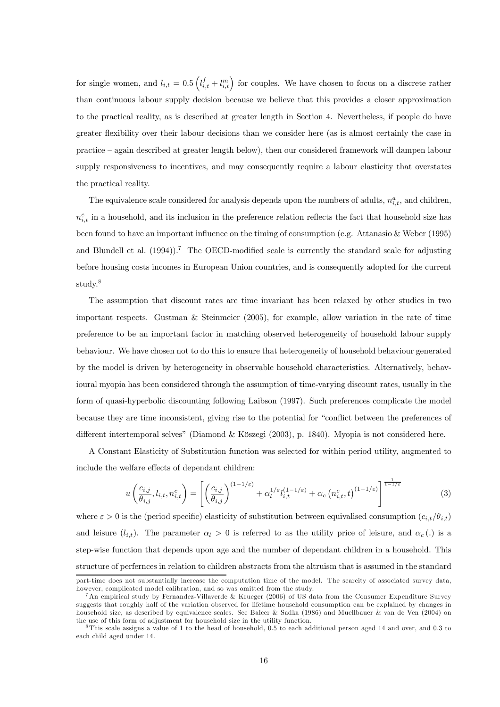for single women, and  $l_{i,t} = 0.5 \left( l_{i,t}^f + l_{i,t}^m \right)$  for couples. We have chosen to focus on a discrete rather than continuous labour supply decision because we believe that this provides a closer approximation to the practical reality, as is described at greater length in Section 4. Nevertheless, if people do have greater flexibility over their labour decisions than we consider here (as is almost certainly the case in practice — again described at greater length below), then our considered framework will dampen labour supply responsiveness to incentives, and may consequently require a labour elasticity that overstates the practical reality.

The equivalence scale considered for analysis depends upon the numbers of adults,  $n_{i,t}^a$ , and children,  $n_{i,t}^c$  in a household, and its inclusion in the preference relation reflects the fact that household size has been found to have an important influence on the timing of consumption (e.g. Attanasio & Weber (1995) and Blundell et al. (1994)).<sup>7</sup> The OECD-modified scale is currently the standard scale for adjusting before housing costs incomes in European Union countries, and is consequently adopted for the current study.<sup>8</sup>

The assumption that discount rates are time invariant has been relaxed by other studies in two important respects. Gustman & Steinmeier (2005), for example, allow variation in the rate of time preference to be an important factor in matching observed heterogeneity of household labour supply behaviour. We have chosen not to do this to ensure that heterogeneity of household behaviour generated by the model is driven by heterogeneity in observable household characteristics. Alternatively, behavioural myopia has been considered through the assumption of time-varying discount rates, usually in the form of quasi-hyperbolic discounting following Laibson (1997). Such preferences complicate the model because they are time inconsistent, giving rise to the potential for "conflict between the preferences of different intertemporal selves" (Diamond & Köszegi (2003), p. 1840). Myopia is not considered here.

A Constant Elasticity of Substitution function was selected for within period utility, augmented to include the welfare effects of dependant children:

$$
u\left(\frac{c_{i,j}}{\theta_{i,j}}, l_{i,t}, n_{i,t}^c\right) = \left[\left(\frac{c_{i,j}}{\theta_{i,j}}\right)^{(1-1/\varepsilon)} + \alpha_l^{1/\varepsilon} l_{i,t}^{(1-1/\varepsilon)} + \alpha_c \left(n_{i,t}^c, t\right)^{(1-1/\varepsilon)}\right]^{\frac{1}{1-1/\varepsilon}}
$$
(3)

where  $\varepsilon > 0$  is the (period specific) elasticity of substitution between equivalised consumption  $(c_{i,t}/\theta_{i,t})$ and leisure  $(l_{i,t})$ . The parameter  $\alpha_l > 0$  is referred to as the utility price of leisure, and  $\alpha_c(.)$  is a step-wise function that depends upon age and the number of dependant children in a household. This structure of perfernces in relation to children abstracts from the altruism that is assumed in the standard

part-time does not substantially increase the computation time of the model. The scarcity of associated survey data, however, complicated model calibration, and so was omitted from the study.

<sup>7</sup>An empirical study by Fernandez-Villaverde & Krueger (2006) of US data from the Consumer Expenditure Survey suggests that roughly half of the variation observed for lifetime household consumption can be explained by changes in household size, as described by equivalence scales. See Balcer & Sadka (1986) and Muellbauer & van de Ven (2004) on the use of this form of adjustment for household size in the utility function.

<sup>8</sup>This scale assigns a value of 1 to the head of household, 0.5 to each additional person aged 14 and over, and 0.3 to each child aged under 14.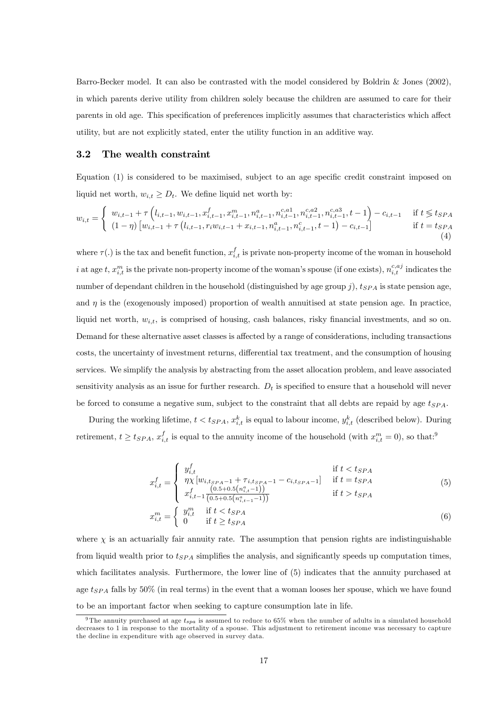Barro-Becker model. It can also be contrasted with the model considered by Boldrin & Jones (2002), in which parents derive utility from children solely because the children are assumed to care for their parents in old age. This specification of preferences implicitly assumes that characteristics which affect utility, but are not explicitly stated, enter the utility function in an additive way.

#### 3.2 The wealth constraint

Equation (1) is considered to be maximised, subject to an age specific credit constraint imposed on liquid net worth,  $w_{i,t} \geq D_t$ . We define liquid net worth by:

$$
w_{i,t} = \begin{cases} w_{i,t-1} + \tau \left( l_{i,t-1}, w_{i,t-1}, x_{i,t-1}^f, x_{i,t-1}^m, n_{i,t-1}^a, n_{i,t-1}^{c,a}^a, n_{i,t-1}^{c,a}^a, t-1 \right) - c_{i,t-1} & \text{if } t \leq t_{SPA} \\ (1-\eta) \left[ w_{i,t-1} + \tau \left( l_{i,t-1}, r_i w_{i,t-1} + x_{i,t-1}, n_{i,t-1}^a, n_{i,t-1}^c, t-1 \right) - c_{i,t-1} \right] & \text{if } t = t_{SPA} \\ (4) \end{cases}
$$

where  $\tau(.)$  is the tax and benefit function,  $x_{i,t}^f$  is private non-property income of the woman in household i at age t,  $x_{i,t}^m$  is the private non-property income of the woman's spouse (if one exists),  $n_{i,t}^{c,aj}$  indicates the number of dependant children in the household (distinguished by age group  $j$ ),  $t_{SPA}$  is state pension age, and  $\eta$  is the (exogenously imposed) proportion of wealth annuitised at state pension age. In practice, liquid net worth,  $w_{i,t}$ , is comprised of housing, cash balances, risky financial investments, and so on. Demand for these alternative asset classes is affected by a range of considerations, including transactions costs, the uncertainty of investment returns, differential tax treatment, and the consumption of housing services. We simplify the analysis by abstracting from the asset allocation problem, and leave associated sensitivity analysis as an issue for further research.  $D_t$  is specified to ensure that a household will never be forced to consume a negative sum, subject to the constraint that all debts are repaid by age  $t_{SPA}$ .

During the working lifetime,  $t < t_{SPA}$ ,  $x_{i,t}^k$  is equal to labour income,  $y_{i,t}^k$  (described below). During retirement,  $t \ge t_{SPA}$ ,  $x_{i,t}^f$  is equal to the annuity income of the household (with  $x_{i,t}^m = 0$ ), so that:<sup>9</sup>

$$
x_{i,t}^f = \begin{cases} y_{i,t}^f & \text{if } t < t_{SPA} \\ \eta \chi \left[ w_{i,t_{SPA}-1} + \tau_{i,t_{SPA}-1} - c_{i,t_{SPA}-1} \right] & \text{if } t = t_{SPA} \\ x_{i,t-1}^f \frac{(0.5+0.5\left( n_{i,t-1}^a \right))}{(0.5+0.5\left( n_{i,t-1}^a - 1\right))} & \text{if } t > t_{SPA} \end{cases}
$$
(5)

$$
x_{i,t}^m = \begin{cases} y_{i,t}^m & \text{if } t < t_{SPA} \\ 0 & \text{if } t \ge t_{SPA} \end{cases}
$$
 (6)

where  $\chi$  is an actuarially fair annuity rate. The assumption that pension rights are indistinguishable from liquid wealth prior to  $t_{SPA}$  simplifies the analysis, and significantly speeds up computation times, which facilitates analysis. Furthermore, the lower line of (5) indicates that the annuity purchased at age  $t_{SPA}$  falls by 50% (in real terms) in the event that a woman looses her spouse, which we have found to be an important factor when seeking to capture consumption late in life.

<sup>&</sup>lt;sup>9</sup>The annuity purchased at age  $t_{spa}$  is assumed to reduce to 65% when the number of adults in a simulated household decreases to 1 in response to the mortality of a spouse. This adjustment to retirement income was necessary to capture the decline in expenditure with age observed in survey data.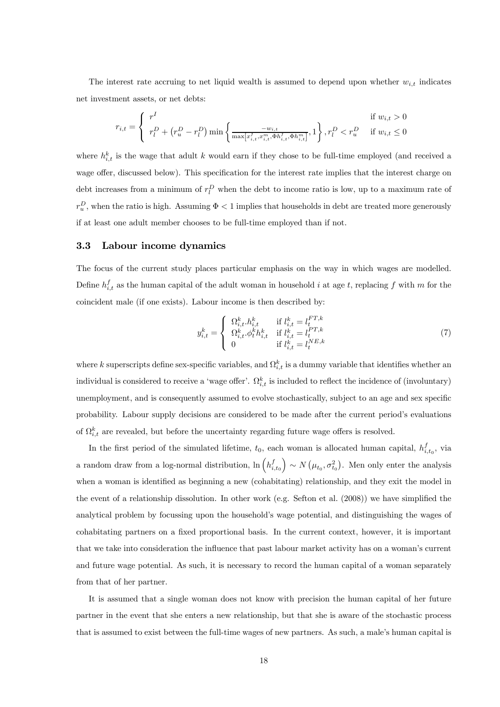The interest rate accruing to net liquid wealth is assumed to depend upon whether  $w_{i,t}$  indicates net investment assets, or net debts:

$$
r_{i,t} = \begin{cases} r^I & \text{if } w_{i,t} > 0\\ r_l^D + (r_u^D - r_l^D) \min\left\{\frac{-w_{i,t}}{\max[x_{i,t}^f, x_{i,t}^m, \Phi h_{i,t}^f, \Phi h_{i,t}^m]}, 1\right\}, r_l^D < r_u^D \quad \text{if } w_{i,t} \le 0 \end{cases}
$$

where  $h_{i,t}^k$  is the wage that adult k would earn if they chose to be full-time employed (and received a wage offer, discussed below). This specification for the interest rate implies that the interest charge on debt increases from a minimum of  $r_l^D$  when the debt to income ratio is low, up to a maximum rate of  $r_u^D$ , when the ratio is high. Assuming  $\Phi < 1$  implies that households in debt are treated more generously if at least one adult member chooses to be full-time employed than if not.

#### 3.3 Labour income dynamics

The focus of the current study places particular emphasis on the way in which wages are modelled. Define  $h_{i,t}^f$  as the human capital of the adult woman in household i at age t, replacing f with m for the coincident male (if one exists). Labour income is then described by:

$$
y_{i,t}^k = \begin{cases} \Omega_{i,t}^k \cdot h_{i,t}^k & \text{if } l_{i,t}^k = l_t^{FT,k} \\ \Omega_{i,t}^k \cdot \phi_t^k h_{i,t}^k & \text{if } l_{i,t}^k = l_t^{PT,k} \\ 0 & \text{if } l_{i,t}^k = l_t^{NE,k} \end{cases} \tag{7}
$$

where k superscripts define sex-specific variables, and  $\Omega_{i,t}^k$  is a dummy variable that identifies whether an individual is considered to receive a 'wage offer'.  $\Omega_{i,t}^k$  is included to reflect the incidence of (involuntary) unemployment, and is consequently assumed to evolve stochastically, subject to an age and sex specific probability. Labour supply decisions are considered to be made after the current period's evaluations of  $\Omega_{i,t}^k$  are revealed, but before the uncertainty regarding future wage offers is resolved.

In the first period of the simulated lifetime,  $t_0$ , each woman is allocated human capital,  $h_{i,t_0}^f$ , via a random draw from a log-normal distribution,  $\ln \left( h_{i,t_0}^f \right)$  $\left( \rho \sim N\left( \mu_{t_0}, \sigma^2_{t_0} \right)$ . Men only enter the analysis when a woman is identified as beginning a new (cohabitating) relationship, and they exit the model in the event of a relationship dissolution. In other work (e.g. Sefton et al. (2008)) we have simplified the analytical problem by focussing upon the household's wage potential, and distinguishing the wages of cohabitating partners on a fixed proportional basis. In the current context, however, it is important that we take into consideration the influence that past labour market activity has on a woman's current and future wage potential. As such, it is necessary to record the human capital of a woman separately from that of her partner.

It is assumed that a single woman does not know with precision the human capital of her future partner in the event that she enters a new relationship, but that she is aware of the stochastic process that is assumed to exist between the full-time wages of new partners. As such, a male's human capital is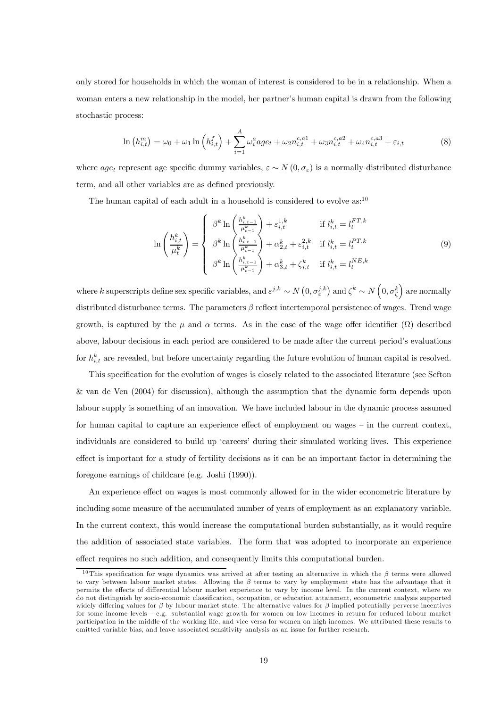only stored for households in which the woman of interest is considered to be in a relationship. When a woman enters a new relationship in the model, her partner's human capital is drawn from the following stochastic process:

$$
\ln\left(h_{i,t}^{m}\right) = \omega_0 + \omega_1 \ln\left(h_{i,t}^{f}\right) + \sum_{i=1}^{A} \omega_i^a a g e_t + \omega_2 n_{i,t}^{c,a} + \omega_3 n_{i,t}^{c,a} + \omega_4 n_{i,t}^{c,a} + \varepsilon_{i,t}
$$
\n(8)

where age<sub>t</sub> represent age specific dummy variables,  $\varepsilon \sim N(0, \sigma_{\varepsilon})$  is a normally distributed disturbance term, and all other variables are as defined previously.

The human capital of each adult in a household is considered to evolve  $as:^{10}$ 

$$
\ln\left(\frac{h_{i,t}^k}{\mu_t^k}\right) = \begin{cases} \beta^k \ln\left(\frac{h_{i,t-1}^k}{\mu_{t-1}^k}\right) + \varepsilon_{i,t}^{1,k} & \text{if } l_{i,t}^k = l_t^{FT,k} \\ \beta^k \ln\left(\frac{h_{i,t-1}^k}{\mu_{t-1}^k}\right) + \alpha_{2,t}^k + \varepsilon_{i,t}^{2,k} & \text{if } l_{i,t}^k = l_t^{PT,k} \\ \beta^k \ln\left(\frac{h_{i,t-1}^k}{\mu_{t-1}^k}\right) + \alpha_{3,t}^k + \zeta_{i,t}^k & \text{if } l_{i,t}^k = l_t^{NE,k} \end{cases} \tag{9}
$$

where k superscripts define sex specific variables, and  $\varepsilon^{j,k} \sim N\left(0, \sigma_{\varepsilon}^{j,k}\right)$  and  $\zeta^k \sim N\left(0, \sigma_{\zeta}^k\right)$  are normally distributed disturbance terms. The parameters  $\beta$  reflect intertemporal persistence of wages. Trend wage growth, is captured by the  $\mu$  and  $\alpha$  terms. As in the case of the wage offer identifier  $(\Omega)$  described above, labour decisions in each period are considered to be made after the current period's evaluations for  $h_{i,t}^k$  are revealed, but before uncertainty regarding the future evolution of human capital is resolved.

This specification for the evolution of wages is closely related to the associated literature (see Sefton & van de Ven (2004) for discussion), although the assumption that the dynamic form depends upon labour supply is something of an innovation. We have included labour in the dynamic process assumed for human capital to capture an experience effect of employment on wages — in the current context, individuals are considered to build up 'careers' during their simulated working lives. This experience effect is important for a study of fertility decisions as it can be an important factor in determining the foregone earnings of childcare (e.g. Joshi (1990)).

An experience effect on wages is most commonly allowed for in the wider econometric literature by including some measure of the accumulated number of years of employment as an explanatory variable. In the current context, this would increase the computational burden substantially, as it would require the addition of associated state variables. The form that was adopted to incorporate an experience effect requires no such addition, and consequently limits this computational burden.

<sup>&</sup>lt;sup>10</sup>This specification for wage dynamics was arrived at after testing an alternative in which the  $\beta$  terms were allowed to vary between labour market states. Allowing the  $\beta$  terms to vary by employment state has the advantage that it permits the effects of differential labour market experience to vary by income level. In the current context, where we do not distinguish by socio-economic classification, occupation, or education attainment, econometric analysis supported widely differing values for  $\beta$  by labour market state. The alternative values for  $\beta$  implied potentially perverse incentives for some income levels — e.g. substantial wage growth for women on low incomes in return for reduced labour market participation in the middle of the working life, and vice versa for women on high incomes. We attributed these results to omitted variable bias, and leave associated sensitivity analysis as an issue for further research.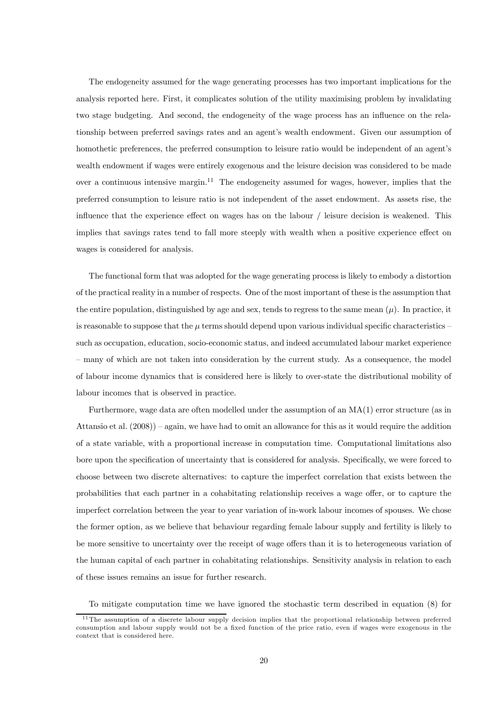The endogeneity assumed for the wage generating processes has two important implications for the analysis reported here. First, it complicates solution of the utility maximising problem by invalidating two stage budgeting. And second, the endogeneity of the wage process has an influence on the relationship between preferred savings rates and an agent's wealth endowment. Given our assumption of homothetic preferences, the preferred consumption to leisure ratio would be independent of an agent's wealth endowment if wages were entirely exogenous and the leisure decision was considered to be made over a continuous intensive margin.<sup>11</sup> The endogeneity assumed for wages, however, implies that the preferred consumption to leisure ratio is not independent of the asset endowment. As assets rise, the influence that the experience effect on wages has on the labour / leisure decision is weakened. This implies that savings rates tend to fall more steeply with wealth when a positive experience effect on wages is considered for analysis.

The functional form that was adopted for the wage generating process is likely to embody a distortion of the practical reality in a number of respects. One of the most important of these is the assumption that the entire population, distinguished by age and sex, tends to regress to the same mean  $(\mu)$ . In practice, it is reasonable to suppose that the  $\mu$  terms should depend upon various individual specific characteristics – such as occupation, education, socio-economic status, and indeed accumulated labour market experience — many of which are not taken into consideration by the current study. As a consequence, the model of labour income dynamics that is considered here is likely to over-state the distributional mobility of labour incomes that is observed in practice.

Furthermore, wage data are often modelled under the assumption of an MA(1) error structure (as in Attansio et al. (2008)) — again, we have had to omit an allowance for this as it would require the addition of a state variable, with a proportional increase in computation time. Computational limitations also bore upon the specification of uncertainty that is considered for analysis. Specifically, we were forced to choose between two discrete alternatives: to capture the imperfect correlation that exists between the probabilities that each partner in a cohabitating relationship receives a wage offer, or to capture the imperfect correlation between the year to year variation of in-work labour incomes of spouses. We chose the former option, as we believe that behaviour regarding female labour supply and fertility is likely to be more sensitive to uncertainty over the receipt of wage offers than it is to heterogeneous variation of the human capital of each partner in cohabitating relationships. Sensitivity analysis in relation to each of these issues remains an issue for further research.

To mitigate computation time we have ignored the stochastic term described in equation (8) for

<sup>&</sup>lt;sup>11</sup>The assumption of a discrete labour supply decision implies that the proportional relationship between preferred consumption and labour supply would not be a fixed function of the price ratio, even if wages were exogenous in the context that is considered here.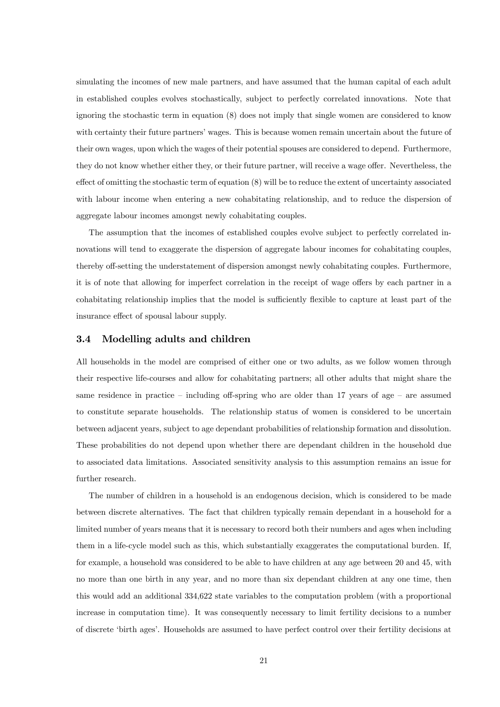simulating the incomes of new male partners, and have assumed that the human capital of each adult in established couples evolves stochastically, subject to perfectly correlated innovations. Note that ignoring the stochastic term in equation (8) does not imply that single women are considered to know with certainty their future partners' wages. This is because women remain uncertain about the future of their own wages, upon which the wages of their potential spouses are considered to depend. Furthermore, they do not know whether either they, or their future partner, will receive a wage offer. Nevertheless, the effect of omitting the stochastic term of equation (8) will be to reduce the extent of uncertainty associated with labour income when entering a new cohabitating relationship, and to reduce the dispersion of aggregate labour incomes amongst newly cohabitating couples.

The assumption that the incomes of established couples evolve subject to perfectly correlated innovations will tend to exaggerate the dispersion of aggregate labour incomes for cohabitating couples, thereby off-setting the understatement of dispersion amongst newly cohabitating couples. Furthermore, it is of note that allowing for imperfect correlation in the receipt of wage offers by each partner in a cohabitating relationship implies that the model is sufficiently flexible to capture at least part of the insurance effect of spousal labour supply.

#### 3.4 Modelling adults and children

All households in the model are comprised of either one or two adults, as we follow women through their respective life-courses and allow for cohabitating partners; all other adults that might share the same residence in practice – including off-spring who are older than  $17$  years of age – are assumed to constitute separate households. The relationship status of women is considered to be uncertain between adjacent years, subject to age dependant probabilities of relationship formation and dissolution. These probabilities do not depend upon whether there are dependant children in the household due to associated data limitations. Associated sensitivity analysis to this assumption remains an issue for further research.

The number of children in a household is an endogenous decision, which is considered to be made between discrete alternatives. The fact that children typically remain dependant in a household for a limited number of years means that it is necessary to record both their numbers and ages when including them in a life-cycle model such as this, which substantially exaggerates the computational burden. If, for example, a household was considered to be able to have children at any age between 20 and 45, with no more than one birth in any year, and no more than six dependant children at any one time, then this would add an additional 334,622 state variables to the computation problem (with a proportional increase in computation time). It was consequently necessary to limit fertility decisions to a number of discrete 'birth ages'. Households are assumed to have perfect control over their fertility decisions at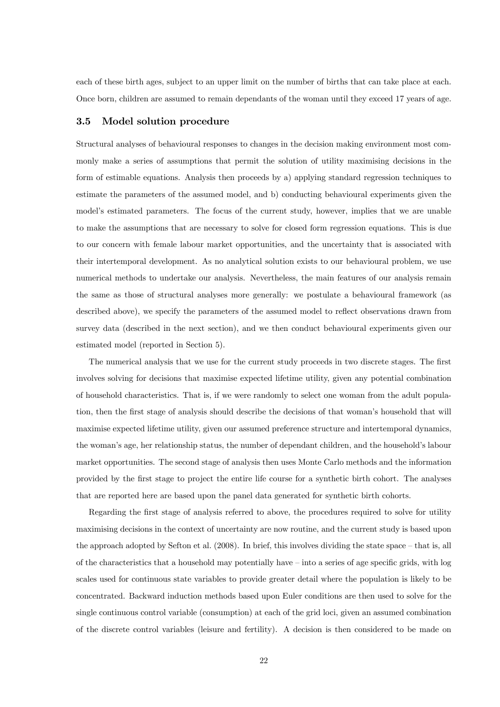each of these birth ages, subject to an upper limit on the number of births that can take place at each. Once born, children are assumed to remain dependants of the woman until they exceed 17 years of age.

### 3.5 Model solution procedure

Structural analyses of behavioural responses to changes in the decision making environment most commonly make a series of assumptions that permit the solution of utility maximising decisions in the form of estimable equations. Analysis then proceeds by a) applying standard regression techniques to estimate the parameters of the assumed model, and b) conducting behavioural experiments given the model's estimated parameters. The focus of the current study, however, implies that we are unable to make the assumptions that are necessary to solve for closed form regression equations. This is due to our concern with female labour market opportunities, and the uncertainty that is associated with their intertemporal development. As no analytical solution exists to our behavioural problem, we use numerical methods to undertake our analysis. Nevertheless, the main features of our analysis remain the same as those of structural analyses more generally: we postulate a behavioural framework (as described above), we specify the parameters of the assumed model to reflect observations drawn from survey data (described in the next section), and we then conduct behavioural experiments given our estimated model (reported in Section 5).

The numerical analysis that we use for the current study proceeds in two discrete stages. The first involves solving for decisions that maximise expected lifetime utility, given any potential combination of household characteristics. That is, if we were randomly to select one woman from the adult population, then the first stage of analysis should describe the decisions of that woman's household that will maximise expected lifetime utility, given our assumed preference structure and intertemporal dynamics, the woman's age, her relationship status, the number of dependant children, and the household's labour market opportunities. The second stage of analysis then uses Monte Carlo methods and the information provided by the first stage to project the entire life course for a synthetic birth cohort. The analyses that are reported here are based upon the panel data generated for synthetic birth cohorts.

Regarding the first stage of analysis referred to above, the procedures required to solve for utility maximising decisions in the context of uncertainty are now routine, and the current study is based upon the approach adopted by Sefton et al. (2008). In brief, this involves dividing the state space — that is, all of the characteristics that a household may potentially have — into a series of age specific grids, with log scales used for continuous state variables to provide greater detail where the population is likely to be concentrated. Backward induction methods based upon Euler conditions are then used to solve for the single continuous control variable (consumption) at each of the grid loci, given an assumed combination of the discrete control variables (leisure and fertility). A decision is then considered to be made on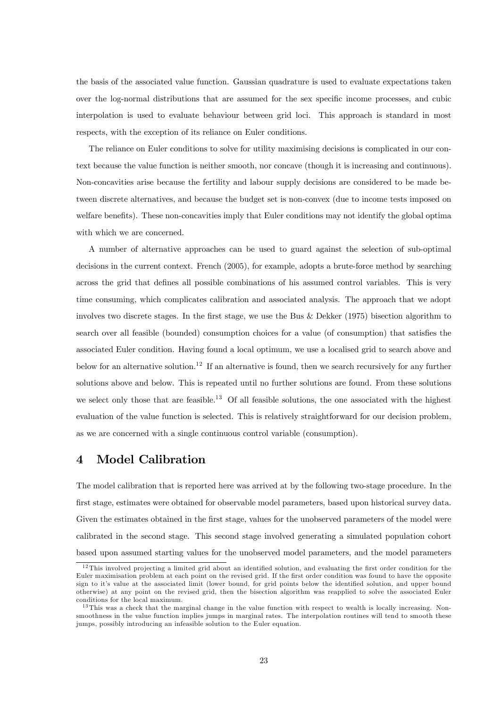the basis of the associated value function. Gaussian quadrature is used to evaluate expectations taken over the log-normal distributions that are assumed for the sex specific income processes, and cubic interpolation is used to evaluate behaviour between grid loci. This approach is standard in most respects, with the exception of its reliance on Euler conditions.

The reliance on Euler conditions to solve for utility maximising decisions is complicated in our context because the value function is neither smooth, nor concave (though it is increasing and continuous). Non-concavities arise because the fertility and labour supply decisions are considered to be made between discrete alternatives, and because the budget set is non-convex (due to income tests imposed on welfare benefits). These non-concavities imply that Euler conditions may not identify the global optima with which we are concerned.

A number of alternative approaches can be used to guard against the selection of sub-optimal decisions in the current context. French (2005), for example, adopts a brute-force method by searching across the grid that defines all possible combinations of his assumed control variables. This is very time consuming, which complicates calibration and associated analysis. The approach that we adopt involves two discrete stages. In the first stage, we use the Bus & Dekker (1975) bisection algorithm to search over all feasible (bounded) consumption choices for a value (of consumption) that satisfies the associated Euler condition. Having found a local optimum, we use a localised grid to search above and below for an alternative solution.<sup>12</sup> If an alternative is found, then we search recursively for any further solutions above and below. This is repeated until no further solutions are found. From these solutions we select only those that are feasible.<sup>13</sup> Of all feasible solutions, the one associated with the highest evaluation of the value function is selected. This is relatively straightforward for our decision problem, as we are concerned with a single continuous control variable (consumption).

### 4 Model Calibration

The model calibration that is reported here was arrived at by the following two-stage procedure. In the first stage, estimates were obtained for observable model parameters, based upon historical survey data. Given the estimates obtained in the first stage, values for the unobserved parameters of the model were calibrated in the second stage. This second stage involved generating a simulated population cohort based upon assumed starting values for the unobserved model parameters, and the model parameters

 $12$ This involved projecting a limited grid about an identified solution, and evaluating the first order condition for the Euler maximisation problem at each point on the revised grid. If the first order condition was found to have the opposite sign to it's value at the associated limit (lower bound, for grid points below the identified solution, and upper bound otherwise) at any point on the revised grid, then the bisection algorithm was reapplied to solve the associated Euler conditions for the local maximum.

 $13$ This was a check that the marginal change in the value function with respect to wealth is locally increasing. Nonsmoothness in the value function implies jumps in marginal rates. The interpolation routines will tend to smooth these jumps, possibly introducing an infeasible solution to the Euler equation.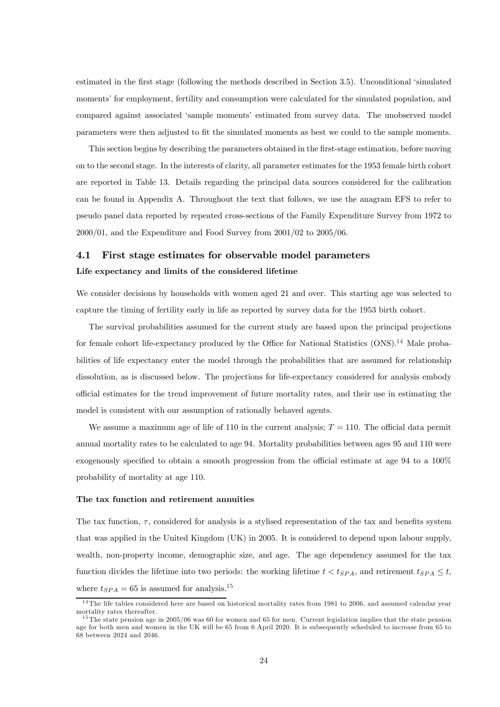estimated in the first stage (following the methods described in Section 3.5). Unconditional 'simulated moments' for employment, fertility and consumption were calculated for the simulated population, and compared against associated 'sample moments' estimated from survey data. The unobserved model parameters were then adjusted to fit the simulated moments as best we could to the sample moments.

This section begins by describing the parameters obtained in the first-stage estimation, before moving on to the second stage. In the interests of clarity, all parameter estimates for the 1953 female birth cohort are reported in Table 13. Details regarding the principal data sources considered for the calibration can be found in Appendix A. Throughout the text that follows, we use the anagram EFS to refer to pseudo panel data reported by repeated cross-sections of the Family Expenditure Survey from 1972 to 2000/01, and the Expenditure and Food Survey from 2001/02 to 2005/06.

# 4.1 First stage estimates for observable model parameters Life expectancy and limits of the considered lifetime

We consider decisions by households with women aged 21 and over. This starting age was selected to capture the timing of fertility early in life as reported by survey data for the 1953 birth cohort.

The survival probabilities assumed for the current study are based upon the principal projections for female cohort life-expectancy produced by the Office for National Statistics (ONS).<sup>14</sup> Male probabilities of life expectancy enter the model through the probabilities that are assumed for relationship dissolution, as is discussed below. The projections for life-expectancy considered for analysis embody official estimates for the trend improvement of future mortality rates, and their use in estimating the model is consistent with our assumption of rationally behaved agents.

We assume a maximum age of life of 110 in the current analysis;  $T = 110$ . The official data permit annual mortality rates to be calculated to age 94. Mortality probabilities between ages 95 and 110 were exogenously specified to obtain a smooth progression from the official estimate at age 94 to a 100% probability of mortality at age 110.

#### The tax function and retirement annuities

The tax function,  $\tau$ , considered for analysis is a stylised representation of the tax and benefits system that was applied in the United Kingdom (UK) in 2005. It is considered to depend upon labour supply, wealth, non-property income, demographic size, and age. The age dependency assumed for the tax function divides the lifetime into two periods: the working lifetime  $t < t_{SPA}$ , and retirement  $t_{SPA} \leq t$ , where  $t_{SPA}=65$  is assumed for analysis.<sup>15</sup>

 $14$ The life tables considered here are based on historical mortality rates from 1981 to 2006, and assumed calendar year mortality rates thereafter.

 $15$ The state pension age in 2005/06 was 60 for women and 65 for men. Current legislation implies that the state pension age for both men and women in the UK will be 65 from 6 April 2020. It is subsequently scheduled to increase from 65 to 68 between 2024 and 2046.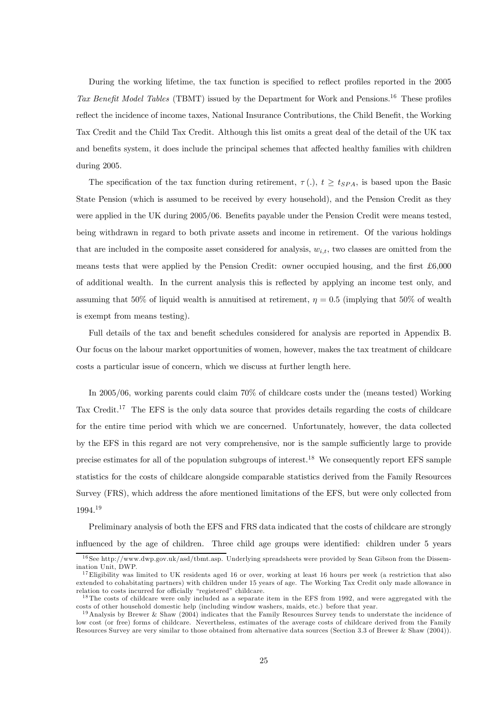During the working lifetime, the tax function is specified to reflect profiles reported in the 2005 Tax Benefit Model Tables (TBMT) issued by the Department for Work and Pensions.<sup>16</sup> These profiles reflect the incidence of income taxes, National Insurance Contributions, the Child Benefit, the Working Tax Credit and the Child Tax Credit. Although this list omits a great deal of the detail of the UK tax and benefits system, it does include the principal schemes that affected healthy families with children during 2005.

The specification of the tax function during retirement,  $\tau(.)$ ,  $t \geq t_{SPA}$ , is based upon the Basic State Pension (which is assumed to be received by every household), and the Pension Credit as they were applied in the UK during 2005/06. Benefits payable under the Pension Credit were means tested, being withdrawn in regard to both private assets and income in retirement. Of the various holdings that are included in the composite asset considered for analysis,  $w_{i,t}$ , two classes are omitted from the means tests that were applied by the Pension Credit: owner occupied housing, and the first £6,000 of additional wealth. In the current analysis this is reflected by applying an income test only, and assuming that 50% of liquid wealth is annuitised at retirement,  $\eta = 0.5$  (implying that 50% of wealth is exempt from means testing).

Full details of the tax and benefit schedules considered for analysis are reported in Appendix B. Our focus on the labour market opportunities of women, however, makes the tax treatment of childcare costs a particular issue of concern, which we discuss at further length here.

In 2005/06, working parents could claim 70% of childcare costs under the (means tested) Working Tax Credit.<sup>17</sup> The EFS is the only data source that provides details regarding the costs of childcare for the entire time period with which we are concerned. Unfortunately, however, the data collected by the EFS in this regard are not very comprehensive, nor is the sample sufficiently large to provide precise estimates for all of the population subgroups of interest.<sup>18</sup> We consequently report EFS sample statistics for the costs of childcare alongside comparable statistics derived from the Family Resources Survey (FRS), which address the afore mentioned limitations of the EFS, but were only collected from 1994.19

Preliminary analysis of both the EFS and FRS data indicated that the costs of childcare are strongly influenced by the age of children. Three child age groups were identified: children under 5 years

<sup>&</sup>lt;sup>16</sup> See http://www.dwp.gov.uk/asd/tbmt.asp. Underlying spreadsheets were provided by Sean Gibson from the Dissemination Unit, DWP.

 $17$  Eligibility was limited to UK residents aged 16 or over, working at least 16 hours per week (a restriction that also extended to cohabitating partners) with children under 15 years of age. The Working Tax Credit only made allowance in relation to costs incurred for officially "registered" childcare.

 $18$ The costs of childcare were only included as a separate item in the EFS from 1992, and were aggregated with the costs of other household domestic help (including window washers, maids, etc.) before that year.

 $19$ Analysis by Brewer & Shaw (2004) indicates that the Family Resources Survey tends to understate the incidence of low cost (or free) forms of childcare. Nevertheless, estimates of the average costs of childcare derived from the Family Resources Survey are very similar to those obtained from alternative data sources (Section 3.3 of Brewer & Shaw (2004)).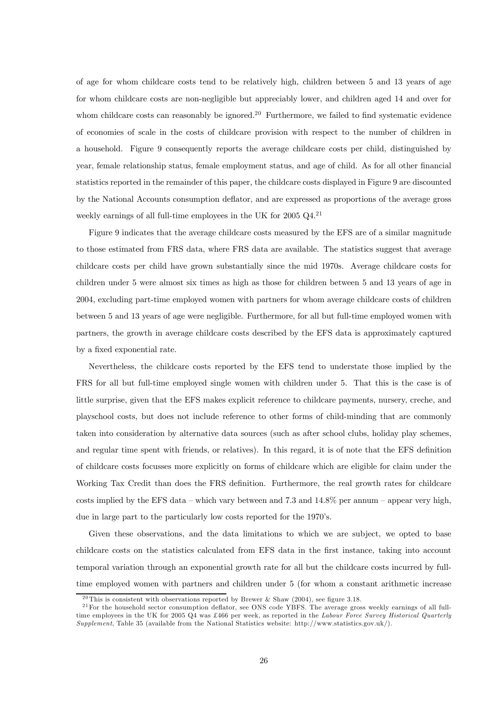of age for whom childcare costs tend to be relatively high, children between 5 and 13 years of age for whom childcare costs are non-negligible but appreciably lower, and children aged 14 and over for whom childcare costs can reasonably be ignored.<sup>20</sup> Furthermore, we failed to find systematic evidence of economies of scale in the costs of childcare provision with respect to the number of children in a household. Figure 9 consequently reports the average childcare costs per child, distinguished by year, female relationship status, female employment status, and age of child. As for all other financial statistics reported in the remainder of this paper, the childcare costs displayed in Figure 9 are discounted by the National Accounts consumption deflator, and are expressed as proportions of the average gross weekly earnings of all full-time employees in the UK for  $2005 \text{ Q}4.^{21}$ 

Figure 9 indicates that the average childcare costs measured by the EFS are of a similar magnitude to those estimated from FRS data, where FRS data are available. The statistics suggest that average childcare costs per child have grown substantially since the mid 1970s. Average childcare costs for children under 5 were almost six times as high as those for children between 5 and 13 years of age in 2004, excluding part-time employed women with partners for whom average childcare costs of children between 5 and 13 years of age were negligible. Furthermore, for all but full-time employed women with partners, the growth in average childcare costs described by the EFS data is approximately captured by a fixed exponential rate.

Nevertheless, the childcare costs reported by the EFS tend to understate those implied by the FRS for all but full-time employed single women with children under 5. That this is the case is of little surprise, given that the EFS makes explicit reference to childcare payments, nursery, creche, and playschool costs, but does not include reference to other forms of child-minding that are commonly taken into consideration by alternative data sources (such as after school clubs, holiday play schemes, and regular time spent with friends, or relatives). In this regard, it is of note that the EFS definition of childcare costs focusses more explicitly on forms of childcare which are eligible for claim under the Working Tax Credit than does the FRS definition. Furthermore, the real growth rates for childcare costs implied by the EFS data – which vary between and  $7.3$  and  $14.8\%$  per annum – appear very high, due in large part to the particularly low costs reported for the 1970's.

Given these observations, and the data limitations to which we are subject, we opted to base childcare costs on the statistics calculated from EFS data in the first instance, taking into account temporal variation through an exponential growth rate for all but the childcare costs incurred by fulltime employed women with partners and children under 5 (for whom a constant arithmetic increase

<sup>&</sup>lt;sup>20</sup>This is consistent with observations reported by Brewer & Shaw (2004), see figure 3.18.

 $21$  For the household sector consumption deflator, see ONS code YBFS. The average gross weekly earnings of all fulltime employees in the UK for 2005 Q4 was £466 per week, as reported in the Labour Force Survey Historical Quarterly Supplement, Table 35 (available from the National Statistics website: http://www.statistics.gov.uk/).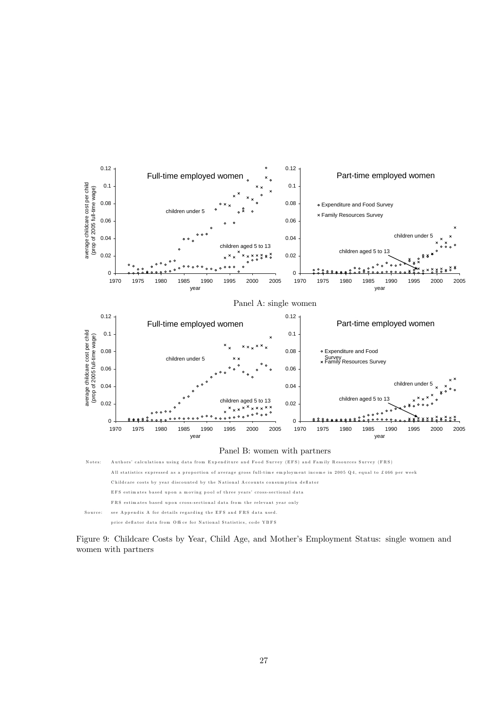

Figure 9: Childcare Costs by Year, Child Age, and Mother's Employment Status: single women and women with partners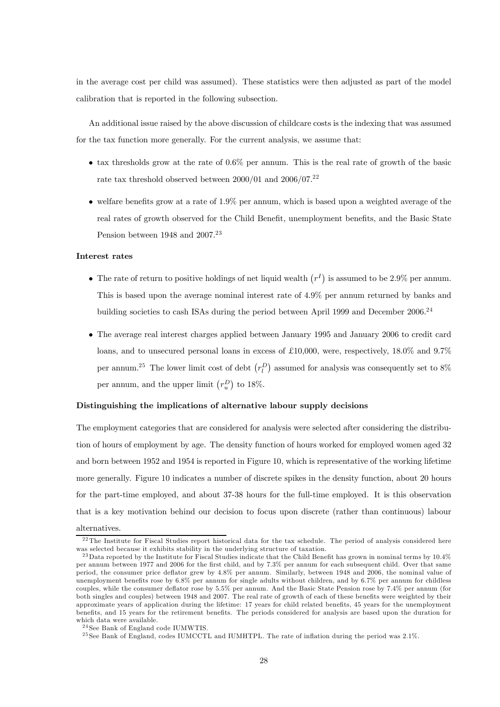in the average cost per child was assumed). These statistics were then adjusted as part of the model calibration that is reported in the following subsection.

An additional issue raised by the above discussion of childcare costs is the indexing that was assumed for the tax function more generally. For the current analysis, we assume that:

- $\bullet$  tax thresholds grow at the rate of 0.6% per annum. This is the real rate of growth of the basic rate tax threshold observed between  $2000/01$  and  $2006/07.<sup>22</sup>$
- welfare benefits grow at a rate of 1.9% per annum, which is based upon a weighted average of the real rates of growth observed for the Child Benefit, unemployment benefits, and the Basic State Pension between 1948 and 2007.<sup>23</sup>

#### Interest rates

- The rate of return to positive holdings of net liquid wealth  $(r<sup>I</sup>)$  is assumed to be 2.9% per annum. This is based upon the average nominal interest rate of 4.9% per annum returned by banks and building societies to cash ISAs during the period between April 1999 and December 2006.<sup>24</sup>
- The average real interest charges applied between January 1995 and January 2006 to credit card loans, and to unsecured personal loans in excess of £10,000, were, respectively, 18.0% and 9.7% per annum.<sup>25</sup> The lower limit cost of debt  $(r_l^D)$  assumed for analysis was consequently set to 8% per annum, and the upper limit  $(r_u^D)$  to 18%.

#### Distinguishing the implications of alternative labour supply decisions

The employment categories that are considered for analysis were selected after considering the distribution of hours of employment by age. The density function of hours worked for employed women aged 32 and born between 1952 and 1954 is reported in Figure 10, which is representative of the working lifetime more generally. Figure 10 indicates a number of discrete spikes in the density function, about 20 hours for the part-time employed, and about 37-38 hours for the full-time employed. It is this observation that is a key motivation behind our decision to focus upon discrete (rather than continuous) labour alternatives.

 $22$ The Institute for Fiscal Studies report historical data for the tax schedule. The period of analysis considered here was selected because it exhibits stability in the underlying structure of taxation.

 $^{23}$ Data reported by the Institute for Fiscal Studies indicate that the Child Benefit has grown in nominal terms by 10.4% per annum between 1977 and 2006 for the first child, and by 7.3% per annum for each subsequent child. Over that same period, the consumer price deflator grew by 4.8% per annum. Similarly, between 1948 and 2006, the nominal value of unemployment benefits rose by 6.8% per annum for single adults without children, and by 6.7% per annum for childless couples, while the consumer deflator rose by 5.5% per annum. And the Basic State Pension rose by 7.4% per annum (for both singles and couples) between 1948 and 2007. The real rate of growth of each of these benefits were weighted by their approximate years of application during the lifetime: 17 years for child related benefits, 45 years for the unemployment benefits, and 15 years for the retirement benefits. The periods considered for analysis are based upon the duration for which data were available.

<sup>&</sup>lt;sup>24</sup> See Bank of England code IUMWTIS.

<sup>&</sup>lt;sup>25</sup> See Bank of England, codes IUMCCTL and IUMHTPL. The rate of inflation during the period was 2.1%.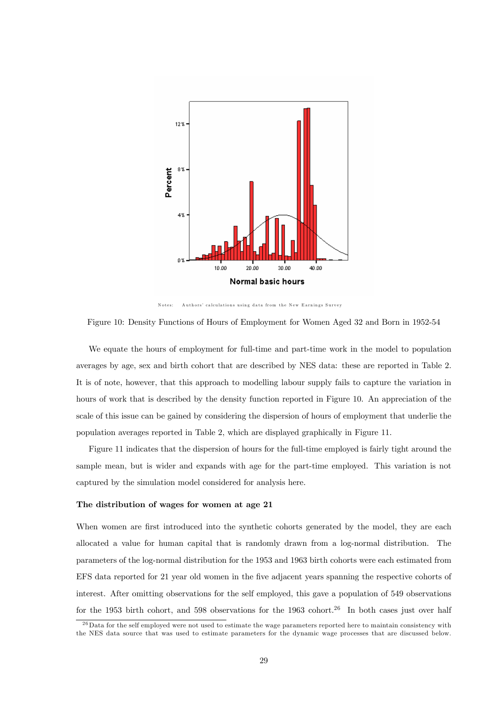

Notes: A uthors' calculations using data from the New Earnings Survey

Figure 10: Density Functions of Hours of Employment for Women Aged 32 and Born in 1952-54

We equate the hours of employment for full-time and part-time work in the model to population averages by age, sex and birth cohort that are described by NES data: these are reported in Table 2. It is of note, however, that this approach to modelling labour supply fails to capture the variation in hours of work that is described by the density function reported in Figure 10. An appreciation of the scale of this issue can be gained by considering the dispersion of hours of employment that underlie the population averages reported in Table 2, which are displayed graphically in Figure 11.

Figure 11 indicates that the dispersion of hours for the full-time employed is fairly tight around the sample mean, but is wider and expands with age for the part-time employed. This variation is not captured by the simulation model considered for analysis here.

#### The distribution of wages for women at age 21

When women are first introduced into the synthetic cohorts generated by the model, they are each allocated a value for human capital that is randomly drawn from a log-normal distribution. The parameters of the log-normal distribution for the 1953 and 1963 birth cohorts were each estimated from EFS data reported for 21 year old women in the five adjacent years spanning the respective cohorts of interest. After omitting observations for the self employed, this gave a population of 549 observations for the 1953 birth cohort, and 598 observations for the 1963 cohort.<sup>26</sup> In both cases just over half

 $^{26}$ Data for the self employed were not used to estimate the wage parameters reported here to maintain consistency with the NES data source that was used to estimate parameters for the dynamic wage processes that are discussed below.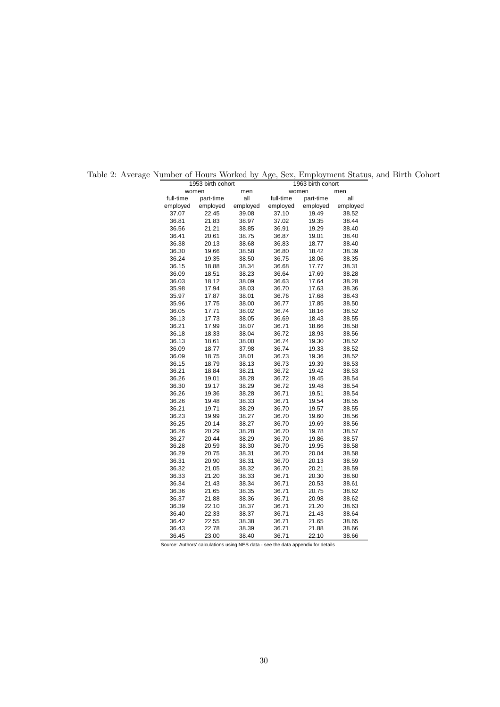| 1953 birth cohort<br>women<br>men<br>full-time<br>part-time<br>all<br>employed<br>employed<br>37.07<br>22.45<br>39.08<br>21.83<br>38.97<br>36.81<br>21.21<br>38.85<br>36.56<br>36.41<br>20.61<br>38.75<br>36.38<br>20.13<br>38.68<br>36.30<br>19.66<br>38.58<br>36.24<br>19.35<br>38.50<br>36.15<br>38.34<br>18.88<br>18.51<br>38.23<br>36.09<br>18.12<br>38.09<br>36.03<br>17.94<br>35.98<br>38.03 |       |          | 1963 birth cohort |           |          |  |
|-----------------------------------------------------------------------------------------------------------------------------------------------------------------------------------------------------------------------------------------------------------------------------------------------------------------------------------------------------------------------------------------------------|-------|----------|-------------------|-----------|----------|--|
|                                                                                                                                                                                                                                                                                                                                                                                                     |       |          | women             |           | men      |  |
|                                                                                                                                                                                                                                                                                                                                                                                                     |       |          | full-time         | part-time | all      |  |
|                                                                                                                                                                                                                                                                                                                                                                                                     |       | employed | employed          | employed  | employed |  |
|                                                                                                                                                                                                                                                                                                                                                                                                     |       |          | 37.10             | 19.49     | 38.52    |  |
|                                                                                                                                                                                                                                                                                                                                                                                                     |       |          | 37.02             | 19.35     | 38.44    |  |
|                                                                                                                                                                                                                                                                                                                                                                                                     |       |          | 36.91             | 19.29     | 38.40    |  |
|                                                                                                                                                                                                                                                                                                                                                                                                     |       |          | 36.87             | 19.01     | 38.40    |  |
|                                                                                                                                                                                                                                                                                                                                                                                                     |       |          | 36.83             | 18.77     | 38.40    |  |
|                                                                                                                                                                                                                                                                                                                                                                                                     |       |          | 36.80             | 18.42     | 38.39    |  |
|                                                                                                                                                                                                                                                                                                                                                                                                     |       |          | 36.75             | 18.06     | 38.35    |  |
|                                                                                                                                                                                                                                                                                                                                                                                                     |       |          | 36.68             | 17.77     | 38.31    |  |
|                                                                                                                                                                                                                                                                                                                                                                                                     |       |          | 36.64             | 17.69     | 38.28    |  |
|                                                                                                                                                                                                                                                                                                                                                                                                     |       |          | 36.63             | 17.64     | 38.28    |  |
|                                                                                                                                                                                                                                                                                                                                                                                                     |       |          | 36.70             | 17.63     | 38.36    |  |
| 35.97                                                                                                                                                                                                                                                                                                                                                                                               | 17.87 | 38.01    | 36.76             | 17.68     | 38.43    |  |
| 35.96                                                                                                                                                                                                                                                                                                                                                                                               | 17.75 | 38.00    | 36.77             | 17.85     | 38.50    |  |
| 36.05                                                                                                                                                                                                                                                                                                                                                                                               | 17.71 | 38.02    | 36.74             | 18.16     | 38.52    |  |
| 36.13                                                                                                                                                                                                                                                                                                                                                                                               | 17.73 | 38.05    | 36.69             | 18.43     | 38.55    |  |
| 36.21                                                                                                                                                                                                                                                                                                                                                                                               | 17.99 | 38.07    | 36.71             | 18.66     | 38.58    |  |
| 36.18                                                                                                                                                                                                                                                                                                                                                                                               | 18.33 | 38.04    | 36.72             | 18.93     | 38.56    |  |
| 36.13                                                                                                                                                                                                                                                                                                                                                                                               | 18.61 | 38.00    | 36.74             | 19.30     | 38.52    |  |
| 36.09                                                                                                                                                                                                                                                                                                                                                                                               | 18.77 | 37.98    | 36.74             | 19.33     | 38.52    |  |
| 36.09                                                                                                                                                                                                                                                                                                                                                                                               | 18.75 | 38.01    | 36.73             | 19.36     | 38.52    |  |
| 36.15                                                                                                                                                                                                                                                                                                                                                                                               | 18.79 | 38.13    | 36.73             | 19.39     | 38.53    |  |
| 36.21                                                                                                                                                                                                                                                                                                                                                                                               | 18.84 | 38.21    | 36.72             | 19.42     | 38.53    |  |
| 36.26                                                                                                                                                                                                                                                                                                                                                                                               | 19.01 | 38.28    | 36.72             | 19.45     | 38.54    |  |
| 36.30                                                                                                                                                                                                                                                                                                                                                                                               | 19.17 | 38.29    | 36.72             | 19.48     | 38.54    |  |
| 36.26                                                                                                                                                                                                                                                                                                                                                                                               | 19.36 | 38.28    | 36.71             | 19.51     | 38.54    |  |
| 36.26                                                                                                                                                                                                                                                                                                                                                                                               | 19.48 | 38.33    | 36.71             | 19.54     | 38.55    |  |
| 36.21                                                                                                                                                                                                                                                                                                                                                                                               | 19.71 | 38.29    | 36.70             | 19.57     | 38.55    |  |
| 36.23                                                                                                                                                                                                                                                                                                                                                                                               | 19.99 | 38.27    | 36.70             | 19.60     | 38.56    |  |
| 36.25                                                                                                                                                                                                                                                                                                                                                                                               | 20.14 | 38.27    | 36.70             | 19.69     | 38.56    |  |
| 36.26                                                                                                                                                                                                                                                                                                                                                                                               | 20.29 | 38.28    | 36.70             | 19.78     | 38.57    |  |
| 36.27                                                                                                                                                                                                                                                                                                                                                                                               | 20.44 | 38.29    | 36.70             | 19.86     | 38.57    |  |
| 36.28                                                                                                                                                                                                                                                                                                                                                                                               | 20.59 | 38.30    | 36.70             | 19.95     | 38.58    |  |
| 36.29                                                                                                                                                                                                                                                                                                                                                                                               | 20.75 | 38.31    | 36.70             | 20.04     | 38.58    |  |
| 36.31                                                                                                                                                                                                                                                                                                                                                                                               | 20.90 | 38.31    | 36.70             | 20.13     | 38.59    |  |
| 36.32                                                                                                                                                                                                                                                                                                                                                                                               | 21.05 | 38.32    | 36.70             | 20.21     | 38.59    |  |
| 36.33                                                                                                                                                                                                                                                                                                                                                                                               | 21.20 | 38.33    | 36.71             | 20.30     | 38.60    |  |
| 36.34                                                                                                                                                                                                                                                                                                                                                                                               | 21.43 | 38.34    | 36.71             | 20.53     | 38.61    |  |
| 36.36                                                                                                                                                                                                                                                                                                                                                                                               | 21.65 | 38.35    | 36.71             | 20.75     | 38.62    |  |
| 36.37                                                                                                                                                                                                                                                                                                                                                                                               | 21.88 | 38.36    | 36.71             | 20.98     | 38.62    |  |
| 36.39                                                                                                                                                                                                                                                                                                                                                                                               | 22.10 | 38.37    | 36.71             | 21.20     | 38.63    |  |
| 36.40                                                                                                                                                                                                                                                                                                                                                                                               | 22.33 | 38.37    | 36.71             | 21.43     | 38.64    |  |
| 36.42                                                                                                                                                                                                                                                                                                                                                                                               | 22.55 | 38.38    | 36.71             | 21.65     | 38.65    |  |
| 36.43                                                                                                                                                                                                                                                                                                                                                                                               | 22.78 | 38.39    | 36.71             | 21.88     | 38.66    |  |
| 36.45                                                                                                                                                                                                                                                                                                                                                                                               | 23.00 | 38.40    | 36.71             | 22.10     | 38.66    |  |

Table 2: Average Number of Hours Worked by Age, Sex, Employment Status, and Birth Cohort

Source: Authors' calculations using NES data - see the data appendix for details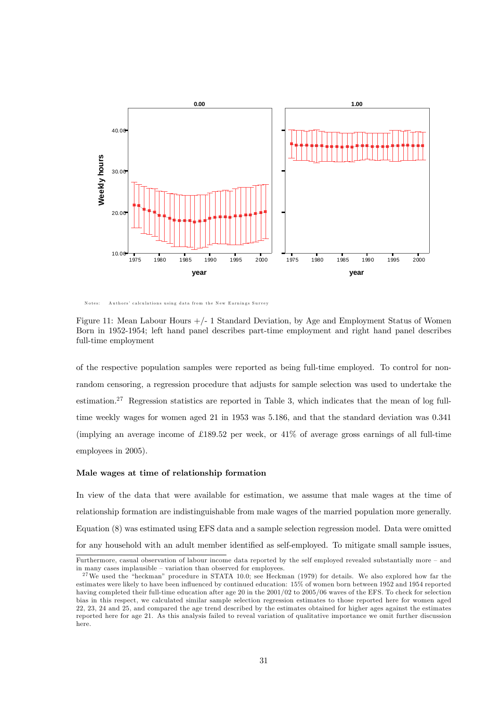

Notes: Authors' calculations using data from the New Earnings Survey

Figure 11: Mean Labour Hours +/- 1 Standard Deviation, by Age and Employment Status of Women Born in 1952-1954; left hand panel describes part-time employment and right hand panel describes full-time employment

of the respective population samples were reported as being full-time employed. To control for nonrandom censoring, a regression procedure that adjusts for sample selection was used to undertake the estimation.27 Regression statistics are reported in Table 3, which indicates that the mean of log fulltime weekly wages for women aged 21 in 1953 was 5.186, and that the standard deviation was 0.341 (implying an average income of £189.52 per week, or 41% of average gross earnings of all full-time employees in 2005).

#### Male wages at time of relationship formation

In view of the data that were available for estimation, we assume that male wages at the time of relationship formation are indistinguishable from male wages of the married population more generally. Equation (8) was estimated using EFS data and a sample selection regression model. Data were omitted for any household with an adult member identified as self-employed. To mitigate small sample issues,

Furthermore, casual observation of labour income data reported by the self employed revealed substantially more – and in many cases implausible — variation than observed for employees.

<sup>&</sup>lt;sup>27</sup>We used the "heckman" procedure in STATA 10.0; see Heckman (1979) for details. We also explored how far the estimates were likely to have been influenced by continued education: 15% of women born between 1952 and 1954 reported having completed their full-time education after age 20 in the 2001/02 to 2005/06 waves of the EFS. To check for selection bias in this respect, we calculated similar sample selection regression estimates to those reported here for women aged 22, 23, 24 and 25, and compared the age trend described by the estimates obtained for higher ages against the estimates reported here for age 21. As this analysis failed to reveal variation of qualitative importance we omit further discussion here.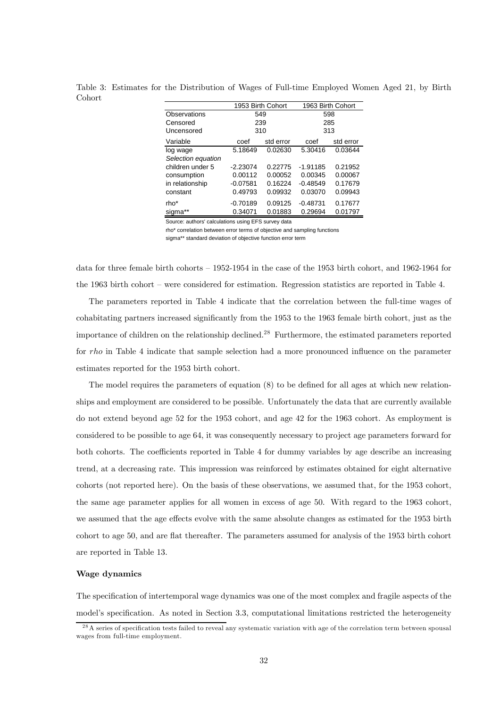|                    | 1953 Birth Cohort |           | 1963 Birth Cohort |           |  |
|--------------------|-------------------|-----------|-------------------|-----------|--|
| Observations       | 549               |           | 598               |           |  |
| Censored           | 239               |           | 285               |           |  |
| Uncensored         | 310               |           | 313               |           |  |
| Variable           | coef              | std error | coef              | std error |  |
| log wage           | 5.18649           | 0.02630   | 5.30416           | 0.03644   |  |
| Selection equation |                   |           |                   |           |  |
| children under 5   | $-2.23074$        | 0.22775   | $-1.91185$        | 0.21952   |  |
| consumption        | 0.00112           | 0.00052   | 0.00345           | 0.00067   |  |
| in relationship    | $-0.07581$        | 0.16224   | $-0.48549$        | 0.17679   |  |
| constant           | 0.49793           | 0.09932   | 0.03070           | 0.09943   |  |
| rho*               | $-0.70189$        | 0.09125   | $-0.48731$        | 0.17677   |  |
| sigma              | 0.34071           | 0.01883   | 0.29694           | 0.01797   |  |

Table 3: Estimates for the Distribution of Wages of Full-time Employed Women Aged 21, by Birth Cohort

Source: authors' calculations using EFS survey data

rho\* correlation between error terms of objective and sampling functions

sigma\*\* standard deviation of objective function error term

data for three female birth cohorts — 1952-1954 in the case of the 1953 birth cohort, and 1962-1964 for the 1963 birth cohort — were considered for estimation. Regression statistics are reported in Table 4.

The parameters reported in Table 4 indicate that the correlation between the full-time wages of cohabitating partners increased significantly from the 1953 to the 1963 female birth cohort, just as the importance of children on the relationship declined.<sup>28</sup> Furthermore, the estimated parameters reported for rho in Table 4 indicate that sample selection had a more pronounced influence on the parameter estimates reported for the 1953 birth cohort.

The model requires the parameters of equation (8) to be defined for all ages at which new relationships and employment are considered to be possible. Unfortunately the data that are currently available do not extend beyond age 52 for the 1953 cohort, and age 42 for the 1963 cohort. As employment is considered to be possible to age 64, it was consequently necessary to project age parameters forward for both cohorts. The coefficients reported in Table 4 for dummy variables by age describe an increasing trend, at a decreasing rate. This impression was reinforced by estimates obtained for eight alternative cohorts (not reported here). On the basis of these observations, we assumed that, for the 1953 cohort, the same age parameter applies for all women in excess of age 50. With regard to the 1963 cohort, we assumed that the age effects evolve with the same absolute changes as estimated for the 1953 birth cohort to age 50, and are flat thereafter. The parameters assumed for analysis of the 1953 birth cohort are reported in Table 13.

#### Wage dynamics

The specification of intertemporal wage dynamics was one of the most complex and fragile aspects of the model's specification. As noted in Section 3.3, computational limitations restricted the heterogeneity

 $^{28}$ A series of specification tests failed to reveal any systematic variation with age of the correlation term between spousal wages from full-time employment.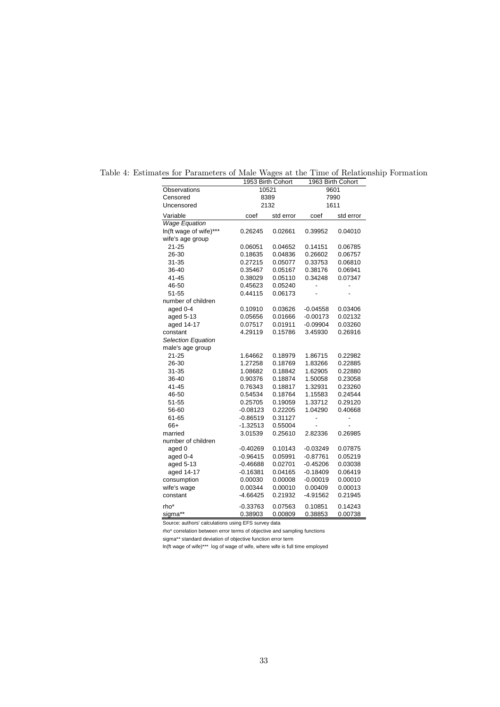|                           |            | 1953 Birth Cohort |            | 1963 Birth Cohort |  |
|---------------------------|------------|-------------------|------------|-------------------|--|
| Observations              |            | 10521             | 9601       |                   |  |
| Censored                  |            | 8389              |            | 7990              |  |
| Uncensored                | 2132       |                   | 1611       |                   |  |
| Variable                  | coef       | std error         | coef       | std error         |  |
| <b>Wage Equation</b>      |            |                   |            |                   |  |
| In(ft wage of wife)***    | 0.26245    | 0.02661           | 0.39952    | 0.04010           |  |
| wife's age group          |            |                   |            |                   |  |
| $21 - 25$                 | 0.06051    | 0.04652           | 0.14151    | 0.06785           |  |
| 26-30                     | 0.18635    | 0.04836           | 0.26602    | 0.06757           |  |
| 31-35                     | 0.27215    | 0.05077           | 0.33753    | 0.06810           |  |
| 36-40                     | 0.35467    | 0.05167           | 0.38176    | 0.06941           |  |
| 41-45                     | 0.38029    | 0.05110           | 0.34248    | 0.07347           |  |
| 46-50                     | 0.45623    | 0.05240           |            |                   |  |
| 51-55                     | 0.44115    | 0.06173           |            |                   |  |
| number of children        |            |                   |            |                   |  |
| aged 0-4                  | 0.10910    | 0.03626           | $-0.04558$ | 0.03406           |  |
| aged 5-13                 | 0.05656    | 0.01666           | $-0.00173$ | 0.02132           |  |
| aged 14-17                | 0.07517    | 0.01911           | $-0.09904$ | 0.03260           |  |
| constant                  | 4.29119    | 0.15786           | 3.45930    | 0.26916           |  |
| <b>Selection Equation</b> |            |                   |            |                   |  |
| male's age group          |            |                   |            |                   |  |
| $21 - 25$                 | 1.64662    | 0.18979           | 1.86715    | 0.22982           |  |
| 26-30                     | 1.27258    | 0.18769           | 1.83266    | 0.22885           |  |
| 31-35                     | 1.08682    | 0.18842           | 1.62905    | 0.22880           |  |
| 36-40                     | 0.90376    | 0.18874           | 1.50058    | 0.23058           |  |
| 41-45                     | 0.76343    | 0.18817           | 1.32931    | 0.23260           |  |
| 46-50                     | 0.54534    | 0.18764           | 1.15583    | 0.24544           |  |
| 51-55                     | 0.25705    | 0.19059           | 1.33712    | 0.29120           |  |
| 56-60                     | $-0.08123$ | 0.22205           | 1.04290    | 0.40668           |  |
| 61-65                     | $-0.86519$ | 0.31127           |            |                   |  |
| 66+                       | $-1.32513$ | 0.55004           |            |                   |  |
| married                   | 3.01539    | 0.25610           | 2.82336    | 0.26985           |  |
| number of children        |            |                   |            |                   |  |
| aged 0                    | $-0.40269$ | 0.10143           | $-0.03249$ | 0.07875           |  |
| aged 0-4                  | $-0.96415$ | 0.05991           | $-0.87761$ | 0.05219           |  |
| aged 5-13                 | $-0.46688$ | 0.02701           | $-0.45206$ | 0.03038           |  |
| aged 14-17                | $-0.16381$ | 0.04165           | $-0.18409$ | 0.06419           |  |
| consumption               | 0.00030    | 0.00008           | $-0.00019$ | 0.00010           |  |
| wife's wage               | 0.00344    | 0.00010           | 0.00409    | 0.00013           |  |
| constant                  | $-4.66425$ | 0.21932           | $-4.91562$ | 0.21945           |  |
| rho*                      | $-0.33763$ | 0.07563           | 0.10851    | 0.14243           |  |
| sigma**                   | 0.38903    | 0.00809           | 0.38853    | 0.00738           |  |

Table 4: Estimates for Parameters of Male Wages at the Time of Relationship Formation

Source: authors' calculations using EFS survey data

rho\* correlation between error terms of objective and sampling functions

sigma\*\* standard deviation of objective function error term

ln(ft wage of wife)\*\*\* log of wage of wife, where wife is full time employed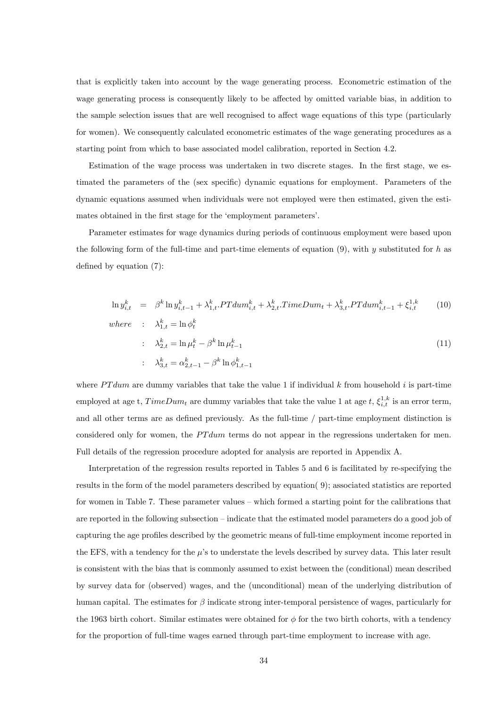that is explicitly taken into account by the wage generating process. Econometric estimation of the wage generating process is consequently likely to be affected by omitted variable bias, in addition to the sample selection issues that are well recognised to affect wage equations of this type (particularly for women). We consequently calculated econometric estimates of the wage generating procedures as a starting point from which to base associated model calibration, reported in Section 4.2.

Estimation of the wage process was undertaken in two discrete stages. In the first stage, we estimated the parameters of the (sex specific) dynamic equations for employment. Parameters of the dynamic equations assumed when individuals were not employed were then estimated, given the estimates obtained in the first stage for the 'employment parameters'.

Parameter estimates for wage dynamics during periods of continuous employment were based upon the following form of the full-time and part-time elements of equation  $(9)$ , with y substituted for h as defined by equation (7):

$$
\ln y_{i,t}^k = \beta^k \ln y_{i,t-1}^k + \lambda_{1,t}^k \cdot PT \, \text{d} \, \text{d} \, \text{d} \, \text{d} \, \text{d} \, \text{d} \, \text{d} \, \text{d} \, \text{d} \, \text{d} \, \text{d} \, \text{d} \, \text{d} \, \text{d} \, \text{d} \, \text{d} \, \text{d} \, \text{d} \, \text{d} \, \text{d} \, \text{d} \, \text{d} \, \text{d} \, \text{d} \, \text{d} \, \text{d} \, \text{d} \, \text{d} \, \text{d} \, \text{d} \, \text{d} \, \text{d} \, \text{d} \, \text{d} \, \text{d} \, \text{d} \, \text{d} \, \text{d} \, \text{d} \, \text{d} \, \text{d} \, \text{d} \, \text{d} \, \text{d} \, \text{d} \, \text{d} \, \text{d} \, \text{d} \, \text{d} \, \text{d} \, \text{d} \, \text{d} \, \text{d} \, \text{d} \, \text{d} \, \text{d} \, \text{d} \, \text{d} \, \text{d} \, \text{d} \, \text{d} \, \text{d} \, \text{d} \, \text{d} \, \text{d} \, \text{d} \, \text{d} \, \text{d} \, \text{d} \, \text{d} \, \text{d} \, \text{d} \, \text{d} \, \text{d} \, \text{d} \, \text{d} \, \text{d} \, \text{d} \, \text{d} \, \text{d} \, \text{d} \, \text{d} \, \text{d} \, \text{d} \, \text{d} \, \text{d} \, \text{d} \, \text{d} \, \text{d} \, \text{d} \, \text{d} \, \text{d} \, \text{d} \, \text{d} \, \text{d} \, \text{d} \, \text{d} \, \text{d} \, \text{d} \, \text{d} \, \text{d} \, \text{d} \, \text{d} \,
$$

$$
\therefore \quad \lambda_{2,t}^k = \ln \mu_t^k - \beta^k \ln \mu_{t-1}^k
$$
\n
$$
\therefore \quad \lambda_{3,t}^k = \alpha_{2,t-1}^k - \beta^k \ln \phi_{1,t-1}^k
$$
\n(11)

where  $P T dum$  are dummy variables that take the value 1 if individual k from household i is part-time employed at age t,  $TimeDum_t$  are dummy variables that take the value 1 at age  $t$ ,  $\xi_{i,t}^{1,k}$  is an error term, and all other terms are as defined previously. As the full-time / part-time employment distinction is considered only for women, the  $PTdum$  terms do not appear in the regressions undertaken for men. Full details of the regression procedure adopted for analysis are reported in Appendix A.

Interpretation of the regression results reported in Tables 5 and 6 is facilitated by re-specifying the results in the form of the model parameters described by equation( 9); associated statistics are reported for women in Table 7. These parameter values — which formed a starting point for the calibrations that are reported in the following subsection — indicate that the estimated model parameters do a good job of capturing the age profiles described by the geometric means of full-time employment income reported in the EFS, with a tendency for the  $\mu$ 's to understate the levels described by survey data. This later result is consistent with the bias that is commonly assumed to exist between the (conditional) mean described by survey data for (observed) wages, and the (unconditional) mean of the underlying distribution of human capital. The estimates for  $\beta$  indicate strong inter-temporal persistence of wages, particularly for the 1963 birth cohort. Similar estimates were obtained for  $\phi$  for the two birth cohorts, with a tendency for the proportion of full-time wages earned through part-time employment to increase with age.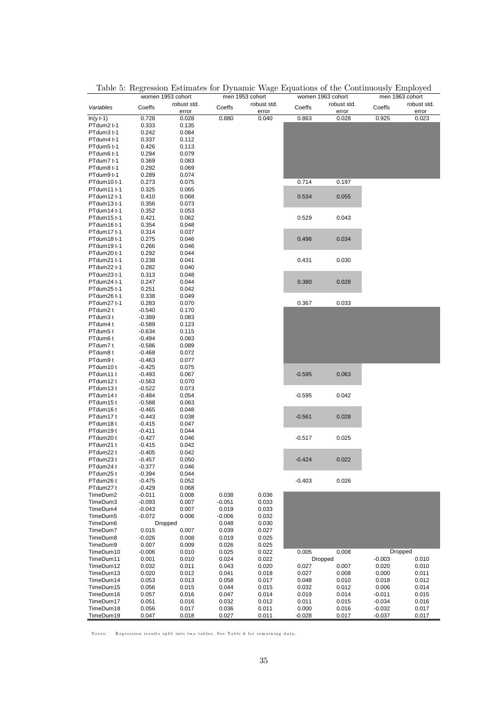|              |          | women 1953 cohort | men 1953 cohort |             | women 1963 cohort |             | men 1963 cohort |             |
|--------------|----------|-------------------|-----------------|-------------|-------------------|-------------|-----------------|-------------|
| Variables    | Coeffs   | robust std.       | Coeffs          | robust std. | Coeffs            | robust std. | Coeffs          | robust std. |
|              |          | error             |                 | error       |                   | error       |                 | error       |
| $ln(y t-1)$  | 0.728    | 0.028             | 0.880           | 0.040       | 0.863             | 0.028       | 0.925           | 0.023       |
| PTdum2 t-1   | 0.333    | 0.135             |                 |             |                   |             |                 |             |
| PTdum3 t-1   | 0.242    | 0.084             |                 |             |                   |             |                 |             |
| PTdum4 t-1   | 0.337    | 0.112             |                 |             |                   |             |                 |             |
| PTdum5 t-1   | 0.426    | 0.113             |                 |             |                   |             |                 |             |
| PTdum6 t-1   | 0.294    | 0.079             |                 |             |                   |             |                 |             |
| PTdum7 t-1   | 0.369    | 0.083             |                 |             |                   |             |                 |             |
| PTdum8 t-1   | 0.292    | 0.069             |                 |             |                   |             |                 |             |
| PTdum9 t-1   | 0.289    | 0.074             |                 |             |                   |             |                 |             |
| PTdum10 t-1  | 0.273    | 0.075             |                 |             | 0.714             | 0.197       |                 |             |
| PTdum11 t-1  | 0.325    | 0.065             |                 |             |                   |             |                 |             |
| PTdum12 t-1  | 0.410    | 0.068             |                 |             | 0.534             | 0.055       |                 |             |
| PTdum13 t-1  | 0.356    | 0.073             |                 |             |                   |             |                 |             |
| PTdum14 t-1  | 0.352    | 0.053             |                 |             |                   |             |                 |             |
| PTdum 15 t-1 | 0.421    | 0.062             |                 |             | 0.529             | 0.043       |                 |             |
| PTdum16 t-1  | 0.354    | 0.048             |                 |             |                   |             |                 |             |
| PTdum17 t-1  | 0.314    | 0.037             |                 |             |                   |             |                 |             |
| PTdum18 t-1  | 0.275    | 0.046             |                 |             | 0.496             | 0.034       |                 |             |
| PTdum19 t-1  | 0.266    | 0.046             |                 |             |                   |             |                 |             |
| PTdum20 t-1  | 0.292    | 0.044             |                 |             |                   |             |                 |             |
| PTdum21 t-1  | 0.238    | 0.041             |                 |             | 0.431             | 0.030       |                 |             |
| PTdum22 t-1  | 0.282    | 0.040             |                 |             |                   |             |                 |             |
| PTdum23 t-1  | 0.313    | 0.048             |                 |             |                   |             |                 |             |
| PTdum24 t-1  | 0.247    | 0.044             |                 |             | 0.380             | 0.028       |                 |             |
| PTdum25 t-1  | 0.251    | 0.042             |                 |             |                   |             |                 |             |
| PTdum26 t-1  | 0.338    | 0.049             |                 |             |                   |             |                 |             |
| PTdum27 t-1  | 0.283    | 0.070             |                 |             | 0.367             | 0.033       |                 |             |
| PTdum2 t     | $-0.540$ | 0.170             |                 |             |                   |             |                 |             |
| PTdum3 t     | $-0.389$ | 0.083             |                 |             |                   |             |                 |             |
| PTdum4 t     | $-0.589$ | 0.123             |                 |             |                   |             |                 |             |
| PTdum5t      | $-0.634$ | 0.115             |                 |             |                   |             |                 |             |
| PTdum6 t     | $-0.494$ | 0.083             |                 |             |                   |             |                 |             |
| PTdum7 t     | $-0.586$ | 0.089             |                 |             |                   |             |                 |             |
| PTdum8 t     | $-0.468$ | 0.072             |                 |             |                   |             |                 |             |
| PTdum9 t     | $-0.463$ | 0.077             |                 |             |                   |             |                 |             |
| PTdum10 t    | $-0.425$ | 0.075             |                 |             |                   |             |                 |             |
| PTdum11 t    | $-0.493$ | 0.067             |                 |             | $-0.595$          | 0.063       |                 |             |
| PTdum12 t    | $-0.563$ | 0.070             |                 |             |                   |             |                 |             |
| PTdum13 t    | $-0.522$ | 0.073             |                 |             |                   |             |                 |             |
| PTdum14 t    | $-0.484$ | 0.054             |                 |             | $-0.595$          | 0.042       |                 |             |
| PTdum15t     | $-0.588$ | 0.063             |                 |             |                   |             |                 |             |
| PTdum16 t    | $-0.465$ | 0.048             |                 |             |                   |             |                 |             |
| PTdum17t     | $-0.443$ | 0.038             |                 |             | $-0.561$          | 0.028       |                 |             |
| PTdum18 t    | $-0.415$ | 0.047             |                 |             |                   |             |                 |             |
| PTdum19 t    | $-0.411$ | 0.044             |                 |             |                   |             |                 |             |
| PTdum20 t    | $-0.427$ | 0.046             |                 |             | $-0.517$          | 0.025       |                 |             |
| PTdum21 t    | $-0.415$ | 0.042             |                 |             |                   |             |                 |             |
| PTdum22 t    | $-0.405$ | 0.042             |                 |             |                   |             |                 |             |
| PTdum23 t    | $-0.457$ | 0.050             |                 |             | $-0.424$          | 0.022       |                 |             |
| PTdum24 t    | $-0.377$ | 0.046             |                 |             |                   |             |                 |             |
| PTdum25 t    | $-0.394$ | 0.044             |                 |             |                   |             |                 |             |
| PTdum26 t    | $-0.475$ | 0.052             |                 |             | $-0.403$          | 0.026       |                 |             |
| PTdum27t     | $-0.429$ | 0.068             |                 |             |                   |             |                 |             |
| TimeDum2     | $-0.011$ | 0.008             | 0.038           | 0.036       |                   |             |                 |             |
| TimeDum3     | $-0.093$ | 0.007             | $-0.051$        | 0.033       |                   |             |                 |             |
| TimeDum4     | $-0.043$ | 0.007             | 0.019           | 0.033       |                   |             |                 |             |
| TimeDum5     | $-0.072$ | 0.006             | $-0.006$        | 0.032       |                   |             |                 |             |
| TimeDum6     |          | Dropped           | 0.048           | 0.030       |                   |             |                 |             |
| TimeDum7     | 0.015    | 0.007             | 0.039           | 0.027       |                   |             |                 |             |
| TimeDum8     | $-0.026$ | 0.008             | 0.019           | 0.025       |                   |             |                 |             |
| TimeDum9     | 0.007    | 0.009             | 0.026           | 0.025       |                   |             |                 |             |
| TimeDum10    | $-0.006$ | 0.010             | 0.025           | 0.022       | 0.005             | 0.008       | Dropped         |             |
| TimeDum11    | 0.001    | 0.010             | 0.024           | 0.022       | Dropped           |             | $-0.003$        | 0.010       |
| TimeDum12    | 0.032    | 0.011             | 0.043           | 0.020       | 0.027             | 0.007       | 0.020           | 0.010       |
| TimeDum13    | 0.020    | 0.012             | 0.041           | 0.018       | 0.027             | 0.008       | 0.000           | 0.011       |
| TimeDum14    | 0.053    | 0.013             | 0.058           | 0.017       | 0.048             | 0.010       | 0.018           | 0.012       |
| TimeDum15    | 0.056    | 0.015             | 0.044           | 0.015       | 0.032             | 0.012       | 0.006           | 0.014       |
| TimeDum16    | 0.057    | 0.016             | 0.047           | 0.014       | 0.019             | 0.014       | $-0.011$        | 0.015       |
| TimeDum17    | 0.051    | 0.016             | 0.032           | 0.012       | 0.011             | 0.015       | $-0.034$        | 0.016       |
| TimeDum18    | 0.056    | 0.017             | 0.036           | 0.011       | 0.000             | 0.016       | $-0.032$        | 0.017       |
| TimeDum19    | 0.047    | 0.018             | 0.027           | 0.011       | $-0.028$          | 0.017       | $-0.037$        | 0.017       |

Table 5: Regression Estimates for Dynamic Wage Equations of the Continuously Employed

Notes: Regression results split into two tables. See Table 6 for rem aining data.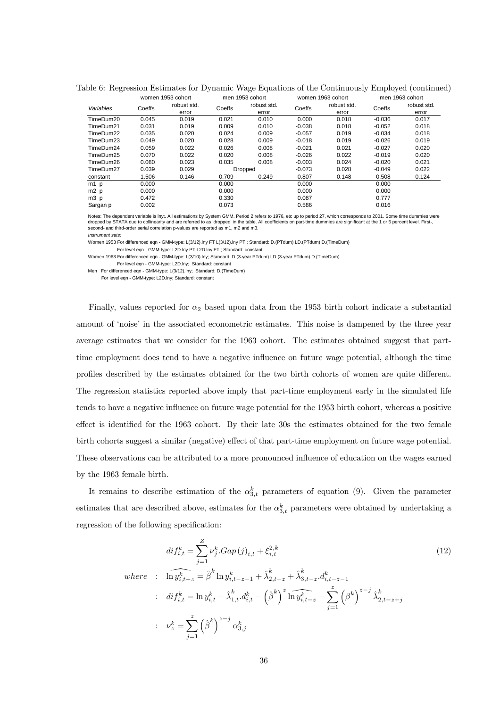|                  |        | women 1953 cohort |        | men 1953 cohort | women 1963 cohort |             | men 1963 cohort |             |
|------------------|--------|-------------------|--------|-----------------|-------------------|-------------|-----------------|-------------|
| Variables        | Coeffs | robust std.       | Coeffs | robust std.     | Coeffs            | robust std. | Coeffs          | robust std. |
|                  |        | error             |        | error           |                   | error       |                 | error       |
| TimeDum20        | 0.045  | 0.019             | 0.021  | 0.010           | 0.000             | 0.018       | $-0.036$        | 0.017       |
| TimeDum21        | 0.031  | 0.019             | 0.009  | 0.010           | $-0.038$          | 0.018       | $-0.052$        | 0.018       |
| TimeDum22        | 0.035  | 0.020             | 0.024  | 0.009           | $-0.057$          | 0.019       | $-0.034$        | 0.018       |
| TimeDum23        | 0.049  | 0.020             | 0.028  | 0.009           | $-0.018$          | 0.019       | $-0.026$        | 0.019       |
| TimeDum24        | 0.059  | 0.022             | 0.026  | 0.008           | $-0.021$          | 0.021       | $-0.027$        | 0.020       |
| TimeDum25        | 0.070  | 0.022             | 0.020  | 0.008           | $-0.026$          | 0.022       | $-0.019$        | 0.020       |
| TimeDum26        | 0.080  | 0.023             | 0.035  | 0.008           | $-0.003$          | 0.024       | $-0.020$        | 0.021       |
| TimeDum27        | 0.039  | 0.029             |        | Dropped         | $-0.073$          | 0.028       | $-0.049$        | 0.022       |
| constant         | 1.506  | 0.146             | 0.709  | 0.249           | 0.807             | 0.148       | 0.508           | 0.124       |
| $m1$ p           | 0.000  |                   | 0.000  |                 | 0.000             |             | 0.000           |             |
| m2 p             | 0.000  |                   | 0.000  |                 | 0.000             |             | 0.000           |             |
| m <sub>3</sub> p | 0.472  |                   | 0.330  |                 | 0.087             |             | 0.777           |             |
| Sargan p         | 0.002  |                   | 0.073  |                 | 0.586             |             | 0.016           |             |

Table 6: Regression Estimates for Dynamic Wage Equations of the Continuously Employed (continued)

Notes: The dependent variable is Inyt. All estimations by System GMM. Period 2 refers to 1976, etc up to period 27, which corresponds to 2001. Some time dummies were<br>dropped by STATA due to collinearity and are referred to second- and third-order serial correlation p-values are reported as m1, m2 and m3.

*Instrument sets:*

Women 1953 For differenced eqn - GMM-type: L(3/12).lny FT L(3/12).lny PT ; Standard: D.(PTdum) LD.(PTdum) D.(TimeDum) For level eqn - GMM-type: L2D.lny PT L2D.lny FT ; Standard: constant

Women 1963 For differenced eqn - GMM-type: L(3/10).lny; Standard: D.(3-year PTdum) LD.(3-year PTdum) D.(TimeDum) For level eqn - GMM-type: L2D.lny; Standard: constant

Men For differenced eqn - GMM-type: L(3/12).lny; Standard: D.(TimeDum)

For level eqn - GMM-type: L2D.lny; Standard: constant

Finally, values reported for  $\alpha_2$  based upon data from the 1953 birth cohort indicate a substantial amount of 'noise' in the associated econometric estimates. This noise is dampened by the three year average estimates that we consider for the 1963 cohort. The estimates obtained suggest that parttime employment does tend to have a negative influence on future wage potential, although the time profiles described by the estimates obtained for the two birth cohorts of women are quite different. The regression statistics reported above imply that part-time employment early in the simulated life tends to have a negative influence on future wage potential for the 1953 birth cohort, whereas a positive effect is identified for the 1963 cohort. By their late 30s the estimates obtained for the two female birth cohorts suggest a similar (negative) effect of that part-time employment on future wage potential. These observations can be attributed to a more pronounced influence of education on the wages earned by the 1963 female birth.

It remains to describe estimation of the  $\alpha_{3,t}^k$  parameters of equation (9). Given the parameter estimates that are described above, estimates for the  $\alpha_{3,t}^k$  parameters were obtained by undertaking a regression of the following specification:

$$
dif_{i,t}^{k} = \sum_{j=1}^{Z} \nu_{j}^{k} \cdot Gap(j)_{i,t} + \xi_{i,t}^{2,k}
$$
\n
$$
where \quad : \quad \widehat{\ln y_{i,t-z}^{k}} = \widehat{\beta}^{k} \ln y_{i,t-z-1}^{k} + \widehat{\lambda}_{2,t-z}^{k} + \widehat{\lambda}_{3,t-z}^{k} \cdot d_{i,t-z-1}^{k}
$$
\n
$$
: \quad \widehat{dif}_{i,t}^{k} = \ln y_{i,t}^{k} - \widehat{\lambda}_{1,t}^{k} \cdot d_{i,t}^{k} - (\widehat{\beta}^{k})^{z} \ln \widehat{y_{i,t-z}^{k}} - \sum_{j=1}^{z} (\beta^{k})^{z-j} \widehat{\lambda}_{2,t-z+j}^{k}
$$
\n
$$
: \quad \nu_{z}^{k} = \sum_{j=1}^{z} (\widehat{\beta}^{k})^{z-j} \alpha_{3,j}^{k}
$$
\n
$$
(12)
$$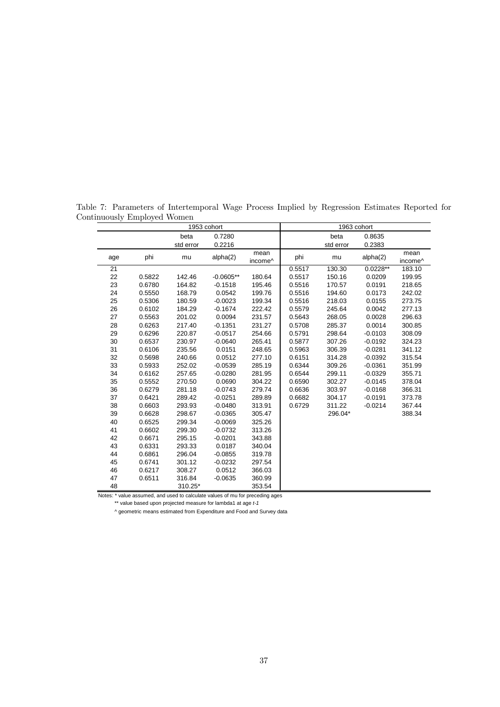|     |        | 1953 cohort |             |                             |        | 1963 cohort |            |                 |
|-----|--------|-------------|-------------|-----------------------------|--------|-------------|------------|-----------------|
|     |        | beta        | 0.7280      |                             |        | beta        | 0.8635     |                 |
|     |        | std error   | 0.2216      |                             |        | std error   | 0.2383     |                 |
| age | phi    | mu          | alpha(2)    | mean<br>income <sup>^</sup> | phi    | mu          | alpha(2)   | mean<br>income^ |
| 21  |        |             |             |                             | 0.5517 | 130.30      | $0.0228**$ | 183.10          |
| 22  | 0.5822 | 142.46      | $-0.0605**$ | 180.64                      | 0.5517 | 150.16      | 0.0209     | 199.95          |
| 23  | 0.6780 | 164.82      | $-0.1518$   | 195.46                      | 0.5516 | 170.57      | 0.0191     | 218.65          |
| 24  | 0.5550 | 168.79      | 0.0542      | 199.76                      | 0.5516 | 194.60      | 0.0173     | 242.02          |
| 25  | 0.5306 | 180.59      | $-0.0023$   | 199.34                      | 0.5516 | 218.03      | 0.0155     | 273.75          |
| 26  | 0.6102 | 184.29      | $-0.1674$   | 222.42                      | 0.5579 | 245.64      | 0.0042     | 277.13          |
| 27  | 0.5563 | 201.02      | 0.0094      | 231.57                      | 0.5643 | 268.05      | 0.0028     | 296.63          |
| 28  | 0.6263 | 217.40      | $-0.1351$   | 231.27                      | 0.5708 | 285.37      | 0.0014     | 300.85          |
| 29  | 0.6296 | 220.87      | $-0.0517$   | 254.66                      | 0.5791 | 298.64      | $-0.0103$  | 308.09          |
| 30  | 0.6537 | 230.97      | $-0.0640$   | 265.41                      | 0.5877 | 307.26      | $-0.0192$  | 324.23          |
| 31  | 0.6106 | 235.56      | 0.0151      | 248.65                      | 0.5963 | 306.39      | $-0.0281$  | 341.12          |
| 32  | 0.5698 | 240.66      | 0.0512      | 277.10                      | 0.6151 | 314.28      | $-0.0392$  | 315.54          |
| 33  | 0.5933 | 252.02      | $-0.0539$   | 285.19                      | 0.6344 | 309.26      | $-0.0361$  | 351.99          |
| 34  | 0.6162 | 257.65      | $-0.0280$   | 281.95                      | 0.6544 | 299.11      | $-0.0329$  | 355.71          |
| 35  | 0.5552 | 270.50      | 0.0690      | 304.22                      | 0.6590 | 302.27      | $-0.0145$  | 378.04          |
| 36  | 0.6279 | 281.18      | $-0.0743$   | 279.74                      | 0.6636 | 303.97      | $-0.0168$  | 366.31          |
| 37  | 0.6421 | 289.42      | $-0.0251$   | 289.89                      | 0.6682 | 304.17      | $-0.0191$  | 373.78          |
| 38  | 0.6603 | 293.93      | $-0.0480$   | 313.91                      | 0.6729 | 311.22      | $-0.0214$  | 367.44          |
| 39  | 0.6628 | 298.67      | $-0.0365$   | 305.47                      |        | 296.04*     |            | 388.34          |
| 40  | 0.6525 | 299.34      | $-0.0069$   | 325.26                      |        |             |            |                 |
| 41  | 0.6602 | 299.30      | $-0.0732$   | 313.26                      |        |             |            |                 |
| 42  | 0.6671 | 295.15      | $-0.0201$   | 343.88                      |        |             |            |                 |
| 43  | 0.6331 | 293.33      | 0.0187      | 340.04                      |        |             |            |                 |
| 44  | 0.6861 | 296.04      | $-0.0855$   | 319.78                      |        |             |            |                 |
| 45  | 0.6741 | 301.12      | $-0.0232$   | 297.54                      |        |             |            |                 |
| 46  | 0.6217 | 308.27      | 0.0512      | 366.03                      |        |             |            |                 |
| 47  | 0.6511 | 316.84      | $-0.0635$   | 360.99                      |        |             |            |                 |
| 48  |        | 310.25*     |             | 353.54                      |        |             |            |                 |

Table 7: Parameters of Intertemporal Wage Process Implied by Regression Estimates Reported for Continuously Employed Women

Notes: \* value assumed, and used to calculate values of mu for preceding ages

\*\* value based upon projected measure for lambda1 at age *t-1*

^ geometric means estimated from Expenditure and Food and Survey data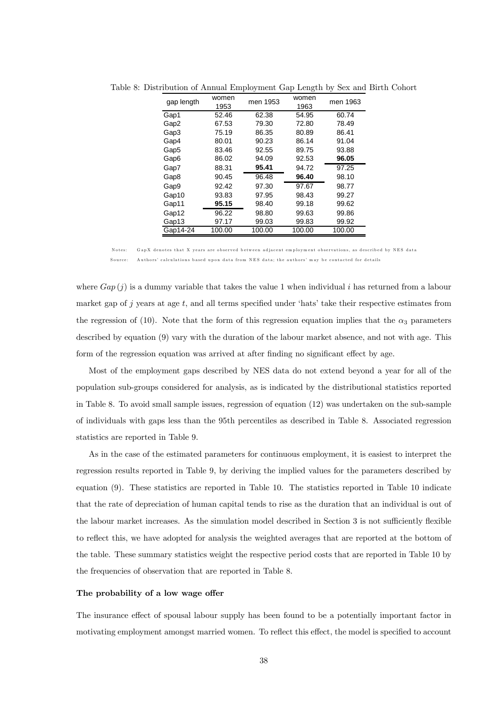| gap length       | women<br>1953 | men 1953 | women<br>1963 | men 1963 |
|------------------|---------------|----------|---------------|----------|
| Gap1             | 52.46         | 62.38    | 54.95         | 60.74    |
| Gap2             | 67.53         | 79.30    | 72.80         | 78.49    |
| Gap3             | 75.19         | 86.35    | 80.89         | 86.41    |
| Gap4             | 80.01         | 90.23    | 86.14         | 91.04    |
| Gap <sub>5</sub> | 83.46         | 92.55    | 89.75         | 93.88    |
| Gap6             | 86.02         | 94.09    | 92.53         | 96.05    |
| Gap7             | 88.31         | 95.41    | 94.72         | 97.25    |
| Gap8             | 90.45         | 96.48    | 96.40         | 98.10    |
| Gap9             | 92.42         | 97.30    | 97.67         | 98.77    |
| Gap10            | 93.83         | 97.95    | 98.43         | 99.27    |
| Gap11            | 95.15         | 98.40    | 99.18         | 99.62    |
| Gap12            | 96.22         | 98.80    | 99.63         | 99.86    |
| Gap13            | 97.17         | 99.03    | 99.83         | 99.92    |
| Gap14-24         | 100.00        | 100.00   | 100.00        | 100.00   |

Table 8: Distribution of Annual Employment Gap Length by Sex and Birth Cohort

G apX denotes that X years are observed between adiacent employment observations, as described by NES data Source: Authors' calculations based upon data from NES data; the authors' may be contacted for details

where  $Gap(j)$  is a dummy variable that takes the value 1 when individual i has returned from a labour market gap of  $j$  years at age  $t$ , and all terms specified under 'hats' take their respective estimates from the regression of (10). Note that the form of this regression equation implies that the  $\alpha_3$  parameters described by equation (9) vary with the duration of the labour market absence, and not with age. This form of the regression equation was arrived at after finding no significant effect by age.

Most of the employment gaps described by NES data do not extend beyond a year for all of the population sub-groups considered for analysis, as is indicated by the distributional statistics reported in Table 8. To avoid small sample issues, regression of equation (12) was undertaken on the sub-sample of individuals with gaps less than the 95th percentiles as described in Table 8. Associated regression statistics are reported in Table 9.

As in the case of the estimated parameters for continuous employment, it is easiest to interpret the regression results reported in Table 9, by deriving the implied values for the parameters described by equation (9). These statistics are reported in Table 10. The statistics reported in Table 10 indicate that the rate of depreciation of human capital tends to rise as the duration that an individual is out of the labour market increases. As the simulation model described in Section 3 is not sufficiently flexible to reflect this, we have adopted for analysis the weighted averages that are reported at the bottom of the table. These summary statistics weight the respective period costs that are reported in Table 10 by the frequencies of observation that are reported in Table 8.

#### The probability of a low wage offer

The insurance effect of spousal labour supply has been found to be a potentially important factor in motivating employment amongst married women. To reflect this effect, the model is specified to account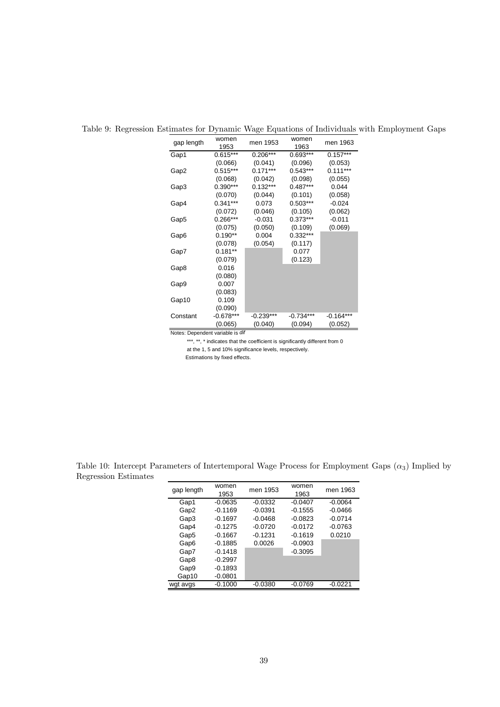| gap length | women<br>1953 | men 1953    | women<br>1963 | men 1963    |
|------------|---------------|-------------|---------------|-------------|
| Gap1       | $0.615***$    | $0.206***$  | 0.693***      | $0.157***$  |
|            | (0.066)       | (0.041)     | (0.096)       | (0.053)     |
| Gap2       | $0.515***$    | $0.171***$  | $0.543***$    | $0.111***$  |
|            | (0.068)       | (0.042)     | (0.098)       | (0.055)     |
| Gap3       | 0.390***      | $0.132***$  | $0.487***$    | 0.044       |
|            | (0.070)       | (0.044)     | (0.101)       | (0.058)     |
| Gap4       | $0.341***$    | 0.073       | $0.503***$    | $-0.024$    |
|            | (0.072)       | (0.046)     | (0.105)       | (0.062)     |
| Gap5       | 0.266***      | $-0.031$    | $0.373***$    | $-0.011$    |
|            | (0.075)       | (0.050)     | (0.109)       | (0.069)     |
| Gap6       | $0.190**$     | 0.004       | $0.332***$    |             |
|            | (0.078)       | (0.054)     | (0.117)       |             |
| Gap7       | $0.181**$     |             | 0.077         |             |
|            | (0.079)       |             | (0.123)       |             |
| Gap8       | 0.016         |             |               |             |
|            | (0.080)       |             |               |             |
| Gap9       | 0.007         |             |               |             |
|            | (0.083)       |             |               |             |
| Gap10      | 0.109         |             |               |             |
|            | (0.090)       |             |               |             |
| Constant   | $-0.678***$   | $-0.239***$ | $-0.734***$   | $-0.164***$ |
|            | (0.065)       | (0.040)     | (0.094)       | (0.052)     |

Table 9: Regression Estimates for Dynamic Wage Equations of Individuals with Employment Gaps

Notes: Dependent variable is *dif* 

\*\*\*, \*\*, \* indicates that the coefficient is significantly different from 0 at the 1, 5 and 10% significance levels, respectively.

Estimations by fixed effects.

| gap length | women<br>1953 | men 1953  | women<br>1963 | men 1963  |
|------------|---------------|-----------|---------------|-----------|
| Gap1       | $-0.0635$     | $-0.0332$ | $-0.0407$     | $-0.0064$ |
| Gap2       | $-0.1169$     | $-0.0391$ | $-0.1555$     | $-0.0466$ |
| Gap3       | $-0.1697$     | $-0.0468$ | $-0.0823$     | $-0.0714$ |
| Gap4       | $-0.1275$     | $-0.0720$ | $-0.0172$     | $-0.0763$ |
| Gap5       | $-0.1667$     | $-0.1231$ | $-0.1619$     | 0.0210    |
| Gap6       | $-0.1885$     | 0.0026    | $-0.0903$     |           |
| Gap7       | $-0.1418$     |           | $-0.3095$     |           |
| Gap8       | $-0.2997$     |           |               |           |
| Gap9       | $-0.1893$     |           |               |           |
| Gap10      | $-0.0801$     |           |               |           |
| wgt avgs   | $-0.1000$     | $-0.0380$ | $-0.0769$     | $-0.0221$ |

Table 10: Intercept Parameters of Intertemporal Wage Process for Employment Gaps  $(\alpha_3)$  Implied by Regression Estimates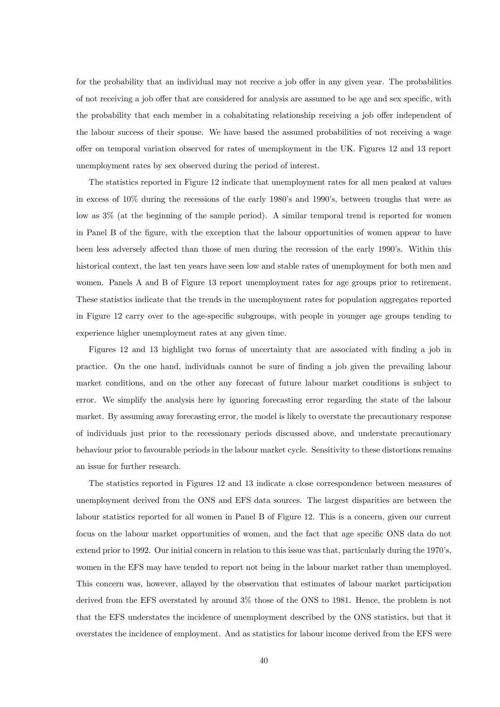for the probability that an individual may not receive a job offer in any given year. The probabilities of not receiving a job offer that are considered for analysis are assumed to be age and sex specific, with the probability that each member in a cohabitating relationship receiving a job offer independent of the labour success of their spouse. We have based the assumed probabilities of not receiving a wage offer on temporal variation observed for rates of unemployment in the UK. Figures 12 and 13 report unemployment rates by sex observed during the period of interest.

The statistics reported in Figure 12 indicate that unemployment rates for all men peaked at values in excess of 10% during the recessions of the early 1980's and 1990's, between troughs that were as low as 3% (at the beginning of the sample period). A similar temporal trend is reported for women in Panel B of the figure, with the exception that the labour opportunities of women appear to have been less adversely affected than those of men during the recession of the early 1990's. Within this historical context, the last ten years have seen low and stable rates of unemployment for both men and women. Panels A and B of Figure 13 report unemployment rates for age groups prior to retirement. These statistics indicate that the trends in the unemployment rates for population aggregates reported in Figure 12 carry over to the age-specific subgroups, with people in younger age groups tending to experience higher unemployment rates at any given time.

Figures 12 and 13 highlight two forms of uncertainty that are associated with finding a job in practice. On the one hand, individuals cannot be sure of finding a job given the prevailing labour market conditions, and on the other any forecast of future labour market conditions is subject to error. We simplify the analysis here by ignoring forecasting error regarding the state of the labour market. By assuming away forecasting error, the model is likely to overstate the precautionary response of individuals just prior to the recessionary periods discussed above, and understate precautionary behaviour prior to favourable periods in the labour market cycle. Sensitivity to these distortions remains an issue for further research.

The statistics reported in Figures 12 and 13 indicate a close correspondence between measures of unemployment derived from the ONS and EFS data sources. The largest disparities are between the labour statistics reported for all women in Panel B of Figure 12. This is a concern, given our current focus on the labour market opportunities of women, and the fact that age specific ONS data do not extend prior to 1992. Our initial concern in relation to this issue was that, particularly during the 1970's, women in the EFS may have tended to report not being in the labour market rather than unemployed. This concern was, however, allayed by the observation that estimates of labour market participation derived from the EFS overstated by around 3% those of the ONS to 1981. Hence, the problem is not that the EFS understates the incidence of unemployment described by the ONS statistics, but that it overstates the incidence of employment. And as statistics for labour income derived from the EFS were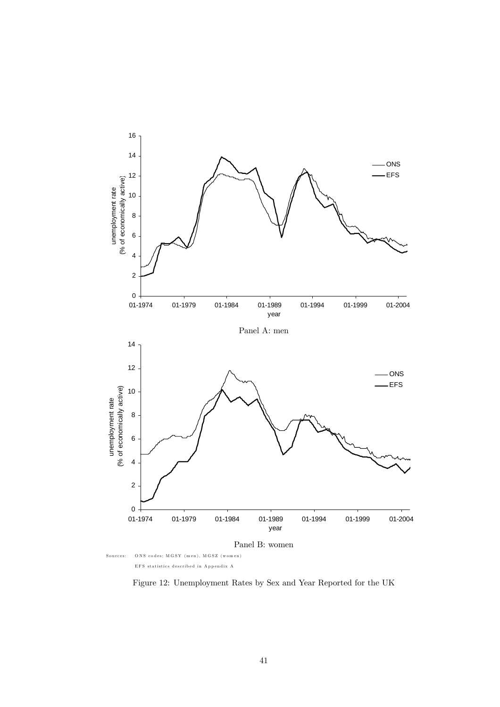

EFS statistics described in A ppendix A

Figure 12: Unemployment Rates by Sex and Year Reported for the UK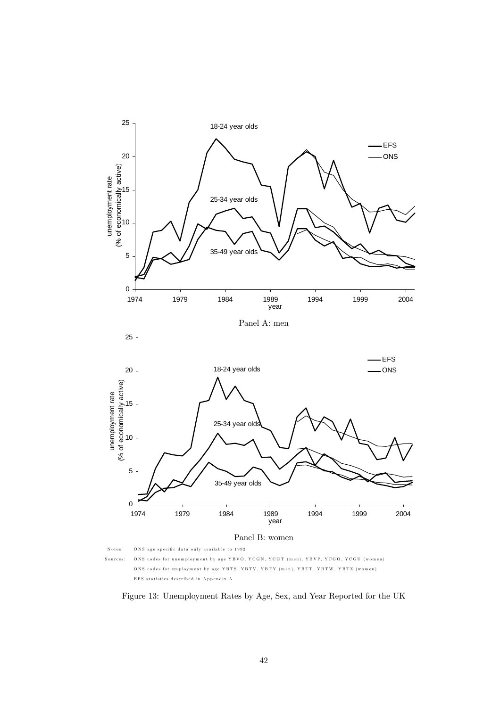

ONS codes for employment by age YBTS, YBTV, YBTY (men), YBTT, YBTW, YBTZ (women) EFS statistics described in A ppendix A

Figure 13: Unemployment Rates by Age, Sex, and Year Reported for the UK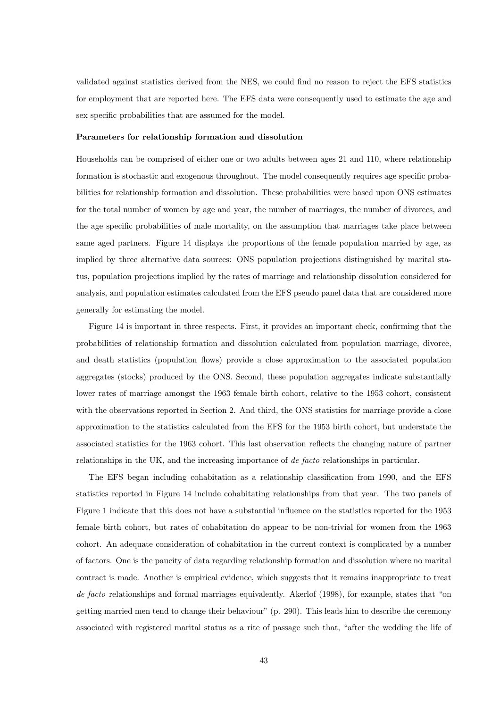validated against statistics derived from the NES, we could find no reason to reject the EFS statistics for employment that are reported here. The EFS data were consequently used to estimate the age and sex specific probabilities that are assumed for the model.

#### Parameters for relationship formation and dissolution

Households can be comprised of either one or two adults between ages 21 and 110, where relationship formation is stochastic and exogenous throughout. The model consequently requires age specific probabilities for relationship formation and dissolution. These probabilities were based upon ONS estimates for the total number of women by age and year, the number of marriages, the number of divorces, and the age specific probabilities of male mortality, on the assumption that marriages take place between same aged partners. Figure 14 displays the proportions of the female population married by age, as implied by three alternative data sources: ONS population projections distinguished by marital status, population projections implied by the rates of marriage and relationship dissolution considered for analysis, and population estimates calculated from the EFS pseudo panel data that are considered more generally for estimating the model.

Figure 14 is important in three respects. First, it provides an important check, confirming that the probabilities of relationship formation and dissolution calculated from population marriage, divorce, and death statistics (population flows) provide a close approximation to the associated population aggregates (stocks) produced by the ONS. Second, these population aggregates indicate substantially lower rates of marriage amongst the 1963 female birth cohort, relative to the 1953 cohort, consistent with the observations reported in Section 2. And third, the ONS statistics for marriage provide a close approximation to the statistics calculated from the EFS for the 1953 birth cohort, but understate the associated statistics for the 1963 cohort. This last observation reflects the changing nature of partner relationships in the UK, and the increasing importance of de facto relationships in particular.

The EFS began including cohabitation as a relationship classification from 1990, and the EFS statistics reported in Figure 14 include cohabitating relationships from that year. The two panels of Figure 1 indicate that this does not have a substantial influence on the statistics reported for the 1953 female birth cohort, but rates of cohabitation do appear to be non-trivial for women from the 1963 cohort. An adequate consideration of cohabitation in the current context is complicated by a number of factors. One is the paucity of data regarding relationship formation and dissolution where no marital contract is made. Another is empirical evidence, which suggests that it remains inappropriate to treat de facto relationships and formal marriages equivalently. Akerlof (1998), for example, states that "on getting married men tend to change their behaviour" (p. 290). This leads him to describe the ceremony associated with registered marital status as a rite of passage such that, "after the wedding the life of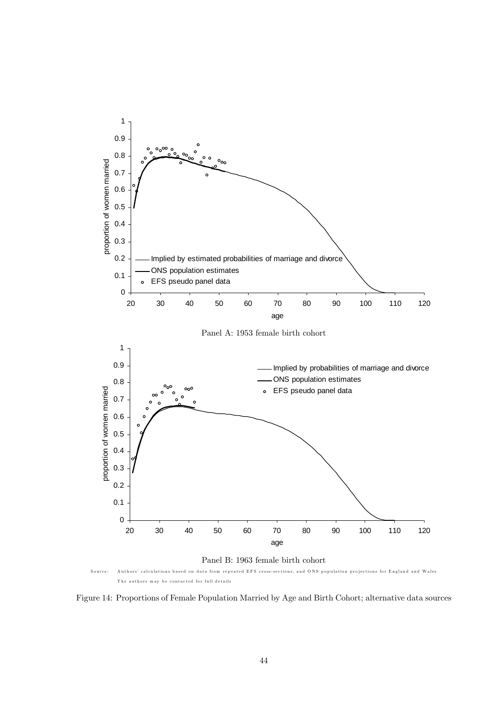

Figure 14: Proportions of Female Population Married by Age and Birth Cohort; alternative data sources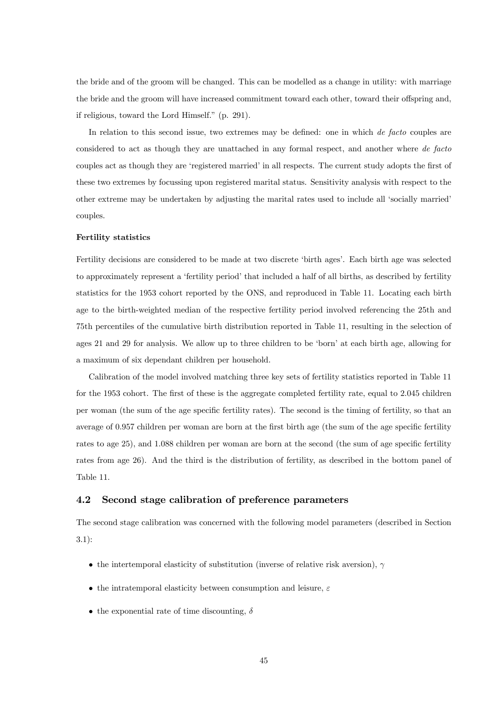the bride and of the groom will be changed. This can be modelled as a change in utility: with marriage the bride and the groom will have increased commitment toward each other, toward their offspring and, if religious, toward the Lord Himself." (p. 291).

In relation to this second issue, two extremes may be defined: one in which *de facto* couples are considered to act as though they are unattached in any formal respect, and another where de facto couples act as though they are 'registered married' in all respects. The current study adopts the first of these two extremes by focussing upon registered marital status. Sensitivity analysis with respect to the other extreme may be undertaken by adjusting the marital rates used to include all 'socially married' couples.

#### Fertility statistics

Fertility decisions are considered to be made at two discrete 'birth ages'. Each birth age was selected to approximately represent a 'fertility period' that included a half of all births, as described by fertility statistics for the 1953 cohort reported by the ONS, and reproduced in Table 11. Locating each birth age to the birth-weighted median of the respective fertility period involved referencing the 25th and 75th percentiles of the cumulative birth distribution reported in Table 11, resulting in the selection of ages 21 and 29 for analysis. We allow up to three children to be 'born' at each birth age, allowing for a maximum of six dependant children per household.

Calibration of the model involved matching three key sets of fertility statistics reported in Table 11 for the 1953 cohort. The first of these is the aggregate completed fertility rate, equal to 2.045 children per woman (the sum of the age specific fertility rates). The second is the timing of fertility, so that an average of 0.957 children per woman are born at the first birth age (the sum of the age specific fertility rates to age 25), and 1.088 children per woman are born at the second (the sum of age specific fertility rates from age 26). And the third is the distribution of fertility, as described in the bottom panel of Table 11.

### 4.2 Second stage calibration of preference parameters

The second stage calibration was concerned with the following model parameters (described in Section 3.1):

- the intertemporal elasticity of substitution (inverse of relative risk aversion),  $\gamma$
- the intratemporal elasticity between consumption and leisure,  $\varepsilon$
- the exponential rate of time discounting,  $\delta$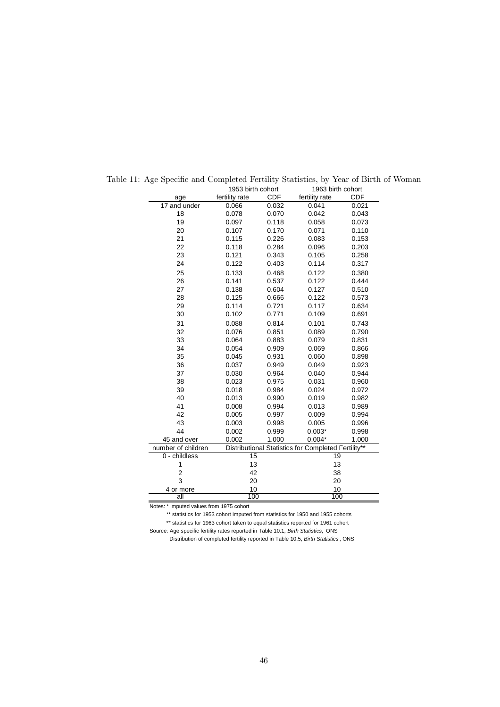|                         | 1953 birth cohort |            | 1963 birth cohort                                   |            |
|-------------------------|-------------------|------------|-----------------------------------------------------|------------|
| age                     | fertility rate    | <b>CDF</b> | fertility rate                                      | <b>CDF</b> |
| 17 and under            | 0.066             | 0.032      | 0.041                                               | 0.021      |
| 18                      | 0.078             | 0.070      | 0.042                                               | 0.043      |
| 19                      | 0.097             | 0.118      | 0.058                                               | 0.073      |
| 20                      | 0.107             | 0.170      | 0.071                                               | 0.110      |
| 21                      | 0.115             | 0.226      | 0.083                                               | 0.153      |
| 22                      | 0.118             | 0.284      | 0.096                                               | 0.203      |
| 23                      | 0.121             | 0.343      | 0.105                                               | 0.258      |
| 24                      | 0.122             | 0.403      | 0.114                                               | 0.317      |
| 25                      | 0.133             | 0.468      | 0.122                                               | 0.380      |
| 26                      | 0.141             | 0.537      | 0.122                                               | 0.444      |
| 27                      | 0.138             | 0.604      | 0.127                                               | 0.510      |
| 28                      | 0.125             | 0.666      | 0.122                                               | 0.573      |
| 29                      | 0.114             | 0.721      | 0.117                                               | 0.634      |
| 30                      | 0.102             | 0.771      | 0.109                                               | 0.691      |
| 31                      | 0.088             | 0.814      | 0.101                                               | 0.743      |
| 32                      | 0.076             | 0.851      | 0.089                                               | 0.790      |
| 33                      | 0.064             | 0.883      | 0.079                                               | 0.831      |
| 34                      | 0.054             | 0.909      | 0.069                                               | 0.866      |
| 35                      | 0.045             | 0.931      | 0.060                                               | 0.898      |
| 36                      | 0.037             | 0.949      | 0.049                                               | 0.923      |
| 37                      | 0.030             | 0.964      | 0.040                                               | 0.944      |
| 38                      | 0.023             | 0.975      | 0.031                                               | 0.960      |
| 39                      | 0.018             | 0.984      | 0.024                                               | 0.972      |
| 40                      | 0.013             | 0.990      | 0.019                                               | 0.982      |
| 41                      | 0.008             | 0.994      | 0.013                                               | 0.989      |
| 42                      | 0.005             | 0.997      | 0.009                                               | 0.994      |
| 43                      | 0.003             | 0.998      | 0.005                                               | 0.996      |
| 44                      | 0.002             | 0.999      | $0.003*$                                            | 0.998      |
| 45 and over             | 0.002             | 1.000      | $0.004*$                                            | 1.000      |
| number of children      |                   |            | Distributional Statistics for Completed Fertility** |            |
| 0 - childless           | 15                |            | 19                                                  |            |
| 1                       | 13                |            | 13                                                  |            |
| $\overline{\mathbf{c}}$ | 42                |            | 38                                                  |            |
| 3                       | 20                |            | 20                                                  |            |
| 4 or more               | 10                |            | 10                                                  |            |
| all                     | 100               |            | 100                                                 |            |

Table 11: Age Specific and Completed Fertility Statistics, by Year of Birth of Woman

Notes: \* imputed values from 1975 cohort

 \*\* statistics for 1953 cohort imputed from statistics for 1950 and 1955 cohorts \*\* statistics for 1963 cohort taken to equal statistics reported for 1961 cohort

Source: Age specific fertility rates reported in Table 10.1, *Birth Statistics,* ONS Distribution of completed fertility reported in Table 10.5, *Birth Statistics* , ONS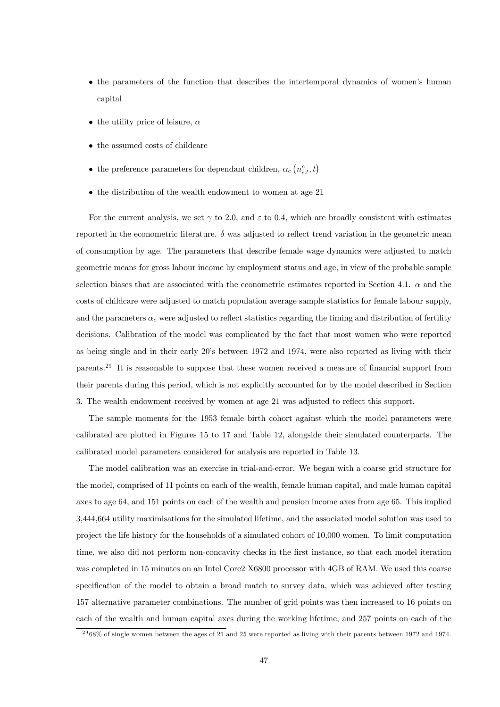- the parameters of the function that describes the intertemporal dynamics of women's human capital
- the utility price of leisure,  $\alpha$
- the assumed costs of childcare
- $\bullet\,$  the preference parameters for dependant children,  $\alpha_c\left(n_{i,t}^c,t\right)$
- the distribution of the wealth endowment to women at age 21

For the current analysis, we set  $\gamma$  to 2.0, and  $\varepsilon$  to 0.4, which are broadly consistent with estimates reported in the econometric literature.  $\delta$  was adjusted to reflect trend variation in the geometric mean of consumption by age. The parameters that describe female wage dynamics were adjusted to match geometric means for gross labour income by employment status and age, in view of the probable sample selection biases that are associated with the econometric estimates reported in Section 4.1.  $\alpha$  and the costs of childcare were adjusted to match population average sample statistics for female labour supply, and the parameters  $\alpha_c$  were adjusted to reflect statistics regarding the timing and distribution of fertility decisions. Calibration of the model was complicated by the fact that most women who were reported as being single and in their early 20's between 1972 and 1974, were also reported as living with their parents.29 It is reasonable to suppose that these women received a measure of financial support from their parents during this period, which is not explicitly accounted for by the model described in Section 3. The wealth endowment received by women at age 21 was adjusted to reflect this support.

The sample moments for the 1953 female birth cohort against which the model parameters were calibrated are plotted in Figures 15 to 17 and Table 12, alongside their simulated counterparts. The calibrated model parameters considered for analysis are reported in Table 13.

The model calibration was an exercise in trial-and-error. We began with a coarse grid structure for the model, comprised of 11 points on each of the wealth, female human capital, and male human capital axes to age 64, and 151 points on each of the wealth and pension income axes from age 65. This implied 3,444,664 utility maximisations for the simulated lifetime, and the associated model solution was used to project the life history for the households of a simulated cohort of 10,000 women. To limit computation time, we also did not perform non-concavity checks in the first instance, so that each model iteration was completed in 15 minutes on an Intel Core2 X6800 processor with 4GB of RAM. We used this coarse specification of the model to obtain a broad match to survey data, which was achieved after testing 157 alternative parameter combinations. The number of grid points was then increased to 16 points on each of the wealth and human capital axes during the working lifetime, and 257 points on each of the

 $2968\%$  of single women between the ages of 21 and 25 were reported as living with their parents between 1972 and 1974.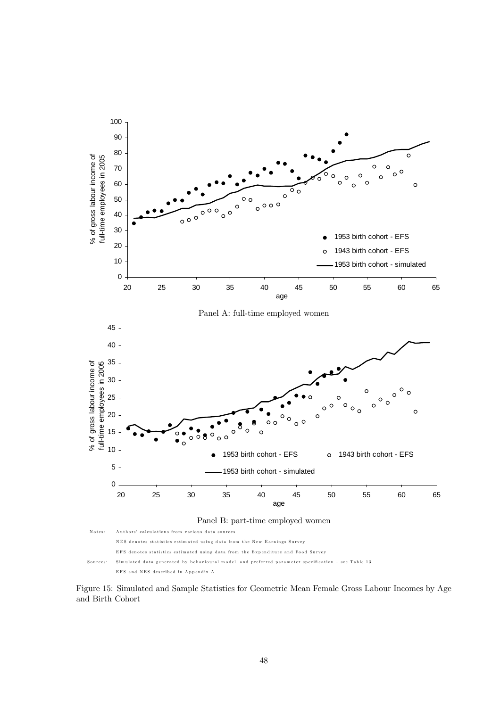

Figure 15: Simulated and Sample Statistics for Geometric Mean Female Gross Labour Incomes by Age and Birth Cohort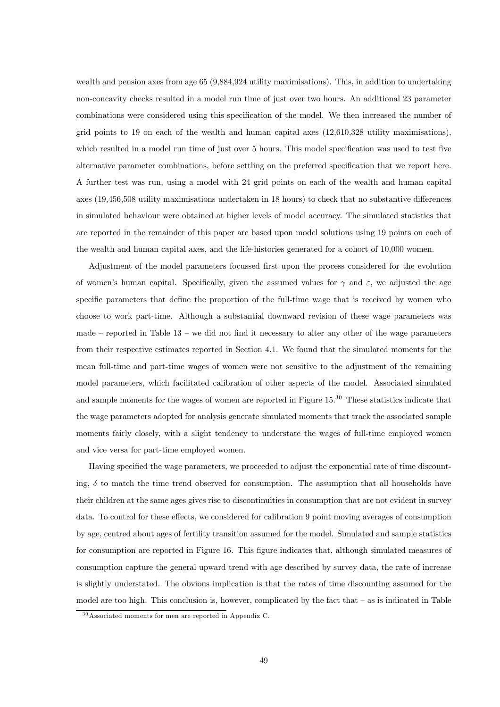wealth and pension axes from age 65 (9,884,924 utility maximisations). This, in addition to undertaking non-concavity checks resulted in a model run time of just over two hours. An additional 23 parameter combinations were considered using this specification of the model. We then increased the number of grid points to 19 on each of the wealth and human capital axes (12,610,328 utility maximisations), which resulted in a model run time of just over 5 hours. This model specification was used to test five alternative parameter combinations, before settling on the preferred specification that we report here. A further test was run, using a model with 24 grid points on each of the wealth and human capital axes (19,456,508 utility maximisations undertaken in 18 hours) to check that no substantive differences in simulated behaviour were obtained at higher levels of model accuracy. The simulated statistics that are reported in the remainder of this paper are based upon model solutions using 19 points on each of the wealth and human capital axes, and the life-histories generated for a cohort of 10,000 women.

Adjustment of the model parameters focussed first upon the process considered for the evolution of women's human capital. Specifically, given the assumed values for  $\gamma$  and  $\varepsilon$ , we adjusted the age specific parameters that define the proportion of the full-time wage that is received by women who choose to work part-time. Although a substantial downward revision of these wage parameters was made – reported in Table  $13$  – we did not find it necessary to alter any other of the wage parameters from their respective estimates reported in Section 4.1. We found that the simulated moments for the mean full-time and part-time wages of women were not sensitive to the adjustment of the remaining model parameters, which facilitated calibration of other aspects of the model. Associated simulated and sample moments for the wages of women are reported in Figure 15.<sup>30</sup> These statistics indicate that the wage parameters adopted for analysis generate simulated moments that track the associated sample moments fairly closely, with a slight tendency to understate the wages of full-time employed women and vice versa for part-time employed women.

Having specified the wage parameters, we proceeded to adjust the exponential rate of time discounting,  $\delta$  to match the time trend observed for consumption. The assumption that all households have their children at the same ages gives rise to discontinuities in consumption that are not evident in survey data. To control for these effects, we considered for calibration 9 point moving averages of consumption by age, centred about ages of fertility transition assumed for the model. Simulated and sample statistics for consumption are reported in Figure 16. This figure indicates that, although simulated measures of consumption capture the general upward trend with age described by survey data, the rate of increase is slightly understated. The obvious implication is that the rates of time discounting assumed for the model are too high. This conclusion is, however, complicated by the fact that — as is indicated in Table

<sup>3 0</sup>Associated moments for men are reported in Appendix C.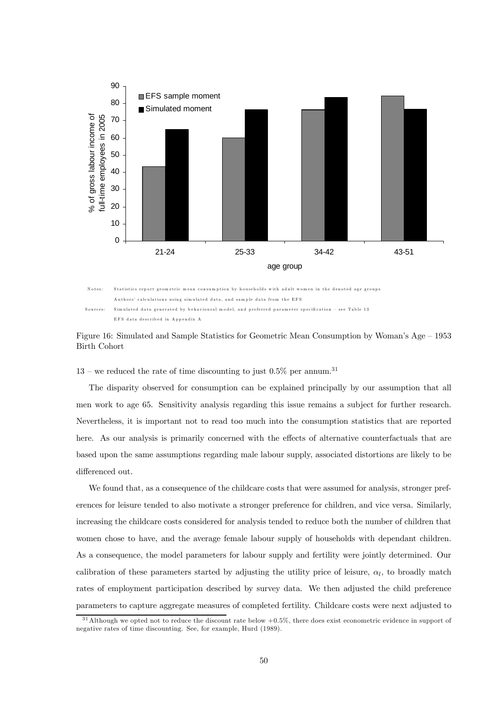



Figure 16: Simulated and Sample Statistics for Geometric Mean Consumption by Woman's Age — 1953 Birth Cohort

 $13$  – we reduced the rate of time discounting to just 0.5% per annum.<sup>31</sup>

The disparity observed for consumption can be explained principally by our assumption that all men work to age 65. Sensitivity analysis regarding this issue remains a subject for further research. Nevertheless, it is important not to read too much into the consumption statistics that are reported here. As our analysis is primarily concerned with the effects of alternative counterfactuals that are based upon the same assumptions regarding male labour supply, associated distortions are likely to be differenced out.

We found that, as a consequence of the childcare costs that were assumed for analysis, stronger preferences for leisure tended to also motivate a stronger preference for children, and vice versa. Similarly, increasing the childcare costs considered for analysis tended to reduce both the number of children that women chose to have, and the average female labour supply of households with dependant children. As a consequence, the model parameters for labour supply and fertility were jointly determined. Our calibration of these parameters started by adjusting the utility price of leisure,  $\alpha_l$ , to broadly match rates of employment participation described by survey data. We then adjusted the child preference parameters to capture aggregate measures of completed fertility. Childcare costs were next adjusted to

 $31$ Although we opted not to reduce the discount rate below  $+0.5\%$ , there does exist econometric evidence in support of negative rates of time discounting. See, for example, Hurd (1989).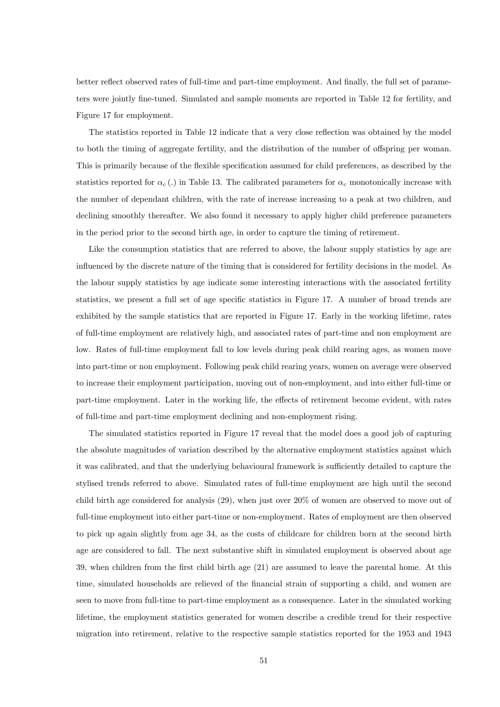better reflect observed rates of full-time and part-time employment. And finally, the full set of parameters were jointly fine-tuned. Simulated and sample moments are reported in Table 12 for fertility, and Figure 17 for employment.

The statistics reported in Table 12 indicate that a very close reflection was obtained by the model to both the timing of aggregate fertility, and the distribution of the number of offspring per woman. This is primarily because of the flexible specification assumed for child preferences, as described by the statistics reported for  $\alpha_c$  (.) in Table 13. The calibrated parameters for  $\alpha_c$  monotonically increase with the number of dependant children, with the rate of increase increasing to a peak at two children, and declining smoothly thereafter. We also found it necessary to apply higher child preference parameters in the period prior to the second birth age, in order to capture the timing of retirement.

Like the consumption statistics that are referred to above, the labour supply statistics by age are influenced by the discrete nature of the timing that is considered for fertility decisions in the model. As the labour supply statistics by age indicate some interesting interactions with the associated fertility statistics, we present a full set of age specific statistics in Figure 17. A number of broad trends are exhibited by the sample statistics that are reported in Figure 17. Early in the working lifetime, rates of full-time employment are relatively high, and associated rates of part-time and non employment are low. Rates of full-time employment fall to low levels during peak child rearing ages, as women move into part-time or non employment. Following peak child rearing years, women on average were observed to increase their employment participation, moving out of non-employment, and into either full-time or part-time employment. Later in the working life, the effects of retirement become evident, with rates of full-time and part-time employment declining and non-employment rising.

The simulated statistics reported in Figure 17 reveal that the model does a good job of capturing the absolute magnitudes of variation described by the alternative employment statistics against which it was calibrated, and that the underlying behavioural framework is sufficiently detailed to capture the stylised trends referred to above. Simulated rates of full-time employment are high until the second child birth age considered for analysis (29), when just over 20% of women are observed to move out of full-time employment into either part-time or non-employment. Rates of employment are then observed to pick up again slightly from age 34, as the costs of childcare for children born at the second birth age are considered to fall. The next substantive shift in simulated employment is observed about age 39, when children from the first child birth age (21) are assumed to leave the parental home. At this time, simulated households are relieved of the financial strain of supporting a child, and women are seen to move from full-time to part-time employment as a consequence. Later in the simulated working lifetime, the employment statistics generated for women describe a credible trend for their respective migration into retirement, relative to the respective sample statistics reported for the 1953 and 1943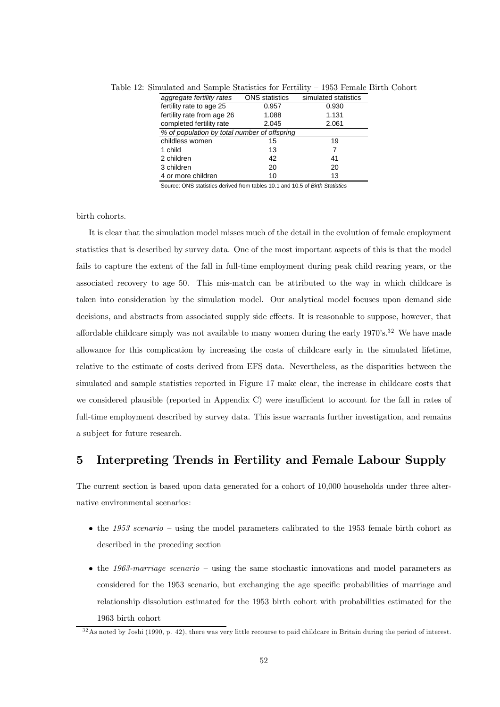| aggregate fertility rates                    | <b>ONS</b> statistics | simulated statistics |  |  |  |  |  |
|----------------------------------------------|-----------------------|----------------------|--|--|--|--|--|
| fertility rate to age 25                     | 0.957                 | 0.930                |  |  |  |  |  |
| fertility rate from age 26                   | 1.088                 | 1.131                |  |  |  |  |  |
| completed fertility rate                     | 2.045                 | 2.061                |  |  |  |  |  |
| % of population by total number of offspring |                       |                      |  |  |  |  |  |
| childless women                              | 15                    | 19                   |  |  |  |  |  |
| 1 child                                      | 13                    | 7                    |  |  |  |  |  |
| 2 children                                   | 42                    | 41                   |  |  |  |  |  |
| 3 children                                   | 20                    | 20                   |  |  |  |  |  |
| 4 or more children                           | 10                    | 13                   |  |  |  |  |  |

Table 12: Simulated and Sample Statistics for Fertility — 1953 Female Birth Cohort

Source: ONS statistics derived from tables 10.1 and 10.5 of *Birth Statistics*

birth cohorts.

It is clear that the simulation model misses much of the detail in the evolution of female employment statistics that is described by survey data. One of the most important aspects of this is that the model fails to capture the extent of the fall in full-time employment during peak child rearing years, or the associated recovery to age 50. This mis-match can be attributed to the way in which childcare is taken into consideration by the simulation model. Our analytical model focuses upon demand side decisions, and abstracts from associated supply side effects. It is reasonable to suppose, however, that affordable childcare simply was not available to many women during the early  $1970's.^32$  We have made allowance for this complication by increasing the costs of childcare early in the simulated lifetime, relative to the estimate of costs derived from EFS data. Nevertheless, as the disparities between the simulated and sample statistics reported in Figure 17 make clear, the increase in childcare costs that we considered plausible (reported in Appendix C) were insufficient to account for the fall in rates of full-time employment described by survey data. This issue warrants further investigation, and remains a subject for future research.

# 5 Interpreting Trends in Fertility and Female Labour Supply

The current section is based upon data generated for a cohort of 10,000 households under three alternative environmental scenarios:

- the 1953 scenario using the model parameters calibrated to the 1953 female birth cohort as described in the preceding section
- the 1963-marriage scenario using the same stochastic innovations and model parameters as considered for the 1953 scenario, but exchanging the age specific probabilities of marriage and relationship dissolution estimated for the 1953 birth cohort with probabilities estimated for the 1963 birth cohort

 $32$ As noted by Joshi (1990, p. 42), there was very little recourse to paid childcare in Britain during the period of interest.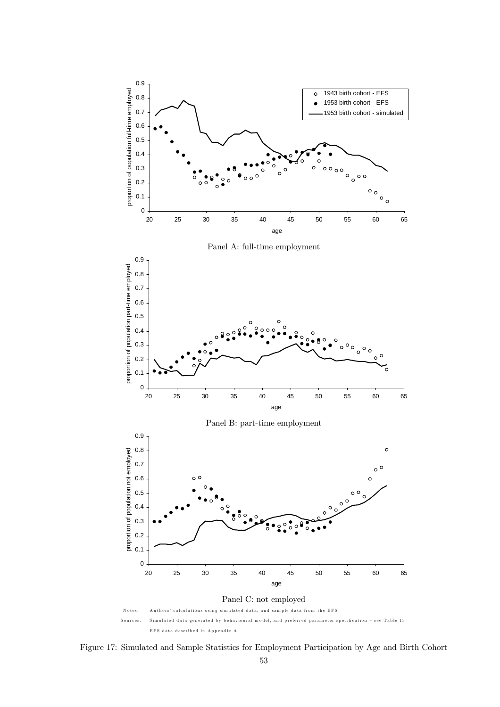

Figure 17: Simulated and Sample Statistics for Employment Participation by Age and Birth Cohort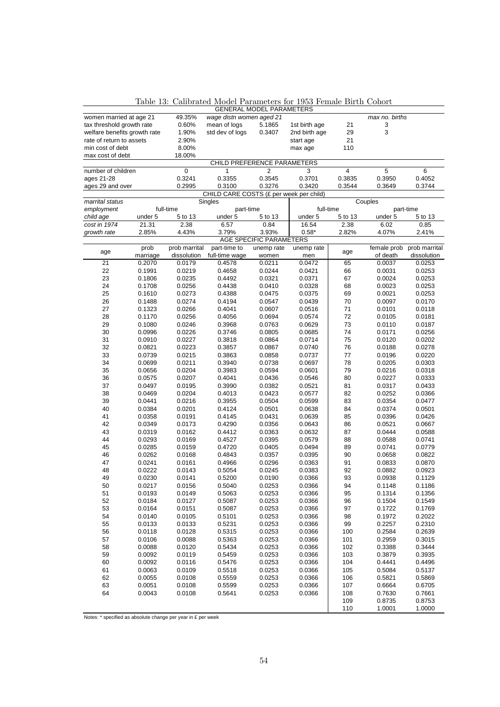|                              |                  |                  |                                         | <b>GENERAL MODEL PARAMETERS</b>  |                   |          |                  |                           |
|------------------------------|------------------|------------------|-----------------------------------------|----------------------------------|-------------------|----------|------------------|---------------------------|
| women married at age 21      |                  | 49.35%           | wage distn women aged 21                |                                  |                   |          | max no. births   |                           |
| tax threshold growth rate    |                  | 0.60%            | mean of logs                            | 5.1865                           | 1st birth age     | 21       | 3                |                           |
| welfare benefits growth rate |                  | 1.90%            | std dev of logs                         | 0.3407                           | 2nd birth age     | 29       | 3                |                           |
| rate of return to assets     |                  | 2.90%            |                                         |                                  | start age         | 21       |                  |                           |
| min cost of debt             |                  | 8.00%            |                                         |                                  | max age           | 110      |                  |                           |
| max cost of debt             |                  | 18.00%           |                                         |                                  |                   |          |                  |                           |
|                              |                  |                  | CHILD PREFERENCE PARAMETERS             |                                  |                   |          |                  |                           |
| number of children           |                  | 0                | 1                                       | 2                                | 3                 | 4        | 5                | 6                         |
| ages 21-28                   |                  | 0.3241           | 0.3355                                  | 0.3545                           | 0.3701            | 0.3835   | 0.3950           | 0.4052                    |
| ages 29 and over             |                  | 0.2995           | 0.3100                                  | 0.3276                           | 0.3420            | 0.3544   | 0.3649           | 0.3744                    |
|                              |                  |                  | CHILD CARE COSTS (£ per week per child) |                                  |                   |          |                  |                           |
| marrital status              |                  |                  | Singles                                 |                                  |                   |          | Couples          |                           |
| employment                   |                  | full-time        | part-time                               |                                  | full-time         |          |                  | part-time                 |
| child age                    | under 5          | 5 to 13          | under 5                                 | 5 to 13                          | under 5           | 5 to 13  | under 5          | 5 to 13                   |
| cost in 1974                 | 21.31            | 2.38             | 6.57                                    | 0.84                             | 16.54             | 2.38     | 6.02             | 0.85                      |
| growth rate                  | 2.85%            | 4.43%            | 3.79%                                   | 3.93%<br>AGE SPECIFIC PARAMETERS | $0.58*$           | 2.82%    | 4.07%            | 2.41%                     |
|                              | prob             | prob marrital    | part-time to                            |                                  |                   |          |                  | female prob prob marrital |
| age                          | marriage         | dissolution      | full-time wage                          | unemp rate<br>women              | unemp rate<br>men | age      | of death         | dissolution               |
| 21                           | 0.2070           | 0.0179           | 0.4578                                  | 0.0211                           | 0.0472            | 65       | 0.0037           | 0.0253                    |
| 22                           | 0.1991           | 0.0219           | 0.4658                                  | 0.0244                           | 0.0421            | 66       | 0.0031           | 0.0253                    |
| 23                           | 0.1806           | 0.0235           | 0.4492                                  | 0.0321                           | 0.0371            | 67       | 0.0024           | 0.0253                    |
| 24                           | 0.1708           | 0.0256           | 0.4438                                  | 0.0410                           | 0.0328            | 68       | 0.0023           | 0.0253                    |
| 25                           | 0.1610           | 0.0273           | 0.4388                                  | 0.0475                           | 0.0375            | 69       | 0.0021           | 0.0253                    |
| 26                           | 0.1488           | 0.0274           | 0.4194                                  | 0.0547                           | 0.0439            | 70       | 0.0097           | 0.0170                    |
| 27                           | 0.1323           | 0.0266           | 0.4041                                  | 0.0607                           | 0.0516            | 71       | 0.0101           | 0.0118                    |
| 28                           | 0.1170           | 0.0256           | 0.4056                                  | 0.0694                           | 0.0574            | 72       | 0.0105           | 0.0181                    |
| 29                           | 0.1080           | 0.0246           | 0.3968                                  | 0.0763                           | 0.0629            | 73       | 0.0110           | 0.0187                    |
| 30                           | 0.0996           | 0.0226           | 0.3746                                  | 0.0805                           | 0.0685            | 74       | 0.0171           | 0.0256                    |
| 31                           | 0.0910           | 0.0227           | 0.3818                                  | 0.0864                           | 0.0714            | 75       | 0.0120           | 0.0202                    |
| 32                           | 0.0821           | 0.0223           | 0.3857                                  | 0.0867                           | 0.0740            | 76       | 0.0188           | 0.0278                    |
| 33                           | 0.0739           | 0.0215           | 0.3863                                  | 0.0858                           | 0.0737            | 77       | 0.0196           | 0.0220                    |
| 34                           | 0.0699           | 0.0211           | 0.3940                                  | 0.0738                           | 0.0697            | 78       | 0.0205           | 0.0303                    |
| 35                           | 0.0656           | 0.0204           | 0.3983                                  | 0.0594                           | 0.0601            | 79       | 0.0216           | 0.0318                    |
| 36                           | 0.0575           | 0.0207           | 0.4041                                  | 0.0436                           | 0.0546            | 80       | 0.0227           | 0.0333                    |
| 37                           | 0.0497           | 0.0195           | 0.3990                                  | 0.0382                           | 0.0521            | 81       | 0.0317           | 0.0433                    |
| 38                           | 0.0469           | 0.0204           | 0.4013                                  | 0.0423                           | 0.0577            | 82       | 0.0252           | 0.0366                    |
| 39                           | 0.0441           | 0.0216           | 0.3955                                  | 0.0504                           | 0.0599            | 83       | 0.0354           | 0.0477                    |
| 40                           | 0.0384           | 0.0201           | 0.4124                                  | 0.0501                           | 0.0638            | 84       | 0.0374           | 0.0501                    |
| 41                           | 0.0358           | 0.0191           | 0.4145                                  | 0.0431                           | 0.0639            | 85       | 0.0396           | 0.0426                    |
| 42                           | 0.0349           | 0.0173           | 0.4290                                  | 0.0356                           | 0.0643            | 86       | 0.0521           | 0.0667                    |
| 43                           | 0.0319           | 0.0162           | 0.4412                                  | 0.0363                           | 0.0632            | 87       | 0.0444           | 0.0588                    |
| 44                           | 0.0293           | 0.0169           | 0.4527                                  | 0.0395                           | 0.0579            | 88       | 0.0588           | 0.0741                    |
| 45                           | 0.0285           | 0.0159           | 0.4720                                  | 0.0405                           | 0.0494            | 89       | 0.0741           | 0.0779                    |
| 46                           | 0.0262           | 0.0168           | 0.4843                                  | 0.0357                           | 0.0395            | 90       | 0.0658           | 0.0822                    |
| 47                           | 0.0241           | 0.0161           | 0.4966                                  | 0.0296                           | 0.0363            | 91       | 0.0833           | 0.0870<br>0.0923          |
| 48<br>49                     | 0.0222           | 0.0143           | 0.5054                                  | 0.0245                           | 0.0383            | 92       | 0.0882           |                           |
| 50                           | 0.0230<br>0.0217 | 0.0141<br>0.0156 | 0.5200<br>0.5040                        | 0.0190<br>0.0253                 | 0.0366<br>0.0366  | 93<br>94 | 0.0938<br>0.1148 | 0.1129<br>0.1186          |
| 51                           | 0.0193           | 0.0149           | 0.5063                                  | 0.0253                           | 0.0366            | 95       | 0.1314           | 0.1356                    |
| 52                           | 0.0184           | 0.0127           | 0.5087                                  | 0.0253                           | 0.0366            | 96       | 0.1504           | 0.1549                    |
| 53                           | 0.0164           | 0.0151           | 0.5087                                  | 0.0253                           | 0.0366            | 97       | 0.1722           | 0.1769                    |
| 54                           | 0.0140           | 0.0105           | 0.5101                                  | 0.0253                           | 0.0366            | 98       | 0.1972           | 0.2022                    |
| 55                           | 0.0133           | 0.0133           | 0.5231                                  | 0.0253                           | 0.0366            | 99       | 0.2257           | 0.2310                    |
| 56                           | 0.0118           | 0.0128           | 0.5315                                  | 0.0253                           | 0.0366            | 100      | 0.2584           | 0.2639                    |
| 57                           | 0.0106           | 0.0088           | 0.5363                                  | 0.0253                           | 0.0366            | 101      | 0.2959           | 0.3015                    |
| 58                           | 0.0088           | 0.0120           | 0.5434                                  | 0.0253                           | 0.0366            | 102      | 0.3388           | 0.3444                    |
| 59                           | 0.0092           | 0.0119           | 0.5459                                  | 0.0253                           | 0.0366            | 103      | 0.3879           | 0.3935                    |
| 60                           | 0.0092           | 0.0116           | 0.5476                                  | 0.0253                           | 0.0366            | 104      | 0.4441           | 0.4496                    |
| 61                           | 0.0063           | 0.0109           | 0.5518                                  | 0.0253                           | 0.0366            | 105      | 0.5084           | 0.5137                    |
| 62                           | 0.0055           | 0.0108           | 0.5559                                  | 0.0253                           | 0.0366            | 106      | 0.5821           | 0.5869                    |
| 63                           | 0.0051           | 0.0108           | 0.5599                                  | 0.0253                           | 0.0366            | 107      | 0.6664           | 0.6705                    |
| 64                           | 0.0043           | 0.0108           | 0.5641                                  | 0.0253                           | 0.0366            | 108      | 0.7630           | 0.7661                    |
|                              |                  |                  |                                         |                                  |                   | 109      | 0.8735           | 0.8753                    |
|                              |                  |                  |                                         |                                  |                   | 110      | 1.0001           | 1.0000                    |

Table 13: Calibrated Model Parameters for 1953 Female Birth Cohort

Notes: \* specified as absolute change per year in £ per week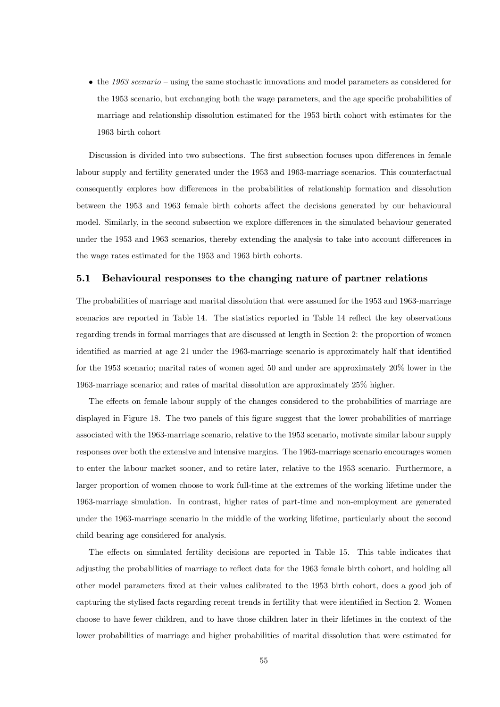• the 1963 scenario – using the same stochastic innovations and model parameters as considered for the 1953 scenario, but exchanging both the wage parameters, and the age specific probabilities of marriage and relationship dissolution estimated for the 1953 birth cohort with estimates for the 1963 birth cohort

Discussion is divided into two subsections. The first subsection focuses upon differences in female labour supply and fertility generated under the 1953 and 1963-marriage scenarios. This counterfactual consequently explores how differences in the probabilities of relationship formation and dissolution between the 1953 and 1963 female birth cohorts affect the decisions generated by our behavioural model. Similarly, in the second subsection we explore differences in the simulated behaviour generated under the 1953 and 1963 scenarios, thereby extending the analysis to take into account differences in the wage rates estimated for the 1953 and 1963 birth cohorts.

#### 5.1 Behavioural responses to the changing nature of partner relations

The probabilities of marriage and marital dissolution that were assumed for the 1953 and 1963-marriage scenarios are reported in Table 14. The statistics reported in Table 14 reflect the key observations regarding trends in formal marriages that are discussed at length in Section 2: the proportion of women identified as married at age 21 under the 1963-marriage scenario is approximately half that identified for the 1953 scenario; marital rates of women aged 50 and under are approximately 20% lower in the 1963-marriage scenario; and rates of marital dissolution are approximately 25% higher.

The effects on female labour supply of the changes considered to the probabilities of marriage are displayed in Figure 18. The two panels of this figure suggest that the lower probabilities of marriage associated with the 1963-marriage scenario, relative to the 1953 scenario, motivate similar labour supply responses over both the extensive and intensive margins. The 1963-marriage scenario encourages women to enter the labour market sooner, and to retire later, relative to the 1953 scenario. Furthermore, a larger proportion of women choose to work full-time at the extremes of the working lifetime under the 1963-marriage simulation. In contrast, higher rates of part-time and non-employment are generated under the 1963-marriage scenario in the middle of the working lifetime, particularly about the second child bearing age considered for analysis.

The effects on simulated fertility decisions are reported in Table 15. This table indicates that adjusting the probabilities of marriage to reflect data for the 1963 female birth cohort, and holding all other model parameters fixed at their values calibrated to the 1953 birth cohort, does a good job of capturing the stylised facts regarding recent trends in fertility that were identified in Section 2. Women choose to have fewer children, and to have those children later in their lifetimes in the context of the lower probabilities of marriage and higher probabilities of marital dissolution that were estimated for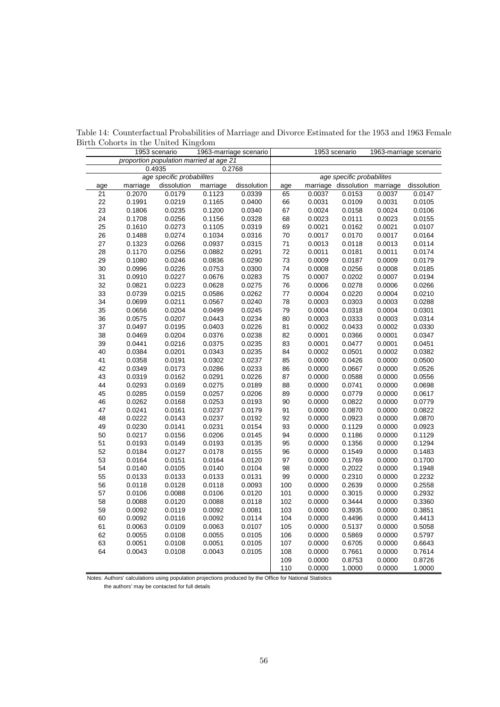|     |          | 1953 scenario                           |          | 1963-marriage scenario | 1953 scenario<br>1963-marriage scenario |        |                           |          |             |
|-----|----------|-----------------------------------------|----------|------------------------|-----------------------------------------|--------|---------------------------|----------|-------------|
|     |          | proportion population married at age 21 |          |                        |                                         |        |                           |          |             |
|     |          | 0.4935                                  |          | 0.2768                 |                                         |        |                           |          |             |
|     |          | age specific probabilites               |          |                        |                                         |        | age specific probabilites |          |             |
| age | marriage | dissolution                             | marriage | dissolution            | age                                     |        | marriage dissolution      | marriage | dissolution |
| 21  | 0.2070   | 0.0179                                  | 0.1123   | 0.0339                 | 65                                      | 0.0037 | 0.0153                    | 0.0037   | 0.0147      |
| 22  | 0.1991   | 0.0219                                  | 0.1165   | 0.0400                 | 66                                      | 0.0031 | 0.0109                    | 0.0031   | 0.0105      |
| 23  | 0.1806   | 0.0235                                  | 0.1200   | 0.0340                 | 67                                      | 0.0024 | 0.0158                    | 0.0024   | 0.0106      |
| 24  | 0.1708   | 0.0256                                  | 0.1156   | 0.0328                 | 68                                      | 0.0023 | 0.0111                    | 0.0023   | 0.0155      |
| 25  | 0.1610   | 0.0273                                  | 0.1105   | 0.0319                 | 69                                      | 0.0021 | 0.0162                    | 0.0021   | 0.0107      |
| 26  | 0.1488   | 0.0274                                  | 0.1034   | 0.0316                 | 70                                      | 0.0017 | 0.0170                    | 0.0017   | 0.0164      |
| 27  | 0.1323   | 0.0266                                  | 0.0937   | 0.0315                 | 71                                      | 0.0013 | 0.0118                    | 0.0013   | 0.0114      |
| 28  | 0.1170   | 0.0256                                  | 0.0882   | 0.0291                 | 72                                      | 0.0011 | 0.0181                    | 0.0011   | 0.0174      |
| 29  | 0.1080   | 0.0246                                  | 0.0836   | 0.0290                 | 73                                      | 0.0009 | 0.0187                    | 0.0009   | 0.0179      |
| 30  | 0.0996   | 0.0226                                  | 0.0753   | 0.0300                 | 74                                      | 0.0008 | 0.0256                    | 0.0008   | 0.0185      |
| 31  | 0.0910   | 0.0227                                  | 0.0676   | 0.0283                 | 75                                      | 0.0007 | 0.0202                    | 0.0007   | 0.0194      |
| 32  | 0.0821   | 0.0223                                  | 0.0628   | 0.0275                 | 76                                      | 0.0006 | 0.0278                    | 0.0006   | 0.0266      |
| 33  | 0.0739   | 0.0215                                  | 0.0586   | 0.0262                 | 77                                      | 0.0004 | 0.0220                    | 0.0004   | 0.0210      |
| 34  | 0.0699   | 0.0211                                  | 0.0567   | 0.0240                 | 78                                      | 0.0003 | 0.0303                    | 0.0003   | 0.0288      |
| 35  | 0.0656   | 0.0204                                  | 0.0499   | 0.0245                 | 79                                      | 0.0004 | 0.0318                    | 0.0004   | 0.0301      |
| 36  | 0.0575   | 0.0207                                  | 0.0443   | 0.0234                 | 80                                      | 0.0003 | 0.0333                    | 0.0003   | 0.0314      |
| 37  | 0.0497   | 0.0195                                  | 0.0403   | 0.0226                 | 81                                      | 0.0002 | 0.0433                    | 0.0002   | 0.0330      |
| 38  | 0.0469   | 0.0204                                  | 0.0376   | 0.0238                 | 82                                      | 0.0001 | 0.0366                    | 0.0001   | 0.0347      |
| 39  | 0.0441   | 0.0216                                  | 0.0375   | 0.0235                 | 83                                      | 0.0001 | 0.0477                    | 0.0001   | 0.0451      |
| 40  | 0.0384   | 0.0201                                  | 0.0343   | 0.0235                 | 84                                      | 0.0002 | 0.0501                    | 0.0002   | 0.0382      |
| 41  | 0.0358   | 0.0191                                  | 0.0302   | 0.0237                 | 85                                      | 0.0000 | 0.0426                    | 0.0000   | 0.0500      |
| 42  | 0.0349   | 0.0173                                  | 0.0286   | 0.0233                 | 86                                      | 0.0000 | 0.0667                    | 0.0000   | 0.0526      |
| 43  | 0.0319   | 0.0162                                  | 0.0291   | 0.0226                 | 87                                      | 0.0000 | 0.0588                    | 0.0000   | 0.0556      |
| 44  | 0.0293   | 0.0169                                  | 0.0275   | 0.0189                 | 88                                      | 0.0000 | 0.0741                    | 0.0000   | 0.0698      |
| 45  | 0.0285   | 0.0159                                  | 0.0257   | 0.0206                 | 89                                      | 0.0000 | 0.0779                    | 0.0000   | 0.0617      |
| 46  | 0.0262   | 0.0168                                  | 0.0253   | 0.0193                 | 90                                      | 0.0000 | 0.0822                    | 0.0000   | 0.0779      |
| 47  | 0.0241   | 0.0161                                  | 0.0237   | 0.0179                 | 91                                      | 0.0000 | 0.0870                    | 0.0000   | 0.0822      |
| 48  | 0.0222   | 0.0143                                  | 0.0237   | 0.0192                 | 92                                      | 0.0000 | 0.0923                    | 0.0000   | 0.0870      |
| 49  | 0.0230   | 0.0141                                  | 0.0231   | 0.0154                 | 93                                      | 0.0000 | 0.1129                    | 0.0000   | 0.0923      |
| 50  | 0.0217   | 0.0156                                  | 0.0206   | 0.0145                 | 94                                      | 0.0000 | 0.1186                    | 0.0000   | 0.1129      |
| 51  | 0.0193   | 0.0149                                  | 0.0193   | 0.0135                 | 95                                      | 0.0000 | 0.1356                    | 0.0000   | 0.1294      |
| 52  | 0.0184   | 0.0127                                  | 0.0178   | 0.0155                 | 96                                      | 0.0000 | 0.1549                    | 0.0000   | 0.1483      |
| 53  | 0.0164   | 0.0151                                  | 0.0164   | 0.0120                 | 97                                      | 0.0000 | 0.1769                    | 0.0000   | 0.1700      |
| 54  | 0.0140   | 0.0105                                  | 0.0140   | 0.0104                 | 98                                      | 0.0000 | 0.2022                    | 0.0000   | 0.1948      |
| 55  | 0.0133   | 0.0133                                  | 0.0133   | 0.0131                 | 99                                      | 0.0000 | 0.2310                    | 0.0000   | 0.2232      |
| 56  | 0.0118   | 0.0128                                  | 0.0118   | 0.0093                 | 100                                     | 0.0000 | 0.2639                    | 0.0000   | 0.2558      |
| 57  | 0.0106   | 0.0088                                  | 0.0106   | 0.0120                 | 101                                     | 0.0000 | 0.3015                    | 0.0000   | 0.2932      |
| 58  | 0.0088   | 0.0120                                  | 0.0088   | 0.0118                 | 102                                     | 0.0000 | 0.3444                    | 0.0000   | 0.3360      |
| 59  | 0.0092   | 0.0119                                  | 0.0092   | 0.0081                 | 103                                     | 0.0000 | 0.3935                    | 0.0000   | 0.3851      |
| 60  | 0.0092   | 0.0116                                  | 0.0092   | 0.0114                 | 104                                     | 0.0000 | 0.4496                    | 0.0000   | 0.4413      |
| 61  | 0.0063   | 0.0109                                  | 0.0063   | 0.0107                 | 105                                     | 0.0000 | 0.5137                    | 0.0000   | 0.5058      |
| 62  | 0.0055   | 0.0108                                  | 0.0055   | 0.0105                 | 106                                     | 0.0000 | 0.5869                    | 0.0000   | 0.5797      |
| 63  | 0.0051   | 0.0108                                  | 0.0051   | 0.0105                 | 107                                     | 0.0000 | 0.6705                    | 0.0000   | 0.6643      |
| 64  | 0.0043   | 0.0108                                  | 0.0043   | 0.0105                 | 108                                     | 0.0000 | 0.7661                    | 0.0000   | 0.7614      |
|     |          |                                         |          |                        | 109                                     | 0.0000 | 0.8753                    | 0.0000   | 0.8726      |
|     |          |                                         |          |                        | 110                                     | 0.0000 | 1.0000                    | 0.0000   | 1.0000      |

Table 14: Counterfactual Probabilities of Marriage and Divorce Estimated for the 1953 and 1963 Female Birth Cohorts in the United Kingdom

Notes: Authors' calculations using population projections produced by the Office for National Statistics

the authors' may be contacted for full details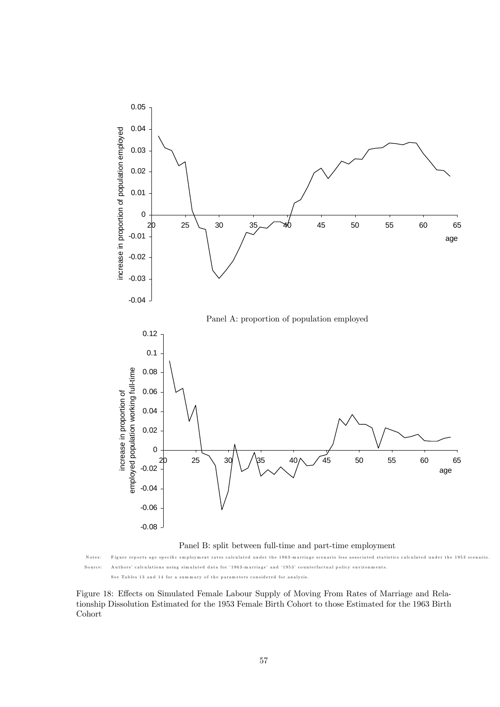

N otes: Figure rep orts age specifi c em ploym ent rates calculated under the 1963-m arriage scenario less associated statistics calculated under the 1953 scenario. Source: Authors' calculations using simulated data for '1963-m arriage' and '1953' counterfactual p olicy environm ents. See Tables 13 and 14 for a summ ary of the param eters considered for analysis.

Figure 18: Effects on Simulated Female Labour Supply of Moving From Rates of Marriage and Relationship Dissolution Estimated for the 1953 Female Birth Cohort to those Estimated for the 1963 Birth Cohort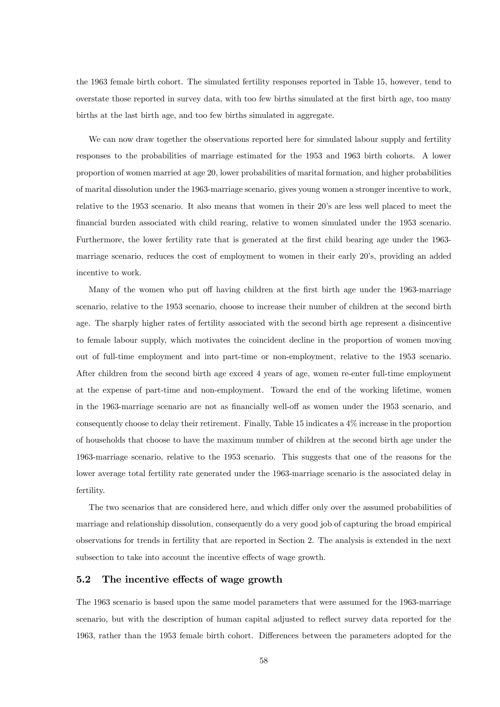the 1963 female birth cohort. The simulated fertility responses reported in Table 15, however, tend to overstate those reported in survey data, with too few births simulated at the first birth age, too many births at the last birth age, and too few births simulated in aggregate.

We can now draw together the observations reported here for simulated labour supply and fertility responses to the probabilities of marriage estimated for the 1953 and 1963 birth cohorts. A lower proportion of women married at age 20, lower probabilities of marital formation, and higher probabilities of marital dissolution under the 1963-marriage scenario, gives young women a stronger incentive to work, relative to the 1953 scenario. It also means that women in their 20's are less well placed to meet the financial burden associated with child rearing, relative to women simulated under the 1953 scenario. Furthermore, the lower fertility rate that is generated at the first child bearing age under the 1963 marriage scenario, reduces the cost of employment to women in their early 20's, providing an added incentive to work.

Many of the women who put off having children at the first birth age under the 1963-marriage scenario, relative to the 1953 scenario, choose to increase their number of children at the second birth age. The sharply higher rates of fertility associated with the second birth age represent a disincentive to female labour supply, which motivates the coincident decline in the proportion of women moving out of full-time employment and into part-time or non-employment, relative to the 1953 scenario. After children from the second birth age exceed 4 years of age, women re-enter full-time employment at the expense of part-time and non-employment. Toward the end of the working lifetime, women in the 1963-marriage scenario are not as financially well-off as women under the 1953 scenario, and consequently choose to delay their retirement. Finally, Table 15 indicates a 4% increase in the proportion of households that choose to have the maximum number of children at the second birth age under the 1963-marriage scenario, relative to the 1953 scenario. This suggests that one of the reasons for the lower average total fertility rate generated under the 1963-marriage scenario is the associated delay in fertility.

The two scenarios that are considered here, and which differ only over the assumed probabilities of marriage and relationship dissolution, consequently do a very good job of capturing the broad empirical observations for trends in fertility that are reported in Section 2. The analysis is extended in the next subsection to take into account the incentive effects of wage growth.

### 5.2 The incentive effects of wage growth

The 1963 scenario is based upon the same model parameters that were assumed for the 1963-marriage scenario, but with the description of human capital adjusted to reflect survey data reported for the 1963, rather than the 1953 female birth cohort. Differences between the parameters adopted for the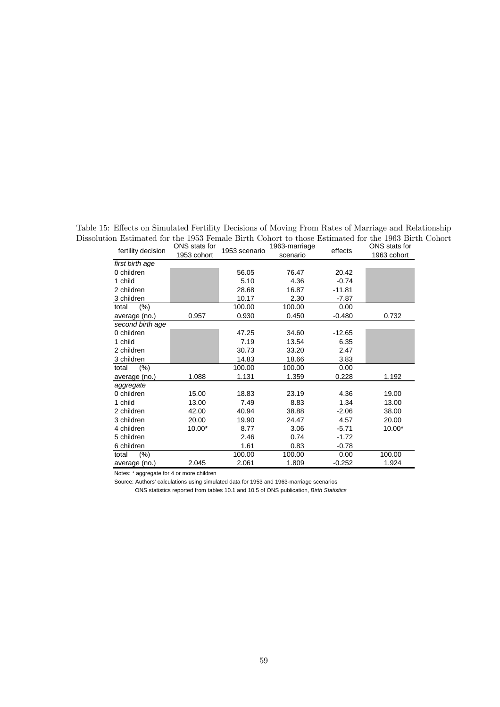Table 15: Effects on Simulated Fertility Decisions of Moving From Rates of Marriage and Relationship Dissolution Estimated for the 1953 Female Birth Cohort to those Estimated for the 1963 Birth Cohort

| fertility decision | ONS stats for<br>1953 cohort | 1953 scenario | 1963-marriage<br>scenario | effects  | ONS stats for<br>1963 cohort |
|--------------------|------------------------------|---------------|---------------------------|----------|------------------------------|
| first birth age    |                              |               |                           |          |                              |
| 0 children         |                              | 56.05         | 76.47                     | 20.42    |                              |
| 1 child            |                              | 5.10          | 4.36                      | $-0.74$  |                              |
| 2 children         |                              | 28.68         | 16.87                     | $-11.81$ |                              |
| 3 children         |                              | 10.17         | 2.30                      | $-7.87$  |                              |
| $(\%)$<br>total    |                              | 100.00        | 100.00                    | 0.00     |                              |
| average (no.)      | 0.957                        | 0.930         | 0.450                     | $-0.480$ | 0.732                        |
| second birth age   |                              |               |                           |          |                              |
| 0 children         |                              | 47.25         | 34.60                     | $-12.65$ |                              |
| 1 child            |                              | 7.19          | 13.54                     | 6.35     |                              |
| 2 children         |                              | 30.73         | 33.20                     | 2.47     |                              |
| 3 children         |                              | 14.83         | 18.66                     | 3.83     |                              |
| $(\% )$<br>total   |                              | 100.00        | 100.00                    | 0.00     |                              |
| average (no.)      | 1.088                        | 1.131         | 1.359                     | 0.228    | 1.192                        |
| aggregate          |                              |               |                           |          |                              |
| 0 children         | 15.00                        | 18.83         | 23.19                     | 4.36     | 19.00                        |
| 1 child            | 13.00                        | 7.49          | 8.83                      | 1.34     | 13.00                        |
| 2 children         | 42.00                        | 40.94         | 38.88                     | $-2.06$  | 38.00                        |
| 3 children         | 20.00                        | 19.90         | 24.47                     | 4.57     | 20.00                        |
| 4 children         | 10.00*                       | 8.77          | 3.06                      | $-5.71$  | $10.00*$                     |
| 5 children         |                              | 2.46          | 0.74                      | $-1.72$  |                              |
| 6 children         |                              | 1.61          | 0.83                      | $-0.78$  |                              |
| (% )<br>total      |                              | 100.00        | 100.00                    | 0.00     | 100.00                       |
| average (no.)      | 2.045                        | 2.061         | 1.809                     | $-0.252$ | 1.924                        |

Notes: \* aggregate for 4 or more children

Source: Authors' calculations using simulated data for 1953 and 1963-marriage scenarios

ONS statistics reported from tables 10.1 and 10.5 of ONS publication, *Birth Statistics*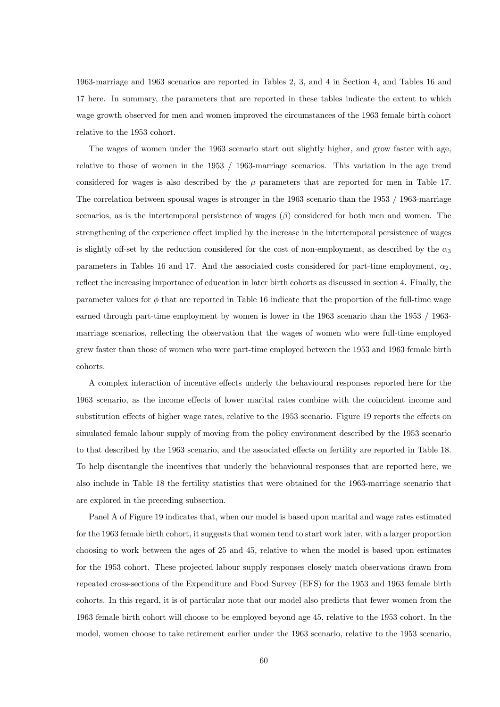1963-marriage and 1963 scenarios are reported in Tables 2, 3, and 4 in Section 4, and Tables 16 and 17 here. In summary, the parameters that are reported in these tables indicate the extent to which wage growth observed for men and women improved the circumstances of the 1963 female birth cohort relative to the 1953 cohort.

The wages of women under the 1963 scenario start out slightly higher, and grow faster with age, relative to those of women in the 1953 / 1963-marriage scenarios. This variation in the age trend considered for wages is also described by the  $\mu$  parameters that are reported for men in Table 17. The correlation between spousal wages is stronger in the 1963 scenario than the 1953 / 1963-marriage scenarios, as is the intertemporal persistence of wages  $(\beta)$  considered for both men and women. The strengthening of the experience effect implied by the increase in the intertemporal persistence of wages is slightly off-set by the reduction considered for the cost of non-employment, as described by the  $\alpha_3$ parameters in Tables 16 and 17. And the associated costs considered for part-time employment,  $\alpha_2$ , reflect the increasing importance of education in later birth cohorts as discussed in section 4. Finally, the parameter values for  $\phi$  that are reported in Table 16 indicate that the proportion of the full-time wage earned through part-time employment by women is lower in the 1963 scenario than the 1953 / 1963 marriage scenarios, reflecting the observation that the wages of women who were full-time employed grew faster than those of women who were part-time employed between the 1953 and 1963 female birth cohorts.

A complex interaction of incentive effects underly the behavioural responses reported here for the 1963 scenario, as the income effects of lower marital rates combine with the coincident income and substitution effects of higher wage rates, relative to the 1953 scenario. Figure 19 reports the effects on simulated female labour supply of moving from the policy environment described by the 1953 scenario to that described by the 1963 scenario, and the associated effects on fertility are reported in Table 18. To help disentangle the incentives that underly the behavioural responses that are reported here, we also include in Table 18 the fertility statistics that were obtained for the 1963-marriage scenario that are explored in the preceding subsection.

Panel A of Figure 19 indicates that, when our model is based upon marital and wage rates estimated for the 1963 female birth cohort, it suggests that women tend to start work later, with a larger proportion choosing to work between the ages of 25 and 45, relative to when the model is based upon estimates for the 1953 cohort. These projected labour supply responses closely match observations drawn from repeated cross-sections of the Expenditure and Food Survey (EFS) for the 1953 and 1963 female birth cohorts. In this regard, it is of particular note that our model also predicts that fewer women from the 1963 female birth cohort will choose to be employed beyond age 45, relative to the 1953 cohort. In the model, women choose to take retirement earlier under the 1963 scenario, relative to the 1953 scenario,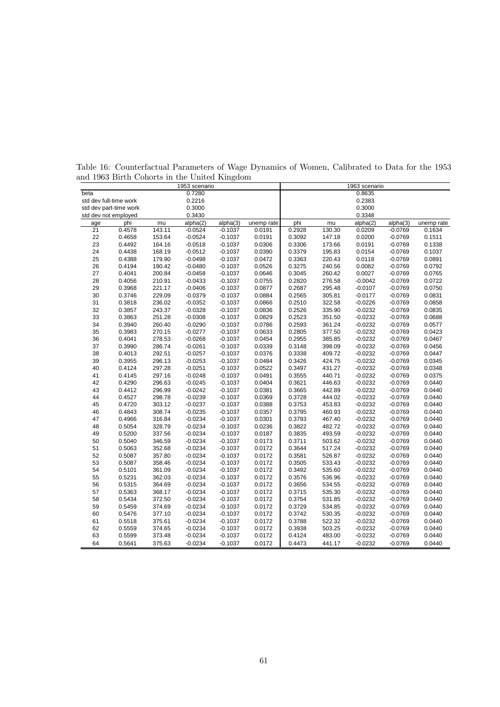|                      |                        |        | 1953 scenario |           |            |        |        | 1963 scenario |           |            |
|----------------------|------------------------|--------|---------------|-----------|------------|--------|--------|---------------|-----------|------------|
| beta                 |                        |        | 0.7280        |           |            |        |        | 0.8635        |           |            |
|                      | std dev full-time work |        | 0.2216        |           |            |        |        | 0.2383        |           |            |
|                      | std dev part-time work |        | 0.3000        |           |            |        |        | 0.3000        |           |            |
| std dev not employed |                        |        | 0.3430        |           |            |        |        | 0.3348        |           |            |
| age                  | phi                    | mu     | alpha(2)      | alpha(3)  | unemp rate | phi    | mu     | alpha(2)      | alpha(3)  | unemp rate |
| 21                   | 0.4578                 | 143.11 | $-0.0524$     | $-0.1037$ | 0.0191     | 0.2928 | 130.30 | 0.0209        | $-0.0769$ | 0.1634     |
| 22                   | 0.4658                 | 153.64 | $-0.0524$     | $-0.1037$ | 0.0191     | 0.3092 | 147.18 | 0.0200        | $-0.0769$ | 0.1511     |
| 23                   | 0.4492                 | 164.16 | $-0.0518$     | $-0.1037$ | 0.0306     | 0.3306 | 173.66 | 0.0191        | $-0.0769$ | 0.1338     |
| 24                   | 0.4438                 | 168.19 | $-0.0512$     | $-0.1037$ | 0.0390     | 0.3379 | 195.83 | 0.0154        | $-0.0769$ | 0.1037     |
| 25                   | 0.4388                 | 179.90 | $-0.0498$     | $-0.1037$ | 0.0472     | 0.3363 | 220.43 | 0.0118        | $-0.0769$ | 0.0891     |
| 26                   | 0.4194                 | 190.42 | $-0.0480$     | $-0.1037$ | 0.0526     | 0.3275 | 240.56 | 0.0082        | $-0.0769$ | 0.0792     |
| 27                   | 0.4041                 | 200.84 | $-0.0458$     | $-0.1037$ | 0.0646     | 0.3045 | 260.42 | 0.0027        | $-0.0769$ | 0.0765     |
| 28                   | 0.4056                 | 210.91 | $-0.0433$     | $-0.1037$ | 0.0755     | 0.2820 | 276.58 | $-0.0042$     | $-0.0769$ | 0.0722     |
| 29                   | 0.3968                 | 221.17 | $-0.0406$     | $-0.1037$ | 0.0877     | 0.2687 | 295.48 | $-0.0107$     | $-0.0769$ | 0.0750     |
| 30                   | 0.3746                 | 229.09 | $-0.0379$     | $-0.1037$ | 0.0884     | 0.2565 | 305.81 | $-0.0177$     | $-0.0769$ | 0.0831     |
| 31                   | 0.3818                 | 236.02 | $-0.0352$     | $-0.1037$ | 0.0866     | 0.2510 | 322.58 | $-0.0226$     | $-0.0769$ | 0.0858     |
| 32                   | 0.3857                 | 243.37 | $-0.0328$     | $-0.1037$ | 0.0836     | 0.2526 | 335.90 | $-0.0232$     | $-0.0769$ | 0.0835     |
| 33                   | 0.3863                 | 251.28 | $-0.0308$     | $-0.1037$ | 0.0829     | 0.2523 | 351.50 | $-0.0232$     | $-0.0769$ | 0.0688     |
| 34                   | 0.3940                 | 260.40 | $-0.0290$     | $-0.1037$ | 0.0786     | 0.2593 | 361.24 | $-0.0232$     | $-0.0769$ | 0.0577     |
| 35                   | 0.3983                 | 270.15 | $-0.0277$     | $-0.1037$ | 0.0633     | 0.2805 | 377.50 | $-0.0232$     | $-0.0769$ | 0.0423     |
| 36                   | 0.4041                 | 278.53 | $-0.0268$     | $-0.1037$ | 0.0454     | 0.2955 | 385.85 | $-0.0232$     | $-0.0769$ | 0.0467     |
| 37                   | 0.3990                 | 286.74 | $-0.0261$     | $-0.1037$ | 0.0339     | 0.3148 | 398.09 | $-0.0232$     | $-0.0769$ | 0.0456     |
| 38                   | 0.4013                 | 292.51 | $-0.0257$     | $-0.1037$ | 0.0376     | 0.3338 | 409.72 | $-0.0232$     | $-0.0769$ | 0.0447     |
| 39                   | 0.3955                 | 296.13 | $-0.0253$     | $-0.1037$ | 0.0484     | 0.3426 | 424.75 | $-0.0232$     | $-0.0769$ | 0.0345     |
| 40                   | 0.4124                 | 297.28 | $-0.0251$     | $-0.1037$ | 0.0522     | 0.3497 | 431.27 | $-0.0232$     | $-0.0769$ | 0.0348     |
| 41                   | 0.4145                 | 297.16 | $-0.0248$     | $-0.1037$ | 0.0491     | 0.3555 | 440.71 | $-0.0232$     | $-0.0769$ | 0.0375     |
| 42                   | 0.4290                 | 296.63 | $-0.0245$     | $-0.1037$ | 0.0404     | 0.3621 | 446.63 | $-0.0232$     | $-0.0769$ | 0.0440     |
| 43                   | 0.4412                 | 296.99 | $-0.0242$     | $-0.1037$ | 0.0381     | 0.3665 | 442.89 | $-0.0232$     | $-0.0769$ | 0.0440     |
| 44                   | 0.4527                 | 298.78 | $-0.0239$     | $-0.1037$ | 0.0369     | 0.3728 | 444.02 | $-0.0232$     | $-0.0769$ | 0.0440     |
| 45                   | 0.4720                 | 303.12 | $-0.0237$     | $-0.1037$ | 0.0388     | 0.3753 | 453.83 | $-0.0232$     | $-0.0769$ | 0.0440     |
| 46                   | 0.4843                 | 308.74 | $-0.0235$     | $-0.1037$ | 0.0357     | 0.3795 | 460.93 | $-0.0232$     | $-0.0769$ | 0.0440     |
| 47                   | 0.4966                 | 316.84 | $-0.0234$     | $-0.1037$ | 0.0301     | 0.3793 | 467.40 | $-0.0232$     | $-0.0769$ | 0.0440     |
| 48                   | 0.5054                 | 328.79 | $-0.0234$     | $-0.1037$ | 0.0236     | 0.3822 | 482.72 | $-0.0232$     | $-0.0769$ | 0.0440     |
| 49                   | 0.5200                 | 337.56 | $-0.0234$     | $-0.1037$ | 0.0187     | 0.3835 | 493.59 | $-0.0232$     | $-0.0769$ | 0.0440     |
| 50                   | 0.5040                 | 346.59 | $-0.0234$     | $-0.1037$ | 0.0173     | 0.3711 | 503.62 | $-0.0232$     | $-0.0769$ | 0.0440     |
| 51                   | 0.5063                 | 352.68 | $-0.0234$     | $-0.1037$ | 0.0172     | 0.3644 | 517.24 | $-0.0232$     | $-0.0769$ | 0.0440     |
| 52                   | 0.5087                 | 357.80 | $-0.0234$     | $-0.1037$ | 0.0172     | 0.3581 | 526.87 | $-0.0232$     | $-0.0769$ | 0.0440     |
| 53                   | 0.5087                 | 358.46 | $-0.0234$     | $-0.1037$ | 0.0172     | 0.3505 | 533.43 | $-0.0232$     | $-0.0769$ | 0.0440     |
| 54                   | 0.5101                 | 361.09 | $-0.0234$     | $-0.1037$ | 0.0172     | 0.3492 | 535.60 | $-0.0232$     | $-0.0769$ | 0.0440     |
| 55                   | 0.5231                 | 362.03 | $-0.0234$     | $-0.1037$ | 0.0172     | 0.3576 | 536.96 | $-0.0232$     | $-0.0769$ | 0.0440     |
| 56                   | 0.5315                 | 364.69 | $-0.0234$     | $-0.1037$ | 0.0172     | 0.3656 | 534.55 | $-0.0232$     | $-0.0769$ | 0.0440     |
| 57                   | 0.5363                 | 368.17 | $-0.0234$     | $-0.1037$ | 0.0172     | 0.3715 | 535.30 | $-0.0232$     | $-0.0769$ | 0.0440     |
| 58                   | 0.5434                 | 372.50 | $-0.0234$     | $-0.1037$ | 0.0172     | 0.3754 | 531.85 | $-0.0232$     | $-0.0769$ | 0.0440     |
| 59                   | 0.5459                 | 374.69 | $-0.0234$     | $-0.1037$ | 0.0172     | 0.3729 | 534.85 | $-0.0232$     | $-0.0769$ | 0.0440     |
| 60                   | 0.5476                 | 377.10 | $-0.0234$     | $-0.1037$ | 0.0172     | 0.3742 | 530.35 | $-0.0232$     | $-0.0769$ | 0.0440     |
| 61                   | 0.5518                 | 375.61 | $-0.0234$     | $-0.1037$ | 0.0172     | 0.3788 | 522.32 | $-0.0232$     | $-0.0769$ | 0.0440     |
| 62                   | 0.5559                 | 374.65 | $-0.0234$     | $-0.1037$ | 0.0172     | 0.3938 | 503.25 | $-0.0232$     | $-0.0769$ | 0.0440     |
| 63                   | 0.5599                 | 373.48 | $-0.0234$     | $-0.1037$ | 0.0172     | 0.4124 | 483.00 | $-0.0232$     | $-0.0769$ | 0.0440     |
| 64                   | 0.5641                 | 375.63 | $-0.0234$     | $-0.1037$ | 0.0172     | 0.4473 | 441.17 | $-0.0232$     | $-0.0769$ | 0.0440     |

Table 16: Counterfactual Parameters of Wage Dynamics of Women, Calibrated to Data for the 1953 and 1963 Birth Cohorts in the United Kingdom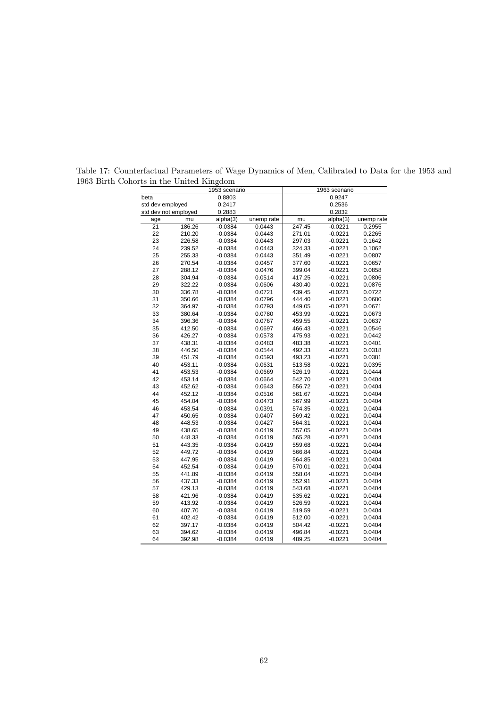|                  |                      | 1953 scenario |            |        | 1963 scenario |            |
|------------------|----------------------|---------------|------------|--------|---------------|------------|
| beta             |                      | 0.8803        |            |        | 0.9247        |            |
| std dev employed |                      | 0.2417        |            |        | 0.2536        |            |
|                  | std dev not employed | 0.2883        |            |        | 0.2832        |            |
| age              | mu                   | alpha(3)      | unemp rate | mu     | alpha(3)      | unemp rate |
| $\overline{21}$  | 186.26               | $-0.0384$     | 0.0443     | 247.45 | $-0.0221$     | 0.2955     |
| 22               | 210.20               | $-0.0384$     | 0.0443     | 271.01 | $-0.0221$     | 0.2265     |
| 23               | 226.58               | $-0.0384$     | 0.0443     | 297.03 | $-0.0221$     | 0.1642     |
| 24               | 239.52               | $-0.0384$     | 0.0443     | 324.33 | $-0.0221$     | 0.1062     |
| 25               | 255.33               | $-0.0384$     | 0.0443     | 351.49 | $-0.0221$     | 0.0807     |
| 26               | 270.54               | $-0.0384$     | 0.0457     | 377.60 | $-0.0221$     | 0.0657     |
| 27               | 288.12               | $-0.0384$     | 0.0476     | 399.04 | $-0.0221$     | 0.0858     |
| 28               | 304.94               | $-0.0384$     | 0.0514     | 417.25 | $-0.0221$     | 0.0806     |
| 29               | 322.22               | $-0.0384$     | 0.0606     | 430.40 | $-0.0221$     | 0.0876     |
| 30               | 336.78               | $-0.0384$     | 0.0721     | 439.45 | $-0.0221$     | 0.0722     |
| 31               | 350.66               | $-0.0384$     | 0.0796     | 444.40 | $-0.0221$     | 0.0680     |
| 32               | 364.97               | $-0.0384$     | 0.0793     | 449.05 | $-0.0221$     | 0.0671     |
| 33               | 380.64               | $-0.0384$     | 0.0780     | 453.99 | $-0.0221$     | 0.0673     |
| 34               | 396.36               | $-0.0384$     | 0.0767     | 459.55 | $-0.0221$     | 0.0637     |
| 35               | 412.50               | $-0.0384$     | 0.0697     | 466.43 | $-0.0221$     | 0.0546     |
| 36               | 426.27               | $-0.0384$     | 0.0573     | 475.93 | $-0.0221$     | 0.0442     |
| 37               | 438.31               | $-0.0384$     | 0.0483     | 483.38 | $-0.0221$     | 0.0401     |
| 38               | 446.50               | $-0.0384$     | 0.0544     | 492.33 | $-0.0221$     | 0.0318     |
| 39               | 451.79               | $-0.0384$     | 0.0593     | 493.23 | $-0.0221$     | 0.0381     |
| 40               | 453.11               | $-0.0384$     | 0.0631     | 513.58 | $-0.0221$     | 0.0395     |
| 41               | 453.53               | $-0.0384$     | 0.0669     | 526.19 | $-0.0221$     | 0.0444     |
| 42               | 453.14               | $-0.0384$     | 0.0664     | 542.70 | $-0.0221$     | 0.0404     |
| 43               | 452.62               | $-0.0384$     | 0.0643     | 556.72 | $-0.0221$     | 0.0404     |
| 44               | 452.12               | $-0.0384$     | 0.0516     | 561.67 | $-0.0221$     | 0.0404     |
| 45               | 454.04               | $-0.0384$     | 0.0473     | 567.99 | $-0.0221$     | 0.0404     |
| 46               | 453.54               | $-0.0384$     | 0.0391     | 574.35 | $-0.0221$     | 0.0404     |
| 47               | 450.65               | $-0.0384$     | 0.0407     | 569.42 | $-0.0221$     | 0.0404     |
| 48               | 448.53               | $-0.0384$     | 0.0427     | 564.31 | $-0.0221$     | 0.0404     |
| 49               | 438.65               | $-0.0384$     | 0.0419     | 557.05 | $-0.0221$     | 0.0404     |
| 50               | 448.33               | $-0.0384$     | 0.0419     | 565.28 | $-0.0221$     | 0.0404     |
| 51               | 443.35               | $-0.0384$     | 0.0419     | 559.68 | $-0.0221$     | 0.0404     |
| 52               | 449.72               | $-0.0384$     | 0.0419     | 566.84 | $-0.0221$     | 0.0404     |
| 53               | 447.95               | $-0.0384$     | 0.0419     | 564.85 | $-0.0221$     | 0.0404     |
| 54               | 452.54               | $-0.0384$     | 0.0419     | 570.01 | $-0.0221$     | 0.0404     |
| 55               | 441.89               | $-0.0384$     | 0.0419     | 558.04 | $-0.0221$     | 0.0404     |
| 56               | 437.33               | $-0.0384$     | 0.0419     | 552.91 | $-0.0221$     | 0.0404     |
| 57               | 429.13               | $-0.0384$     | 0.0419     | 543.68 | $-0.0221$     | 0.0404     |
| 58               | 421.96               | $-0.0384$     | 0.0419     | 535.62 | $-0.0221$     | 0.0404     |
| 59               | 413.92               | $-0.0384$     | 0.0419     | 526.59 | $-0.0221$     | 0.0404     |
| 60               | 407.70               | $-0.0384$     | 0.0419     | 519.59 | $-0.0221$     | 0.0404     |
| 61               | 402.42               | $-0.0384$     | 0.0419     | 512.00 | $-0.0221$     | 0.0404     |
| 62               | 397.17               | $-0.0384$     | 0.0419     | 504.42 | $-0.0221$     | 0.0404     |
| 63               | 394.62               | $-0.0384$     | 0.0419     | 496.84 | $-0.0221$     | 0.0404     |
| 64               | 392.98               | $-0.0384$     | 0.0419     | 489.25 | $-0.0221$     | 0.0404     |

Table 17: Counterfactual Parameters of Wage Dynamics of Men, Calibrated to Data for the 1953 and 1963 Birth Cohorts in the United Kingdom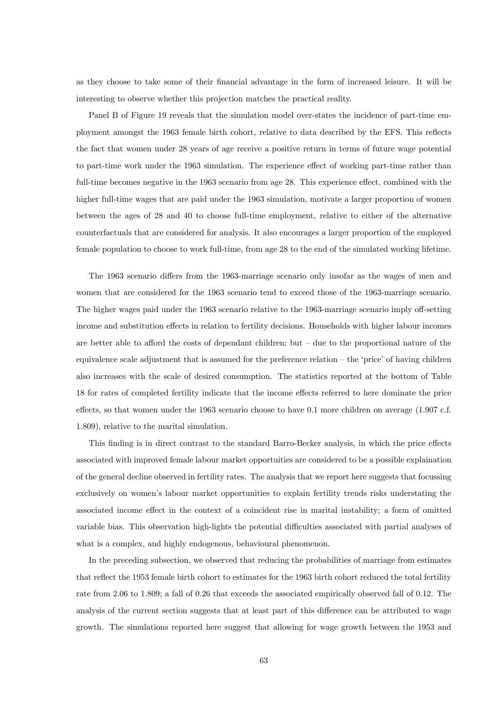as they choose to take some of their financial advantage in the form of increased leisure. It will be interesting to observe whether this projection matches the practical reality.

Panel B of Figure 19 reveals that the simulation model over-states the incidence of part-time employment amongst the 1963 female birth cohort, relative to data described by the EFS. This reflects the fact that women under 28 years of age receive a positive return in terms of future wage potential to part-time work under the 1963 simulation. The experience effect of working part-time rather than full-time becomes negative in the 1963 scenario from age 28. This experience effect, combined with the higher full-time wages that are paid under the 1963 simulation, motivate a larger proportion of women between the ages of 28 and 40 to choose full-time employment, relative to either of the alternative counterfactuals that are considered for analysis. It also encourages a larger proportion of the employed female population to choose to work full-time, from age 28 to the end of the simulated working lifetime.

The 1963 scenario differs from the 1963-marriage scenario only insofar as the wages of men and women that are considered for the 1963 scenario tend to exceed those of the 1963-marriage scenario. The higher wages paid under the 1963 scenario relative to the 1963-marriage scenario imply off-setting income and substitution effects in relation to fertility decisions. Households with higher labour incomes are better able to afford the costs of dependant children; but  $-$  due to the proportional nature of the equivalence scale adjustment that is assumed for the preference relation — the 'price' of having children also increases with the scale of desired consumption. The statistics reported at the bottom of Table 18 for rates of completed fertility indicate that the income effects referred to here dominate the price effects, so that women under the 1963 scenario choose to have 0.1 more children on average (1.907 c.f. 1.809), relative to the marital simulation.

This finding is in direct contrast to the standard Barro-Becker analysis, in which the price effects associated with improved female labour market opportuities are considered to be a possible explaination of the general decline observed in fertility rates. The analysis that we report here suggests that focussing exclusively on women's labour market opportunities to explain fertility trends risks understating the associated income effect in the context of a coincident rise in marital instability; a form of omitted variable bias. This observation high-lights the potential difficulties associated with partial analyses of what is a complex, and highly endogenous, behavioural phenomenon.

In the preceding subsection, we observed that reducing the probabilities of marriage from estimates that reflect the 1953 female birth cohort to estimates for the 1963 birth cohort reduced the total fertility rate from 2.06 to 1.809; a fall of 0.26 that exceeds the associated empirically observed fall of 0.12. The analysis of the current section suggests that at least part of this difference can be attributed to wage growth. The simulations reported here suggest that allowing for wage growth between the 1953 and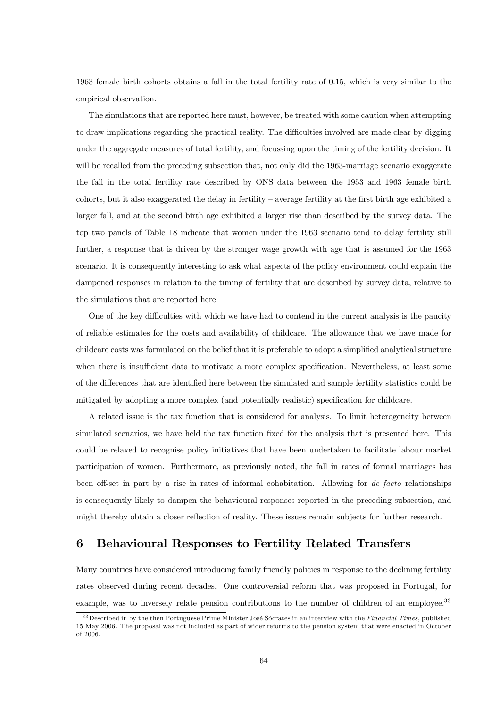1963 female birth cohorts obtains a fall in the total fertility rate of 0.15, which is very similar to the empirical observation.

The simulations that are reported here must, however, be treated with some caution when attempting to draw implications regarding the practical reality. The difficulties involved are made clear by digging under the aggregate measures of total fertility, and focussing upon the timing of the fertility decision. It will be recalled from the preceding subsection that, not only did the 1963-marriage scenario exaggerate the fall in the total fertility rate described by ONS data between the 1953 and 1963 female birth cohorts, but it also exaggerated the delay in fertility — average fertility at the first birth age exhibited a larger fall, and at the second birth age exhibited a larger rise than described by the survey data. The top two panels of Table 18 indicate that women under the 1963 scenario tend to delay fertility still further, a response that is driven by the stronger wage growth with age that is assumed for the 1963 scenario. It is consequently interesting to ask what aspects of the policy environment could explain the dampened responses in relation to the timing of fertility that are described by survey data, relative to the simulations that are reported here.

One of the key difficulties with which we have had to contend in the current analysis is the paucity of reliable estimates for the costs and availability of childcare. The allowance that we have made for childcare costs was formulated on the belief that it is preferable to adopt a simplified analytical structure when there is insufficient data to motivate a more complex specification. Nevertheless, at least some of the differences that are identified here between the simulated and sample fertility statistics could be mitigated by adopting a more complex (and potentially realistic) specification for childcare.

A related issue is the tax function that is considered for analysis. To limit heterogeneity between simulated scenarios, we have held the tax function fixed for the analysis that is presented here. This could be relaxed to recognise policy initiatives that have been undertaken to facilitate labour market participation of women. Furthermore, as previously noted, the fall in rates of formal marriages has been off-set in part by a rise in rates of informal cohabitation. Allowing for de facto relationships is consequently likely to dampen the behavioural responses reported in the preceding subsection, and might thereby obtain a closer reflection of reality. These issues remain subjects for further research.

## 6 Behavioural Responses to Fertility Related Transfers

Many countries have considered introducing family friendly policies in response to the declining fertility rates observed during recent decades. One controversial reform that was proposed in Portugal, for example, was to inversely relate pension contributions to the number of children of an employee.<sup>33</sup>

 $33$  Described in by the then Portuguese Prime Minister José Sócrates in an interview with the Financial Times, published 15 May 2006. The proposal was not included as part of wider reforms to the pension system that were enacted in October of 2006.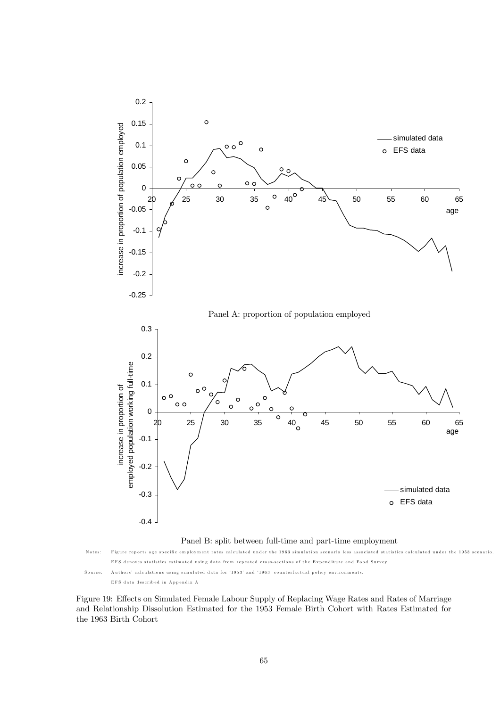

Figure 19: Effects on Simulated Female Labour Supply of Replacing Wage Rates and Rates of Marriage and Relationship Dissolution Estimated for the 1953 Female Birth Cohort with Rates Estimated for the 1963 Birth Cohort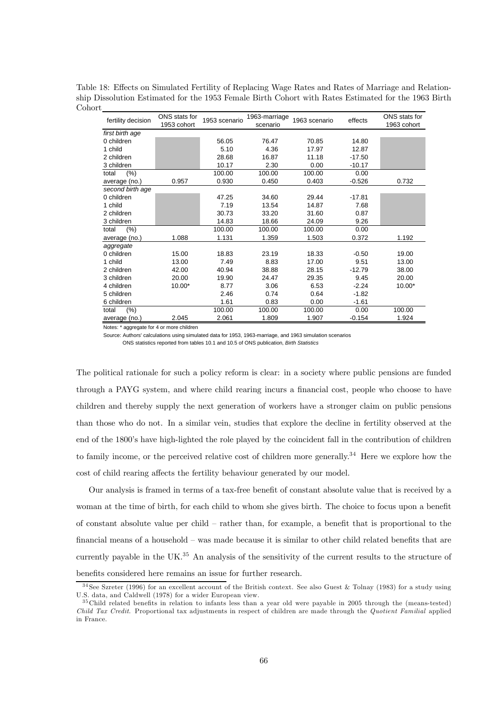|         | Table 18: Effects on Simulated Fertility of Replacing Wage Rates and Rates of Marriage and Relation- |  |  |
|---------|------------------------------------------------------------------------------------------------------|--|--|
|         | ship Dissolution Estimated for the 1953 Female Birth Cohort with Rates Estimated for the 1963 Birth  |  |  |
| Cohort. |                                                                                                      |  |  |

| fertility decision            | ONS stats for | 1953 scenario | 1963-marriage<br>scenario | 1963 scenario | effects  | ONS stats for |
|-------------------------------|---------------|---------------|---------------------------|---------------|----------|---------------|
|                               | 1953 cohort   |               |                           |               |          | 1963 cohort   |
| first birth age<br>0 children |               | 56.05         | 76.47                     | 70.85         | 14.80    |               |
|                               |               |               |                           |               |          |               |
| 1 child                       |               | 5.10          | 4.36                      | 17.97         | 12.87    |               |
| 2 children                    |               | 28.68         | 16.87                     | 11.18         | $-17.50$ |               |
| 3 children                    |               | 10.17         | 2.30                      | 0.00          | $-10.17$ |               |
| (%)<br>total                  |               | 100.00        | 100.00                    | 100.00        | 0.00     |               |
| average (no.)                 | 0.957         | 0.930         | 0.450                     | 0.403         | $-0.526$ | 0.732         |
| second birth age              |               |               |                           |               |          |               |
| 0 children                    |               | 47.25         | 34.60                     | 29.44         | $-17.81$ |               |
| 1 child                       |               | 7.19          | 13.54                     | 14.87         | 7.68     |               |
| 2 children                    |               | 30.73         | 33.20                     | 31.60         | 0.87     |               |
| 3 children                    |               | 14.83         | 18.66                     | 24.09         | 9.26     |               |
| (%)<br>total                  |               | 100.00        | 100.00                    | 100.00        | 0.00     |               |
| average (no.)                 | 1.088         | 1.131         | 1.359                     | 1.503         | 0.372    | 1.192         |
| aggregate                     |               |               |                           |               |          |               |
| 0 children                    | 15.00         | 18.83         | 23.19                     | 18.33         | $-0.50$  | 19.00         |
| 1 child                       | 13.00         | 7.49          | 8.83                      | 17.00         | 9.51     | 13.00         |
| 2 children                    | 42.00         | 40.94         | 38.88                     | 28.15         | $-12.79$ | 38.00         |
| 3 children                    | 20.00         | 19.90         | 24.47                     | 29.35         | 9.45     | 20.00         |
| 4 children                    | 10.00*        | 8.77          | 3.06                      | 6.53          | $-2.24$  | 10.00*        |
| 5 children                    |               | 2.46          | 0.74                      | 0.64          | $-1.82$  |               |
| 6 children                    |               | 1.61          | 0.83                      | 0.00          | $-1.61$  |               |
| $(\% )$<br>total              |               | 100.00        | 100.00                    | 100.00        | 0.00     | 100.00        |
| average (no.)                 | 2.045         | 2.061         | 1.809                     | 1.907         | $-0.154$ | 1.924         |

Notes: \* aggregate for 4 or more children

Source: Authors' calculations using simulated data for 1953, 1963-marriage, and 1963 simulation scenarios

ONS statistics reported from tables 10.1 and 10.5 of ONS publication, *Birth Statistics*

The political rationale for such a policy reform is clear: in a society where public pensions are funded through a PAYG system, and where child rearing incurs a financial cost, people who choose to have children and thereby supply the next generation of workers have a stronger claim on public pensions than those who do not. In a similar vein, studies that explore the decline in fertility observed at the end of the 1800's have high-lighted the role played by the coincident fall in the contribution of children to family income, or the perceived relative cost of children more generally.<sup>34</sup> Here we explore how the cost of child rearing affects the fertility behaviour generated by our model.

Our analysis is framed in terms of a tax-free benefit of constant absolute value that is received by a woman at the time of birth, for each child to whom she gives birth. The choice to focus upon a benefit of constant absolute value per child — rather than, for example, a benefit that is proportional to the financial means of a household — was made because it is similar to other child related benefits that are currently payable in the UK.<sup>35</sup> An analysis of the sensitivity of the current results to the structure of benefits considered here remains an issue for further research.

 $34$  See Szreter (1996) for an excellent account of the British context. See also Guest & Tolnay (1983) for a study using U.S. data, and Caldwell (1978) for a wider European view.

<sup>3 5</sup>Child related benefits in relation to infants less than a year old were payable in 2005 through the (means-tested) Child Tax Credit. Proportional tax adjustments in respect of children are made through the Quotient Familial applied in France.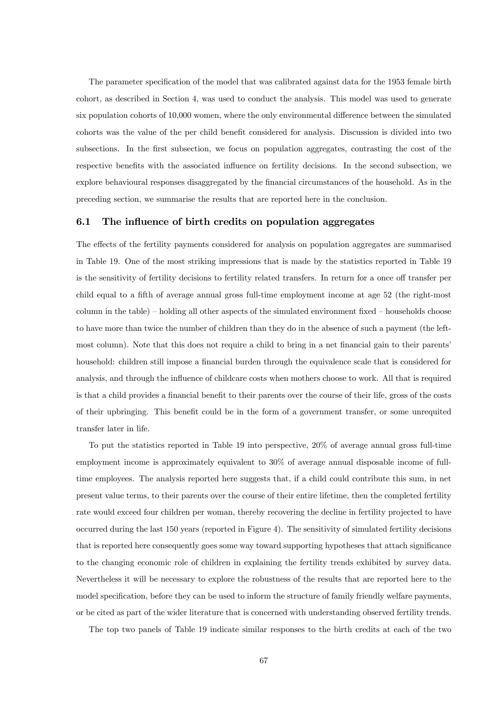The parameter specification of the model that was calibrated against data for the 1953 female birth cohort, as described in Section 4, was used to conduct the analysis. This model was used to generate six population cohorts of 10,000 women, where the only environmental difference between the simulated cohorts was the value of the per child benefit considered for analysis. Discussion is divided into two subsections. In the first subsection, we focus on population aggregates, contrasting the cost of the respective benefits with the associated influence on fertility decisions. In the second subsection, we explore behavioural responses disaggregated by the financial circumstances of the household. As in the preceding section, we summarise the results that are reported here in the conclusion.

### 6.1 The influence of birth credits on population aggregates

The effects of the fertility payments considered for analysis on population aggregates are summarised in Table 19. One of the most striking impressions that is made by the statistics reported in Table 19 is the sensitivity of fertility decisions to fertility related transfers. In return for a once off transfer per child equal to a fifth of average annual gross full-time employment income at age 52 (the right-most column in the table) — holding all other aspects of the simulated environment fixed — households choose to have more than twice the number of children than they do in the absence of such a payment (the leftmost column). Note that this does not require a child to bring in a net financial gain to their parents' household: children still impose a financial burden through the equivalence scale that is considered for analysis, and through the influence of childcare costs when mothers choose to work. All that is required is that a child provides a financial benefit to their parents over the course of their life, gross of the costs of their upbringing. This benefit could be in the form of a government transfer, or some unrequited transfer later in life.

To put the statistics reported in Table 19 into perspective, 20% of average annual gross full-time employment income is approximately equivalent to 30% of average annual disposable income of fulltime employees. The analysis reported here suggests that, if a child could contribute this sum, in net present value terms, to their parents over the course of their entire lifetime, then the completed fertility rate would exceed four children per woman, thereby recovering the decline in fertility projected to have occurred during the last 150 years (reported in Figure 4). The sensitivity of simulated fertility decisions that is reported here consequently goes some way toward supporting hypotheses that attach significance to the changing economic role of children in explaining the fertility trends exhibited by survey data. Nevertheless it will be necessary to explore the robustness of the results that are reported here to the model specification, before they can be used to inform the structure of family friendly welfare payments, or be cited as part of the wider literature that is concerned with understanding observed fertility trends.

The top two panels of Table 19 indicate similar responses to the birth credits at each of the two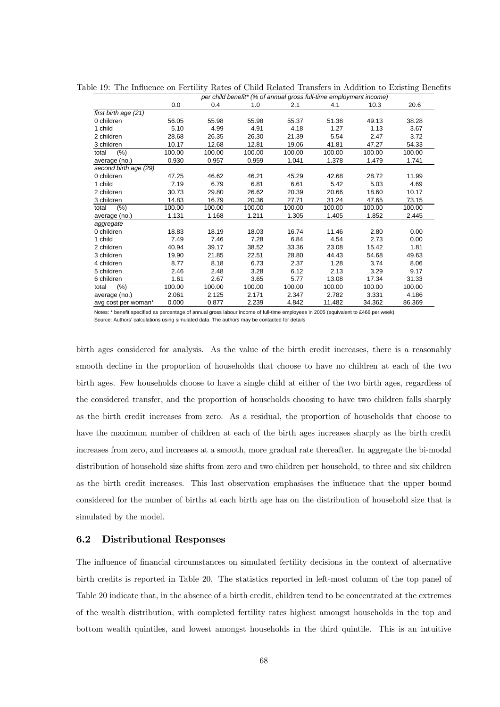|                       | per crilla berlefit (70 or arritidal gross fur-drile employment income) |        |        |        |        |        |        |
|-----------------------|-------------------------------------------------------------------------|--------|--------|--------|--------|--------|--------|
|                       | 0.0                                                                     | 0.4    | 1.0    | 2.1    | 4.1    | 10.3   | 20.6   |
| first birth age (21)  |                                                                         |        |        |        |        |        |        |
| 0 children            | 56.05                                                                   | 55.98  | 55.98  | 55.37  | 51.38  | 49.13  | 38.28  |
| 1 child               | 5.10                                                                    | 4.99   | 4.91   | 4.18   | 1.27   | 1.13   | 3.67   |
| 2 children            | 28.68                                                                   | 26.35  | 26.30  | 21.39  | 5.54   | 2.47   | 3.72   |
| 3 children            | 10.17                                                                   | 12.68  | 12.81  | 19.06  | 41.81  | 47.27  | 54.33  |
| (% )<br>total         | 100.00                                                                  | 100.00 | 100.00 | 100.00 | 100.00 | 100.00 | 100.00 |
| average (no.)         | 0.930                                                                   | 0.957  | 0.959  | 1.041  | 1.378  | 1.479  | 1.741  |
| second birth age (29) |                                                                         |        |        |        |        |        |        |
| 0 children            | 47.25                                                                   | 46.62  | 46.21  | 45.29  | 42.68  | 28.72  | 11.99  |
| 1 child               | 7.19                                                                    | 6.79   | 6.81   | 6.61   | 5.42   | 5.03   | 4.69   |
| 2 children            | 30.73                                                                   | 29.80  | 26.62  | 20.39  | 20.66  | 18.60  | 10.17  |
| 3 children            | 14.83                                                                   | 16.79  | 20.36  | 27.71  | 31.24  | 47.65  | 73.15  |
| (% )<br>total         | 100.00                                                                  | 100.00 | 100.00 | 100.00 | 100.00 | 100.00 | 100.00 |
| average (no.)         | 1.131                                                                   | 1.168  | 1.211  | 1.305  | 1.405  | 1.852  | 2.445  |
| aggregate             |                                                                         |        |        |        |        |        |        |
| 0 children            | 18.83                                                                   | 18.19  | 18.03  | 16.74  | 11.46  | 2.80   | 0.00   |
| 1 child               | 7.49                                                                    | 7.46   | 7.28   | 6.84   | 4.54   | 2.73   | 0.00   |
| 2 children            | 40.94                                                                   | 39.17  | 38.52  | 33.36  | 23.08  | 15.42  | 1.81   |
| 3 children            | 19.90                                                                   | 21.85  | 22.51  | 28.80  | 44.43  | 54.68  | 49.63  |
| 4 children            | 8.77                                                                    | 8.18   | 6.73   | 2.37   | 1.28   | 3.74   | 8.06   |
| 5 children            | 2.46                                                                    | 2.48   | 3.28   | 6.12   | 2.13   | 3.29   | 9.17   |
| 6 children            | 1.61                                                                    | 2.67   | 3.65   | 5.77   | 13.08  | 17.34  | 31.33  |
| (% )<br>total         | 100.00                                                                  | 100.00 | 100.00 | 100.00 | 100.00 | 100.00 | 100.00 |
| average (no.)         | 2.061                                                                   | 2.125  | 2.171  | 2.347  | 2.782  | 3.331  | 4.186  |
| avg cost per woman*   | 0.000                                                                   | 0.877  | 2.239  | 4.842  | 11.482 | 34.362 | 86.369 |

Table 19: The Influence on Fertility Rates of Child Related Transfers in Addition to Existing Benefits *per child benefit\* (% of annual gross full-time employment income)*

Notes: \* benefit specified as percentage of annual gross labour income of full-time employees in 2005 (equivalent to £466 per week) Source: Authors' calculations using simulated data. The authors may be contacted for details

birth ages considered for analysis. As the value of the birth credit increases, there is a reasonably smooth decline in the proportion of households that choose to have no children at each of the two birth ages. Few households choose to have a single child at either of the two birth ages, regardless of the considered transfer, and the proportion of households choosing to have two children falls sharply as the birth credit increases from zero. As a residual, the proportion of households that choose to have the maximum number of children at each of the birth ages increases sharply as the birth credit increases from zero, and increases at a smooth, more gradual rate thereafter. In aggregate the bi-modal distribution of household size shifts from zero and two children per household, to three and six children as the birth credit increases. This last observation emphasises the influence that the upper bound considered for the number of births at each birth age has on the distribution of household size that is simulated by the model.

### 6.2 Distributional Responses

The influence of financial circumstances on simulated fertility decisions in the context of alternative birth credits is reported in Table 20. The statistics reported in left-most column of the top panel of Table 20 indicate that, in the absence of a birth credit, children tend to be concentrated at the extremes of the wealth distribution, with completed fertility rates highest amongst households in the top and bottom wealth quintiles, and lowest amongst households in the third quintile. This is an intuitive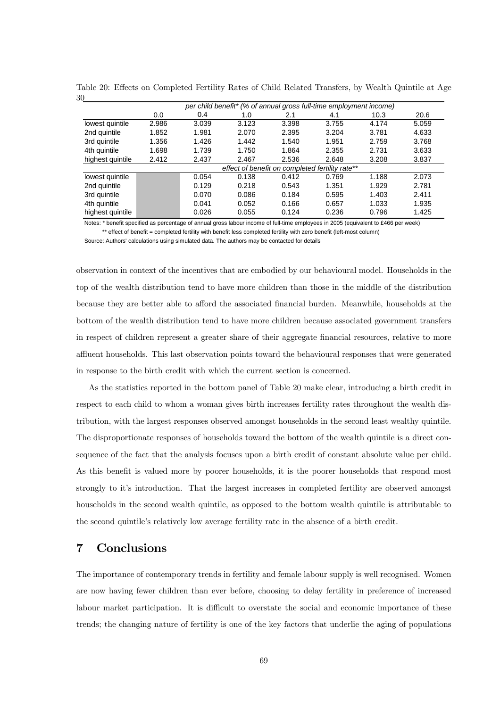| $\cdot$          | per child benefit* (% of annual gross full-time employment income) |       |       |       |       |       |       |  |
|------------------|--------------------------------------------------------------------|-------|-------|-------|-------|-------|-------|--|
|                  | 0.0                                                                | 0.4   | 1.0   | 2.1   | 4.1   | 10.3  | 20.6  |  |
| lowest quintile  | 2.986                                                              | 3.039 | 3.123 | 3.398 | 3.755 | 4.174 | 5.059 |  |
| 2nd quintile     | 1.852                                                              | 1.981 | 2.070 | 2.395 | 3.204 | 3.781 | 4.633 |  |
| 3rd quintile     | 1.356                                                              | 1.426 | 1.442 | 1.540 | 1.951 | 2.759 | 3.768 |  |
| 4th quintile     | 1.698                                                              | 1.739 | 1.750 | 1.864 | 2.355 | 2.731 | 3.633 |  |
| highest quintile | 2.412                                                              | 2.437 | 2.467 | 2.536 | 2.648 | 3.208 | 3.837 |  |
|                  | effect of benefit on completed fertility rate**                    |       |       |       |       |       |       |  |
| lowest quintile  |                                                                    | 0.054 | 0.138 | 0.412 | 0.769 | 1.188 | 2.073 |  |
| 2nd quintile     |                                                                    | 0.129 | 0.218 | 0.543 | 1.351 | 1.929 | 2.781 |  |
| 3rd quintile     |                                                                    | 0.070 | 0.086 | 0.184 | 0.595 | 1.403 | 2.411 |  |
| 4th quintile     |                                                                    | 0.041 | 0.052 | 0.166 | 0.657 | 1.033 | 1.935 |  |
| highest quintile |                                                                    | 0.026 | 0.055 | 0.124 | 0.236 | 0.796 | 1.425 |  |

Table 20: Effects on Completed Fertility Rates of Child Related Transfers, by Wealth Quintile at Age 30

Notes: \* benefit specified as percentage of annual gross labour income of full-time employees in 2005 (equivalent to £466 per week) \*\* effect of benefit = completed fertility with benefit less completed fertility with zero benefit (left-most column)

Source: Authors' calculations using simulated data. The authors may be contacted for details

observation in context of the incentives that are embodied by our behavioural model. Households in the top of the wealth distribution tend to have more children than those in the middle of the distribution because they are better able to afford the associated financial burden. Meanwhile, households at the bottom of the wealth distribution tend to have more children because associated government transfers in respect of children represent a greater share of their aggregate financial resources, relative to more affluent households. This last observation points toward the behavioural responses that were generated in response to the birth credit with which the current section is concerned.

As the statistics reported in the bottom panel of Table 20 make clear, introducing a birth credit in respect to each child to whom a woman gives birth increases fertility rates throughout the wealth distribution, with the largest responses observed amongst households in the second least wealthy quintile. The disproportionate responses of households toward the bottom of the wealth quintile is a direct consequence of the fact that the analysis focuses upon a birth credit of constant absolute value per child. As this benefit is valued more by poorer households, it is the poorer households that respond most strongly to it's introduction. That the largest increases in completed fertility are observed amongst households in the second wealth quintile, as opposed to the bottom wealth quintile is attributable to the second quintile's relatively low average fertility rate in the absence of a birth credit.

# 7 Conclusions

The importance of contemporary trends in fertility and female labour supply is well recognised. Women are now having fewer children than ever before, choosing to delay fertility in preference of increased labour market participation. It is difficult to overstate the social and economic importance of these trends; the changing nature of fertility is one of the key factors that underlie the aging of populations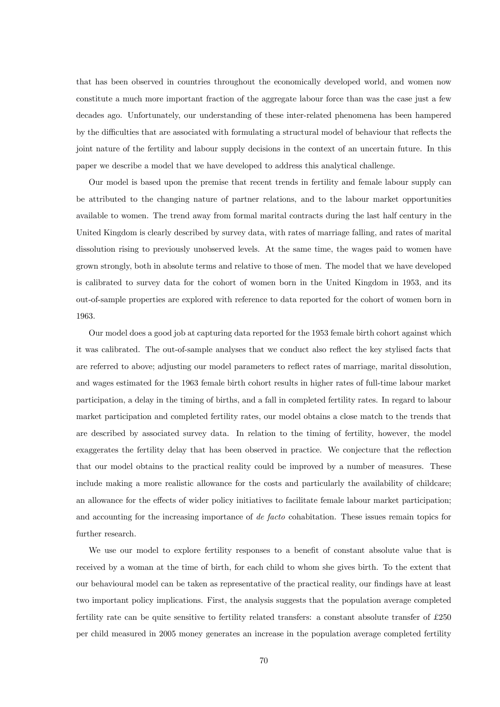that has been observed in countries throughout the economically developed world, and women now constitute a much more important fraction of the aggregate labour force than was the case just a few decades ago. Unfortunately, our understanding of these inter-related phenomena has been hampered by the difficulties that are associated with formulating a structural model of behaviour that reflects the joint nature of the fertility and labour supply decisions in the context of an uncertain future. In this paper we describe a model that we have developed to address this analytical challenge.

Our model is based upon the premise that recent trends in fertility and female labour supply can be attributed to the changing nature of partner relations, and to the labour market opportunities available to women. The trend away from formal marital contracts during the last half century in the United Kingdom is clearly described by survey data, with rates of marriage falling, and rates of marital dissolution rising to previously unobserved levels. At the same time, the wages paid to women have grown strongly, both in absolute terms and relative to those of men. The model that we have developed is calibrated to survey data for the cohort of women born in the United Kingdom in 1953, and its out-of-sample properties are explored with reference to data reported for the cohort of women born in 1963.

Our model does a good job at capturing data reported for the 1953 female birth cohort against which it was calibrated. The out-of-sample analyses that we conduct also reflect the key stylised facts that are referred to above; adjusting our model parameters to reflect rates of marriage, marital dissolution, and wages estimated for the 1963 female birth cohort results in higher rates of full-time labour market participation, a delay in the timing of births, and a fall in completed fertility rates. In regard to labour market participation and completed fertility rates, our model obtains a close match to the trends that are described by associated survey data. In relation to the timing of fertility, however, the model exaggerates the fertility delay that has been observed in practice. We conjecture that the reflection that our model obtains to the practical reality could be improved by a number of measures. These include making a more realistic allowance for the costs and particularly the availability of childcare; an allowance for the effects of wider policy initiatives to facilitate female labour market participation; and accounting for the increasing importance of de facto cohabitation. These issues remain topics for further research.

We use our model to explore fertility responses to a benefit of constant absolute value that is received by a woman at the time of birth, for each child to whom she gives birth. To the extent that our behavioural model can be taken as representative of the practical reality, our findings have at least two important policy implications. First, the analysis suggests that the population average completed fertility rate can be quite sensitive to fertility related transfers: a constant absolute transfer of £250 per child measured in 2005 money generates an increase in the population average completed fertility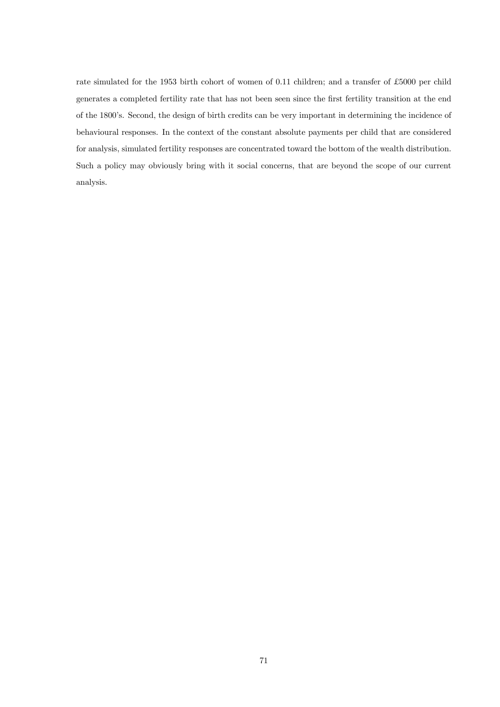rate simulated for the 1953 birth cohort of women of 0.11 children; and a transfer of £5000 per child generates a completed fertility rate that has not been seen since the first fertility transition at the end of the 1800's. Second, the design of birth credits can be very important in determining the incidence of behavioural responses. In the context of the constant absolute payments per child that are considered for analysis, simulated fertility responses are concentrated toward the bottom of the wealth distribution. Such a policy may obviously bring with it social concerns, that are beyond the scope of our current analysis.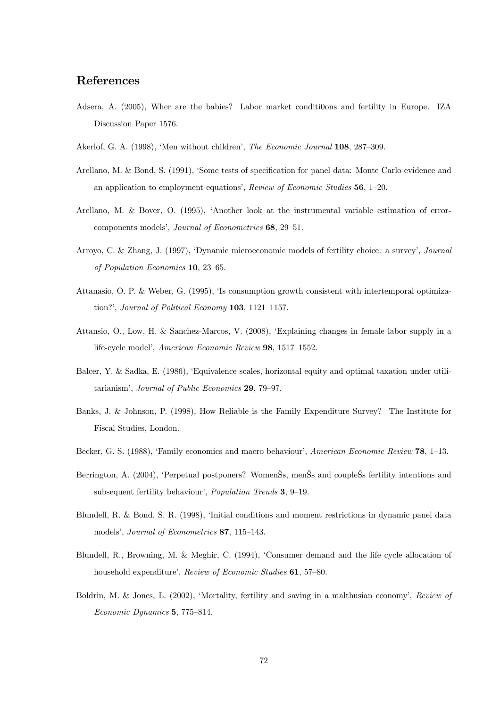# References

- Adsera, A. (2005), Wher are the babies? Labor market conditi0ons and fertility in Europe. IZA Discussion Paper 1576.
- Akerlof, G. A. (1998), 'Men without children', The Economic Journal 108, 287—309.
- Arellano, M. & Bond, S. (1991), 'Some tests of specification for panel data: Monte Carlo evidence and an application to employment equations', Review of Economic Studies 56, 1—20.
- Arellano, M. & Bover, O. (1995), 'Another look at the instrumental variable estimation of errorcomponents models', Journal of Econometrics 68, 29—51.
- Arroyo, C. & Zhang, J. (1997), 'Dynamic microeconomic models of fertility choice: a survey', Journal of Population Economics 10, 23—65.
- Attanasio, O. P. & Weber, G. (1995), 'Is consumption growth consistent with intertemporal optimization?', Journal of Political Economy 103, 1121—1157.
- Attansio, O., Low, H. & Sanchez-Marcos, V. (2008), 'Explaining changes in female labor supply in a life-cycle model', American Economic Review 98, 1517—1552.
- Balcer, Y. & Sadka, E. (1986), 'Equivalence scales, horizontal equity and optimal taxation under utilitarianism', Journal of Public Economics 29, 79—97.
- Banks, J. & Johnson, P. (1998), How Reliable is the Family Expenditure Survey? The Institute for Fiscal Studies, London.
- Becker, G. S. (1988), 'Family economics and macro behaviour', American Economic Review 78, 1—13.
- Berrington, A. (2004), 'Perpetual postponers? WomenŠs, menŠs and coupleŠs fertility intentions and subsequent fertility behaviour', Population Trends 3, 9—19.
- Blundell, R. & Bond, S. R. (1998), 'Initial conditions and moment restrictions in dynamic panel data models', Journal of Econometrics 87, 115—143.
- Blundell, R., Browning, M. & Meghir, C. (1994), 'Consumer demand and the life cycle allocation of household expenditure', Review of Economic Studies 61, 57-80.
- Boldrin, M. & Jones, L. (2002), 'Mortality, fertility and saving in a malthusian economy', Review of Economic Dynamics 5, 775—814.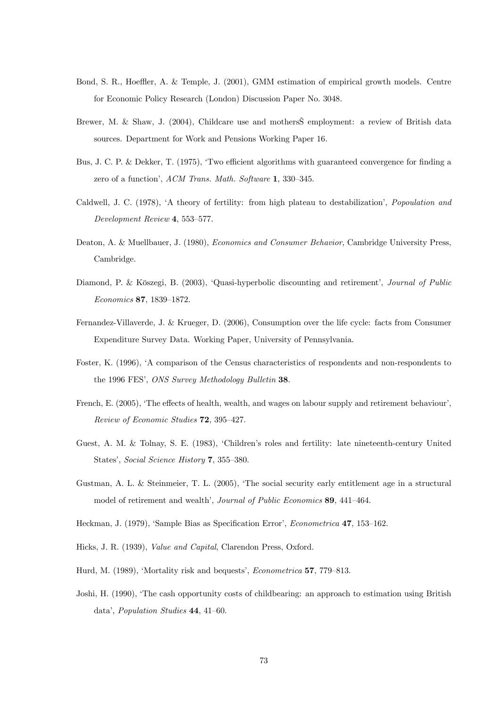- Bond, S. R., Hoeffler, A. & Temple, J. (2001), GMM estimation of empirical growth models. Centre for Economic Policy Research (London) Discussion Paper No. 3048.
- Brewer, M. & Shaw, J. (2004), Childcare use and mothersŠ employment: a review of British data sources. Department for Work and Pensions Working Paper 16.
- Bus, J. C. P. & Dekker, T. (1975), 'Two efficient algorithms with guaranteed convergence for finding a zero of a function', ACM Trans. Math. Software 1, 330—345.
- Caldwell, J. C. (1978), 'A theory of fertility: from high plateau to destabilization', Popoulation and Development Review 4, 553—577.
- Deaton, A. & Muellbauer, J. (1980), Economics and Consumer Behavior, Cambridge University Press, Cambridge.
- Diamond, P. & Köszegi, B. (2003), 'Quasi-hyperbolic discounting and retirement', Journal of Public Economics 87, 1839—1872.
- Fernandez-Villaverde, J. & Krueger, D. (2006), Consumption over the life cycle: facts from Consumer Expenditure Survey Data. Working Paper, University of Pennsylvania.
- Foster, K. (1996), 'A comparison of the Census characteristics of respondents and non-respondents to the 1996 FES', ONS Survey Methodology Bulletin 38.
- French, E. (2005), 'The effects of health, wealth, and wages on labour supply and retirement behaviour', Review of Economic Studies 72, 395—427.
- Guest, A. M. & Tolnay, S. E. (1983), 'Children's roles and fertility: late nineteenth-century United States', Social Science History 7, 355—380.
- Gustman, A. L. & Steinmeier, T. L. (2005), 'The social security early entitlement age in a structural model of retirement and wealth', Journal of Public Economics 89, 441—464.
- Heckman, J. (1979), 'Sample Bias as Specification Error', Econometrica 47, 153—162.
- Hicks, J. R. (1939), Value and Capital, Clarendon Press, Oxford.
- Hurd, M. (1989), 'Mortality risk and bequests', Econometrica 57, 779—813.
- Joshi, H. (1990), 'The cash opportunity costs of childbearing: an approach to estimation using British data', Population Studies 44, 41—60.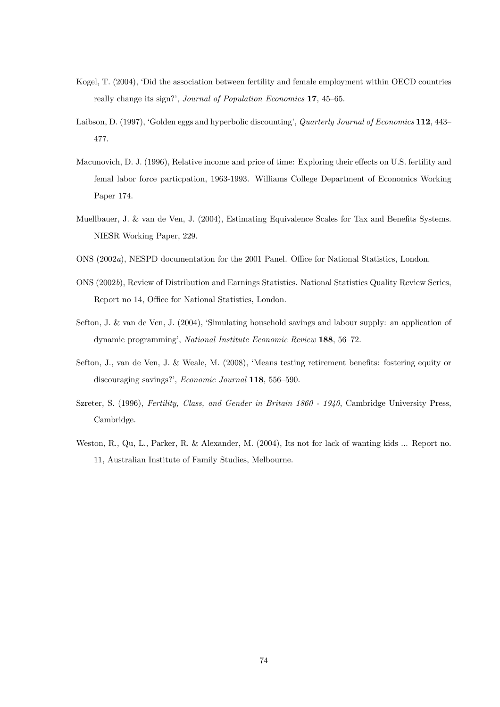- Kogel, T. (2004), 'Did the association between fertility and female employment within OECD countries really change its sign?', Journal of Population Economics 17, 45—65.
- Laibson, D. (1997), 'Golden eggs and hyperbolic discounting', *Quarterly Journal of Economics* 112, 443– 477.
- Macunovich, D. J. (1996), Relative income and price of time: Exploring their effects on U.S. fertility and femal labor force particpation, 1963-1993. Williams College Department of Economics Working Paper 174.
- Muellbauer, J. & van de Ven, J. (2004), Estimating Equivalence Scales for Tax and Benefits Systems. NIESR Working Paper, 229.
- ONS (2002a), NESPD documentation for the 2001 Panel. Office for National Statistics, London.
- ONS (2002b), Review of Distribution and Earnings Statistics. National Statistics Quality Review Series, Report no 14, Office for National Statistics, London.
- Sefton, J. & van de Ven, J. (2004), 'Simulating household savings and labour supply: an application of dynamic programming', National Institute Economic Review 188, 56—72.
- Sefton, J., van de Ven, J. & Weale, M. (2008), 'Means testing retirement benefits: fostering equity or discouraging savings?', Economic Journal 118, 556—590.
- Szreter, S. (1996), Fertility, Class, and Gender in Britain 1860 1940, Cambridge University Press, Cambridge.
- Weston, R., Qu, L., Parker, R. & Alexander, M. (2004), Its not for lack of wanting kids ... Report no. 11, Australian Institute of Family Studies, Melbourne.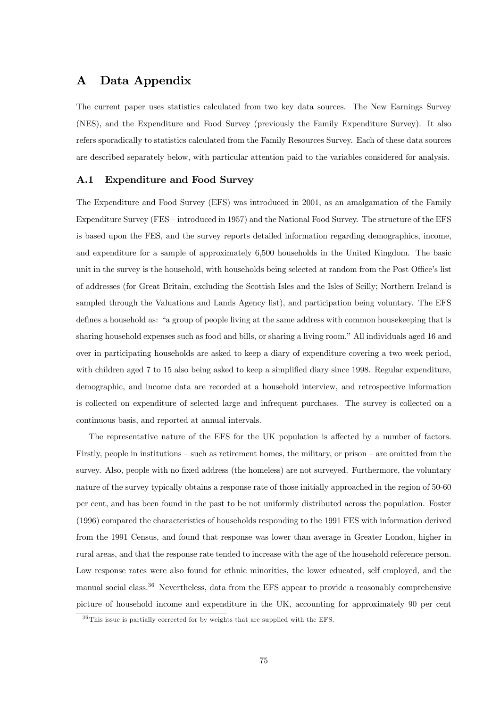# A Data Appendix

The current paper uses statistics calculated from two key data sources. The New Earnings Survey (NES), and the Expenditure and Food Survey (previously the Family Expenditure Survey). It also refers sporadically to statistics calculated from the Family Resources Survey. Each of these data sources are described separately below, with particular attention paid to the variables considered for analysis.

## A.1 Expenditure and Food Survey

The Expenditure and Food Survey (EFS) was introduced in 2001, as an amalgamation of the Family Expenditure Survey (FES — introduced in 1957) and the National Food Survey. The structure of the EFS is based upon the FES, and the survey reports detailed information regarding demographics, income, and expenditure for a sample of approximately 6,500 households in the United Kingdom. The basic unit in the survey is the household, with households being selected at random from the Post Office's list of addresses (for Great Britain, excluding the Scottish Isles and the Isles of Scilly; Northern Ireland is sampled through the Valuations and Lands Agency list), and participation being voluntary. The EFS defines a household as: "a group of people living at the same address with common housekeeping that is sharing household expenses such as food and bills, or sharing a living room." All individuals aged 16 and over in participating households are asked to keep a diary of expenditure covering a two week period, with children aged 7 to 15 also being asked to keep a simplified diary since 1998. Regular expenditure, demographic, and income data are recorded at a household interview, and retrospective information is collected on expenditure of selected large and infrequent purchases. The survey is collected on a continuous basis, and reported at annual intervals.

The representative nature of the EFS for the UK population is affected by a number of factors. Firstly, people in institutions — such as retirement homes, the military, or prison — are omitted from the survey. Also, people with no fixed address (the homeless) are not surveyed. Furthermore, the voluntary nature of the survey typically obtains a response rate of those initially approached in the region of 50-60 per cent, and has been found in the past to be not uniformly distributed across the population. Foster (1996) compared the characteristics of households responding to the 1991 FES with information derived from the 1991 Census, and found that response was lower than average in Greater London, higher in rural areas, and that the response rate tended to increase with the age of the household reference person. Low response rates were also found for ethnic minorities, the lower educated, self employed, and the manual social class.<sup>36</sup> Nevertheless, data from the EFS appear to provide a reasonably comprehensive picture of household income and expenditure in the UK, accounting for approximately 90 per cent

 $36$ This issue is partially corrected for by weights that are supplied with the EFS.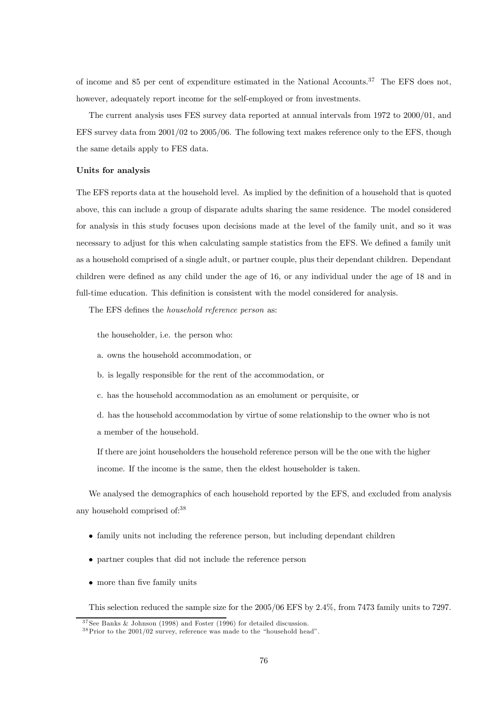of income and 85 per cent of expenditure estimated in the National Accounts.37 The EFS does not, however, adequately report income for the self-employed or from investments.

The current analysis uses FES survey data reported at annual intervals from 1972 to 2000/01, and EFS survey data from 2001/02 to 2005/06. The following text makes reference only to the EFS, though the same details apply to FES data.

## Units for analysis

The EFS reports data at the household level. As implied by the definition of a household that is quoted above, this can include a group of disparate adults sharing the same residence. The model considered for analysis in this study focuses upon decisions made at the level of the family unit, and so it was necessary to adjust for this when calculating sample statistics from the EFS. We defined a family unit as a household comprised of a single adult, or partner couple, plus their dependant children. Dependant children were defined as any child under the age of 16, or any individual under the age of 18 and in full-time education. This definition is consistent with the model considered for analysis.

The EFS defines the household reference person as:

the householder, i.e. the person who:

a. owns the household accommodation, or

b. is legally responsible for the rent of the accommodation, or

c. has the household accommodation as an emolument or perquisite, or

d. has the household accommodation by virtue of some relationship to the owner who is not a member of the household.

If there are joint householders the household reference person will be the one with the higher income. If the income is the same, then the eldest householder is taken.

We analysed the demographics of each household reported by the EFS, and excluded from analysis any household comprised of:38

- family units not including the reference person, but including dependant children
- partner couples that did not include the reference person
- more than five family units

This selection reduced the sample size for the 2005/06 EFS by 2.4%, from 7473 family units to 7297.

 $37$  See Banks & Johnson (1998) and Foster (1996) for detailed discussion.

 $38$ Prior to the 2001/02 survey, reference was made to the "household head".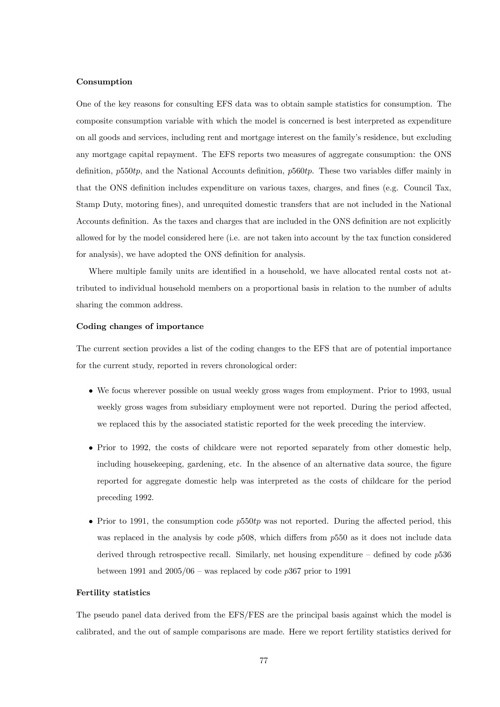## Consumption

One of the key reasons for consulting EFS data was to obtain sample statistics for consumption. The composite consumption variable with which the model is concerned is best interpreted as expenditure on all goods and services, including rent and mortgage interest on the family's residence, but excluding any mortgage capital repayment. The EFS reports two measures of aggregate consumption: the ONS definition,  $p550tp$ , and the National Accounts definition,  $p560tp$ . These two variables differ mainly in that the ONS definition includes expenditure on various taxes, charges, and fines (e.g. Council Tax, Stamp Duty, motoring fines), and unrequited domestic transfers that are not included in the National Accounts definition. As the taxes and charges that are included in the ONS definition are not explicitly allowed for by the model considered here (i.e. are not taken into account by the tax function considered for analysis), we have adopted the ONS definition for analysis.

Where multiple family units are identified in a household, we have allocated rental costs not attributed to individual household members on a proportional basis in relation to the number of adults sharing the common address.

### Coding changes of importance

The current section provides a list of the coding changes to the EFS that are of potential importance for the current study, reported in revers chronological order:

- We focus wherever possible on usual weekly gross wages from employment. Prior to 1993, usual weekly gross wages from subsidiary employment were not reported. During the period affected, we replaced this by the associated statistic reported for the week preceding the interview.
- Prior to 1992, the costs of childcare were not reported separately from other domestic help, including housekeeping, gardening, etc. In the absence of an alternative data source, the figure reported for aggregate domestic help was interpreted as the costs of childcare for the period preceding 1992.
- Prior to 1991, the consumption code  $p550tp$  was not reported. During the affected period, this was replaced in the analysis by code  $p508$ , which differs from  $p550$  as it does not include data derived through retrospective recall. Similarly, net housing expenditure – defined by code  $p536$ between 1991 and  $2005/06$  – was replaced by code p367 prior to 1991

#### Fertility statistics

The pseudo panel data derived from the EFS/FES are the principal basis against which the model is calibrated, and the out of sample comparisons are made. Here we report fertility statistics derived for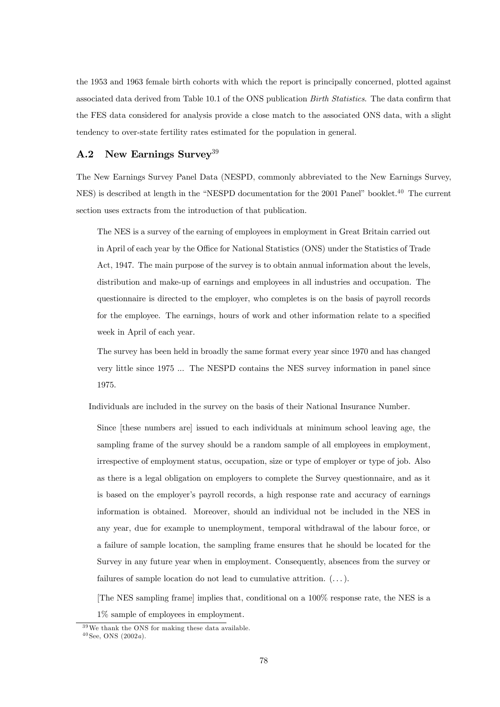the 1953 and 1963 female birth cohorts with which the report is principally concerned, plotted against associated data derived from Table 10.1 of the ONS publication Birth Statistics. The data confirm that the FES data considered for analysis provide a close match to the associated ONS data, with a slight tendency to over-state fertility rates estimated for the population in general.

## A.2 New Earnings Survey<sup>39</sup>

The New Earnings Survey Panel Data (NESPD, commonly abbreviated to the New Earnings Survey, NES) is described at length in the "NESPD documentation for the 2001 Panel" booklet.<sup>40</sup> The current section uses extracts from the introduction of that publication.

The NES is a survey of the earning of employees in employment in Great Britain carried out in April of each year by the Office for National Statistics (ONS) under the Statistics of Trade Act, 1947. The main purpose of the survey is to obtain annual information about the levels, distribution and make-up of earnings and employees in all industries and occupation. The questionnaire is directed to the employer, who completes is on the basis of payroll records for the employee. The earnings, hours of work and other information relate to a specified week in April of each year.

The survey has been held in broadly the same format every year since 1970 and has changed very little since 1975 ... The NESPD contains the NES survey information in panel since 1975.

Individuals are included in the survey on the basis of their National Insurance Number.

Since [these numbers are] issued to each individuals at minimum school leaving age, the sampling frame of the survey should be a random sample of all employees in employment, irrespective of employment status, occupation, size or type of employer or type of job. Also as there is a legal obligation on employers to complete the Survey questionnaire, and as it is based on the employer's payroll records, a high response rate and accuracy of earnings information is obtained. Moreover, should an individual not be included in the NES in any year, due for example to unemployment, temporal withdrawal of the labour force, or a failure of sample location, the sampling frame ensures that he should be located for the Survey in any future year when in employment. Consequently, absences from the survey or failures of sample location do not lead to cumulative attrition.  $(\dots)$ .

[The NES sampling frame] implies that, conditional on a 100% response rate, the NES is a 1% sample of employees in employment.

<sup>3 9</sup>We thank the ONS for making these data available.  $40 \text{ See}$ , ONS  $(2002a)$ .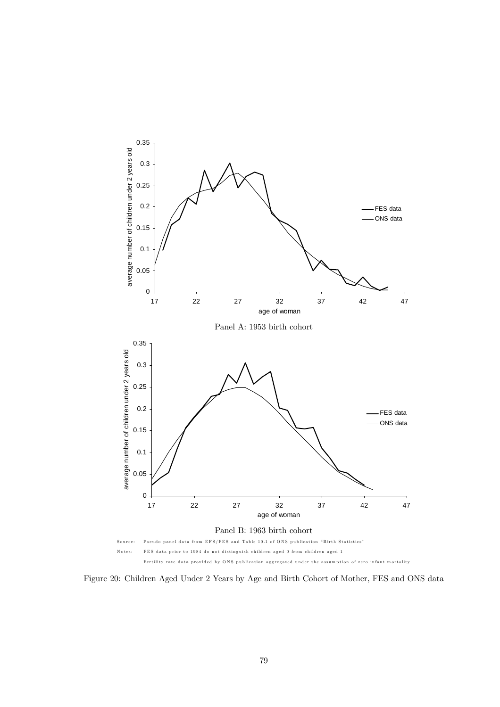

Figure 20: Children Aged Under 2 Years by Age and Birth Cohort of Mother, FES and ONS data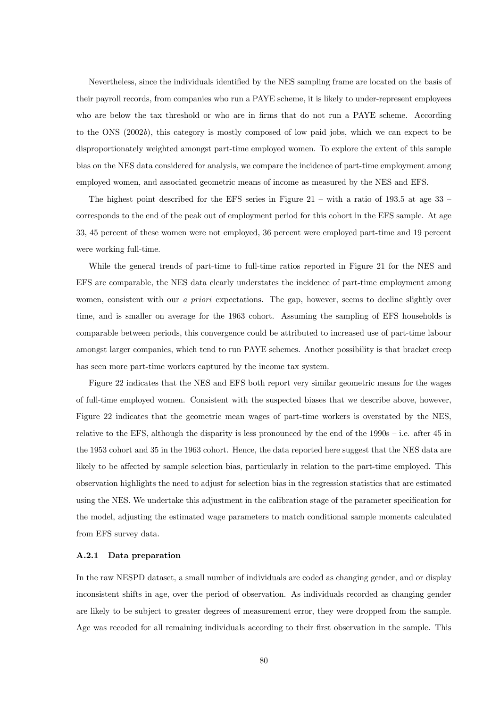Nevertheless, since the individuals identified by the NES sampling frame are located on the basis of their payroll records, from companies who run a PAYE scheme, it is likely to under-represent employees who are below the tax threshold or who are in firms that do not run a PAYE scheme. According to the ONS (2002b), this category is mostly composed of low paid jobs, which we can expect to be disproportionately weighted amongst part-time employed women. To explore the extent of this sample bias on the NES data considered for analysis, we compare the incidence of part-time employment among employed women, and associated geometric means of income as measured by the NES and EFS.

The highest point described for the EFS series in Figure 21 – with a ratio of 193.5 at age 33 – corresponds to the end of the peak out of employment period for this cohort in the EFS sample. At age 33, 45 percent of these women were not employed, 36 percent were employed part-time and 19 percent were working full-time.

While the general trends of part-time to full-time ratios reported in Figure 21 for the NES and EFS are comparable, the NES data clearly understates the incidence of part-time employment among women, consistent with our a priori expectations. The gap, however, seems to decline slightly over time, and is smaller on average for the 1963 cohort. Assuming the sampling of EFS households is comparable between periods, this convergence could be attributed to increased use of part-time labour amongst larger companies, which tend to run PAYE schemes. Another possibility is that bracket creep has seen more part-time workers captured by the income tax system.

Figure 22 indicates that the NES and EFS both report very similar geometric means for the wages of full-time employed women. Consistent with the suspected biases that we describe above, however, Figure 22 indicates that the geometric mean wages of part-time workers is overstated by the NES, relative to the EFS, although the disparity is less pronounced by the end of the 1990s — i.e. after 45 in the 1953 cohort and 35 in the 1963 cohort. Hence, the data reported here suggest that the NES data are likely to be affected by sample selection bias, particularly in relation to the part-time employed. This observation highlights the need to adjust for selection bias in the regression statistics that are estimated using the NES. We undertake this adjustment in the calibration stage of the parameter specification for the model, adjusting the estimated wage parameters to match conditional sample moments calculated from EFS survey data.

### A.2.1 Data preparation

In the raw NESPD dataset, a small number of individuals are coded as changing gender, and or display inconsistent shifts in age, over the period of observation. As individuals recorded as changing gender are likely to be subject to greater degrees of measurement error, they were dropped from the sample. Age was recoded for all remaining individuals according to their first observation in the sample. This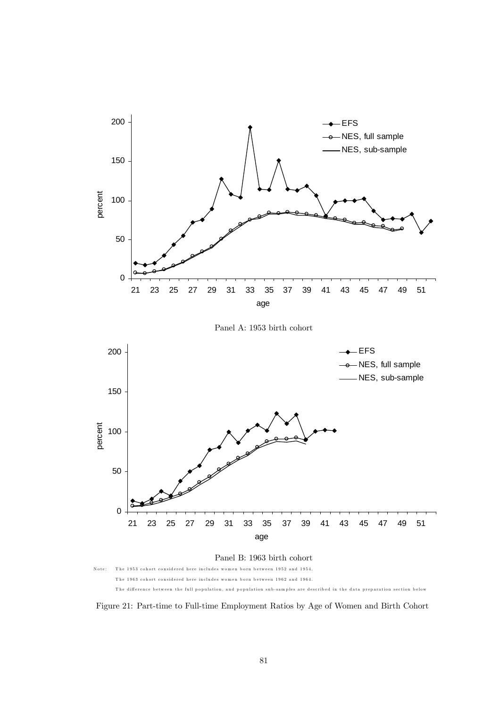

Figure 21: Part-time to Full-time Employment Ratios by Age of Women and Birth Cohort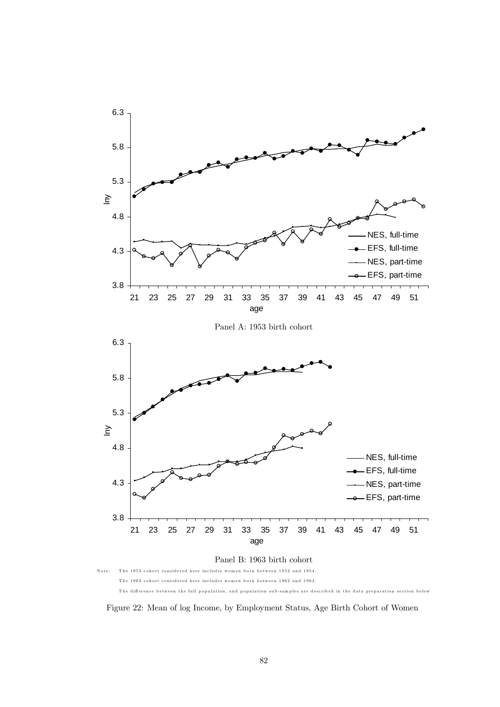

Figure 22: Mean of log Income, by Employment Status, Age Birth Cohort of Women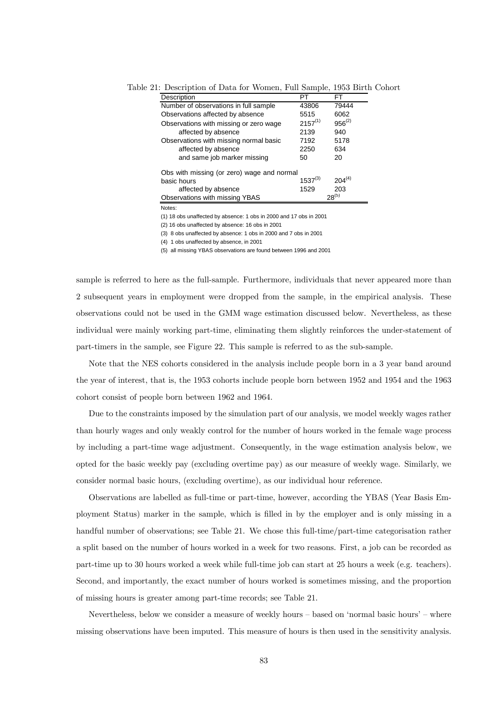| Description                                | PT           | FT          |  |  |  |
|--------------------------------------------|--------------|-------------|--|--|--|
| Number of observations in full sample      | 43806        | 79444       |  |  |  |
| Observations affected by absence           | 5515         | 6062        |  |  |  |
| Observations with missing or zero wage     | $2157^{(1)}$ | $956^{(2)}$ |  |  |  |
| affected by absence                        | 2139         | 940         |  |  |  |
| Observations with missing normal basic     | 7192         | 5178        |  |  |  |
| affected by absence                        | 2250         | 634         |  |  |  |
| and same job marker missing                | 50           | 20          |  |  |  |
| Obs with missing (or zero) wage and normal |              |             |  |  |  |
| basic hours                                | $1537^{(3)}$ | $204^{(4)}$ |  |  |  |
| affected by absence                        | 1529         | 203         |  |  |  |
| Observations with missing YBAS             |              | $28^{(5)}$  |  |  |  |

Table 21: Description of Data for Women, Full Sample, 1953 Birth Cohort

Notes:

(1) 18 obs unaffected by absence: 1 obs in 2000 and 17 obs in 2001

(2) 16 obs unaffected by absence: 16 obs in 2001

(3) 8 obs unaffected by absence: 1 obs in 2000 and 7 obs in 2001

(4) 1 obs unaffected by absence, in 2001

(5) all missing YBAS observations are found between 1996 and 2001

sample is referred to here as the full-sample. Furthermore, individuals that never appeared more than 2 subsequent years in employment were dropped from the sample, in the empirical analysis. These observations could not be used in the GMM wage estimation discussed below. Nevertheless, as these individual were mainly working part-time, eliminating them slightly reinforces the under-statement of part-timers in the sample, see Figure 22. This sample is referred to as the sub-sample.

Note that the NES cohorts considered in the analysis include people born in a 3 year band around the year of interest, that is, the 1953 cohorts include people born between 1952 and 1954 and the 1963 cohort consist of people born between 1962 and 1964.

Due to the constraints imposed by the simulation part of our analysis, we model weekly wages rather than hourly wages and only weakly control for the number of hours worked in the female wage process by including a part-time wage adjustment. Consequently, in the wage estimation analysis below, we opted for the basic weekly pay (excluding overtime pay) as our measure of weekly wage. Similarly, we consider normal basic hours, (excluding overtime), as our individual hour reference.

Observations are labelled as full-time or part-time, however, according the YBAS (Year Basis Employment Status) marker in the sample, which is filled in by the employer and is only missing in a handful number of observations; see Table 21. We chose this full-time/part-time categorisation rather a split based on the number of hours worked in a week for two reasons. First, a job can be recorded as part-time up to 30 hours worked a week while full-time job can start at 25 hours a week (e.g. teachers). Second, and importantly, the exact number of hours worked is sometimes missing, and the proportion of missing hours is greater among part-time records; see Table 21.

Nevertheless, below we consider a measure of weekly hours — based on 'normal basic hours' — where missing observations have been imputed. This measure of hours is then used in the sensitivity analysis.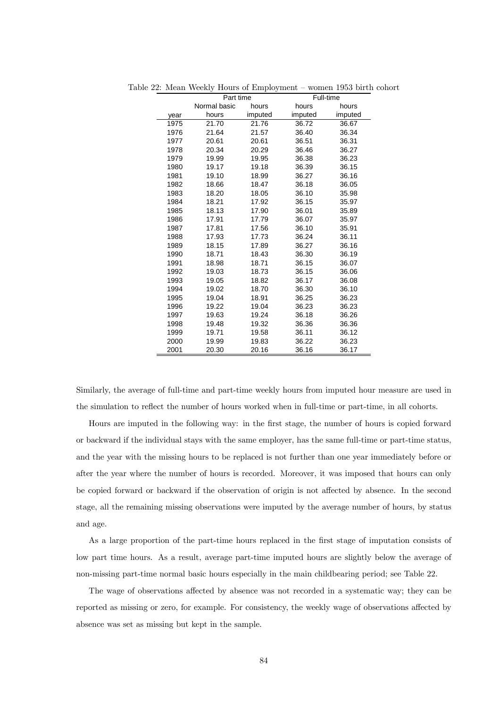|      | Part time    |         | Full-time |         |
|------|--------------|---------|-----------|---------|
|      | Normal basic | hours   | hours     | hours   |
| year | hours        | imputed | imputed   | imputed |
| 1975 | 21.70        | 21.76   | 36.72     | 36.67   |
| 1976 | 21.64        | 21.57   | 36.40     | 36.34   |
| 1977 | 20.61        | 20.61   | 36.51     | 36.31   |
| 1978 | 20.34        | 20.29   | 36.46     | 36.27   |
| 1979 | 19.99        | 19.95   | 36.38     | 36.23   |
| 1980 | 19.17        | 19.18   | 36.39     | 36.15   |
| 1981 | 19.10        | 18.99   | 36.27     | 36.16   |
| 1982 | 18.66        | 18.47   | 36.18     | 36.05   |
| 1983 | 18.20        | 18.05   | 36.10     | 35.98   |
| 1984 | 18.21        | 17.92   | 36.15     | 35.97   |
| 1985 | 18.13        | 17.90   | 36.01     | 35.89   |
| 1986 | 17.91        | 17.79   | 36.07     | 35.97   |
| 1987 | 17.81        | 17.56   | 36.10     | 35.91   |
| 1988 | 17.93        | 17.73   | 36.24     | 36.11   |
| 1989 | 18.15        | 17.89   | 36.27     | 36.16   |
| 1990 | 18.71        | 18.43   | 36.30     | 36.19   |
| 1991 | 18.98        | 18.71   | 36.15     | 36.07   |
| 1992 | 19.03        | 18.73   | 36.15     | 36.06   |
| 1993 | 19.05        | 18.82   | 36.17     | 36.08   |
| 1994 | 19.02        | 18.70   | 36.30     | 36.10   |
| 1995 | 19.04        | 18.91   | 36.25     | 36.23   |
| 1996 | 19.22        | 19.04   | 36.23     | 36.23   |
| 1997 | 19.63        | 19.24   | 36.18     | 36.26   |
| 1998 | 19.48        | 19.32   | 36.36     | 36.36   |
| 1999 | 19.71        | 19.58   | 36.11     | 36.12   |
| 2000 | 19.99        | 19.83   | 36.22     | 36.23   |
| 2001 | 20.30        | 20.16   | 36.16     | 36.17   |

Table 22: Mean Weekly Hours of Employment — women 1953 birth cohort

Similarly, the average of full-time and part-time weekly hours from imputed hour measure are used in the simulation to reflect the number of hours worked when in full-time or part-time, in all cohorts.

Hours are imputed in the following way: in the first stage, the number of hours is copied forward or backward if the individual stays with the same employer, has the same full-time or part-time status, and the year with the missing hours to be replaced is not further than one year immediately before or after the year where the number of hours is recorded. Moreover, it was imposed that hours can only be copied forward or backward if the observation of origin is not affected by absence. In the second stage, all the remaining missing observations were imputed by the average number of hours, by status and age.

As a large proportion of the part-time hours replaced in the first stage of imputation consists of low part time hours. As a result, average part-time imputed hours are slightly below the average of non-missing part-time normal basic hours especially in the main childbearing period; see Table 22.

The wage of observations affected by absence was not recorded in a systematic way; they can be reported as missing or zero, for example. For consistency, the weekly wage of observations affected by absence was set as missing but kept in the sample.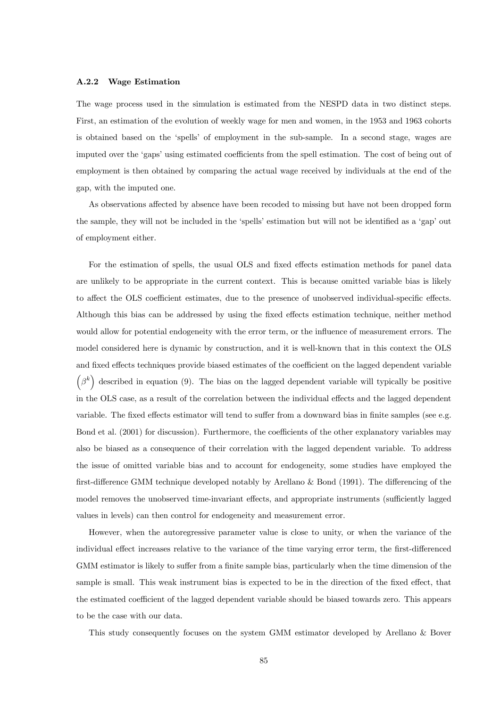### A.2.2 Wage Estimation

The wage process used in the simulation is estimated from the NESPD data in two distinct steps. First, an estimation of the evolution of weekly wage for men and women, in the 1953 and 1963 cohorts is obtained based on the 'spells' of employment in the sub-sample. In a second stage, wages are imputed over the 'gaps' using estimated coefficients from the spell estimation. The cost of being out of employment is then obtained by comparing the actual wage received by individuals at the end of the gap, with the imputed one.

As observations affected by absence have been recoded to missing but have not been dropped form the sample, they will not be included in the 'spells' estimation but will not be identified as a 'gap' out of employment either.

For the estimation of spells, the usual OLS and fixed effects estimation methods for panel data are unlikely to be appropriate in the current context. This is because omitted variable bias is likely to affect the OLS coefficient estimates, due to the presence of unobserved individual-specific effects. Although this bias can be addressed by using the fixed effects estimation technique, neither method would allow for potential endogeneity with the error term, or the influence of measurement errors. The model considered here is dynamic by construction, and it is well-known that in this context the OLS and fixed effects techniques provide biased estimates of the coefficient on the lagged dependent variable  $(\beta^k)$  described in equation (9). The bias on the lagged dependent variable will typically be positive in the OLS case, as a result of the correlation between the individual effects and the lagged dependent variable. The fixed effects estimator will tend to suffer from a downward bias in finite samples (see e.g. Bond et al. (2001) for discussion). Furthermore, the coefficients of the other explanatory variables may also be biased as a consequence of their correlation with the lagged dependent variable. To address the issue of omitted variable bias and to account for endogeneity, some studies have employed the first-difference GMM technique developed notably by Arellano & Bond (1991). The differencing of the model removes the unobserved time-invariant effects, and appropriate instruments (sufficiently lagged values in levels) can then control for endogeneity and measurement error.

However, when the autoregressive parameter value is close to unity, or when the variance of the individual effect increases relative to the variance of the time varying error term, the first-differenced GMM estimator is likely to suffer from a finite sample bias, particularly when the time dimension of the sample is small. This weak instrument bias is expected to be in the direction of the fixed effect, that the estimated coefficient of the lagged dependent variable should be biased towards zero. This appears to be the case with our data.

This study consequently focuses on the system GMM estimator developed by Arellano & Bover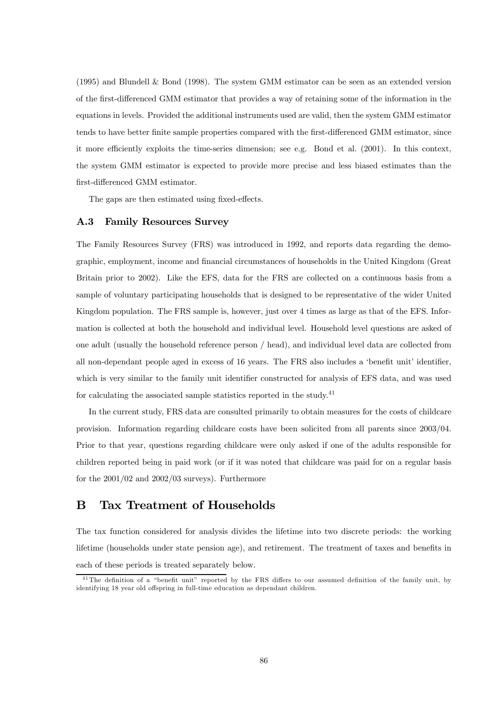(1995) and Blundell & Bond (1998). The system GMM estimator can be seen as an extended version of the first-differenced GMM estimator that provides a way of retaining some of the information in the equations in levels. Provided the additional instruments used are valid, then the system GMM estimator tends to have better finite sample properties compared with the first-differenced GMM estimator, since it more efficiently exploits the time-series dimension; see e.g. Bond et al. (2001). In this context, the system GMM estimator is expected to provide more precise and less biased estimates than the first-differenced GMM estimator.

The gaps are then estimated using fixed-effects.

## A.3 Family Resources Survey

The Family Resources Survey (FRS) was introduced in 1992, and reports data regarding the demographic, employment, income and financial circumstances of households in the United Kingdom (Great Britain prior to 2002). Like the EFS, data for the FRS are collected on a continuous basis from a sample of voluntary participating households that is designed to be representative of the wider United Kingdom population. The FRS sample is, however, just over 4 times as large as that of the EFS. Information is collected at both the household and individual level. Household level questions are asked of one adult (usually the household reference person / head), and individual level data are collected from all non-dependant people aged in excess of 16 years. The FRS also includes a 'benefit unit' identifier, which is very similar to the family unit identifier constructed for analysis of EFS data, and was used for calculating the associated sample statistics reported in the study.<sup>41</sup>

In the current study, FRS data are consulted primarily to obtain measures for the costs of childcare provision. Information regarding childcare costs have been solicited from all parents since 2003/04. Prior to that year, questions regarding childcare were only asked if one of the adults responsible for children reported being in paid work (or if it was noted that childcare was paid for on a regular basis for the 2001/02 and 2002/03 surveys). Furthermore

## B Tax Treatment of Households

The tax function considered for analysis divides the lifetime into two discrete periods: the working lifetime (households under state pension age), and retirement. The treatment of taxes and benefits in each of these periods is treated separately below.

<sup>&</sup>lt;sup>41</sup>The definition of a "benefit unit" reported by the FRS differs to our assumed definition of the family unit, by identifying 18 year old offspring in full-time education as dependant children.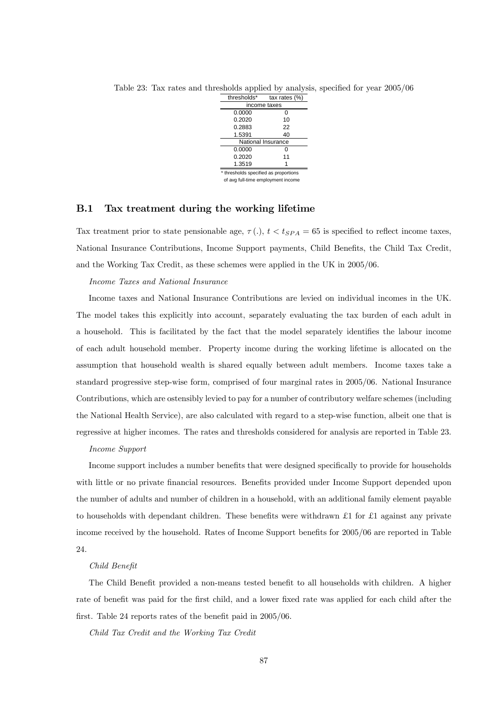

Table 23: Tax rates and thresholds applied by analysis, specified for year 2005/06

## B.1 Tax treatment during the working lifetime

Tax treatment prior to state pensionable age,  $\tau(.)$ ,  $t < t_{SPA} = 65$  is specified to reflect income taxes, National Insurance Contributions, Income Support payments, Child Benefits, the Child Tax Credit, and the Working Tax Credit, as these schemes were applied in the UK in 2005/06.

### Income Taxes and National Insurance

Income taxes and National Insurance Contributions are levied on individual incomes in the UK. The model takes this explicitly into account, separately evaluating the tax burden of each adult in a household. This is facilitated by the fact that the model separately identifies the labour income of each adult household member. Property income during the working lifetime is allocated on the assumption that household wealth is shared equally between adult members. Income taxes take a standard progressive step-wise form, comprised of four marginal rates in 2005/06. National Insurance Contributions, which are ostensibly levied to pay for a number of contributory welfare schemes (including the National Health Service), are also calculated with regard to a step-wise function, albeit one that is regressive at higher incomes. The rates and thresholds considered for analysis are reported in Table 23.

### Income Support

Income support includes a number benefits that were designed specifically to provide for households with little or no private financial resources. Benefits provided under Income Support depended upon the number of adults and number of children in a household, with an additional family element payable to households with dependant children. These benefits were withdrawn  $\pounds 1$  for  $\pounds 1$  against any private income received by the household. Rates of Income Support benefits for 2005/06 are reported in Table 24.

## Child Benefit

The Child Benefit provided a non-means tested benefit to all households with children. A higher rate of benefit was paid for the first child, and a lower fixed rate was applied for each child after the first. Table 24 reports rates of the benefit paid in 2005/06.

Child Tax Credit and the Working Tax Credit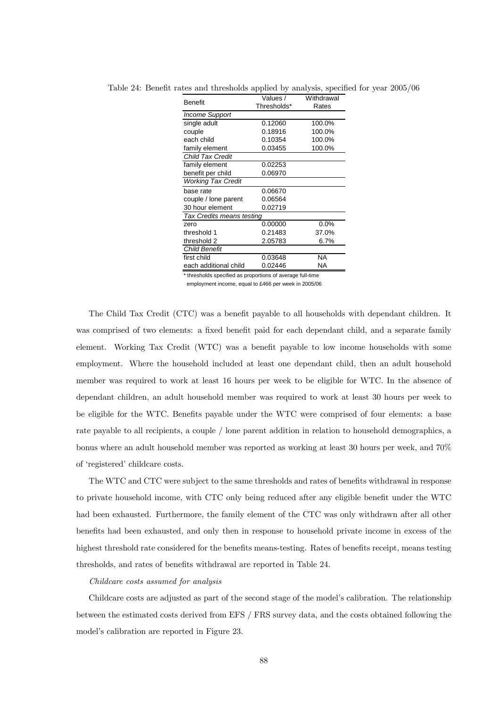| Benefit                   | Values /    | Withdrawal |  |  |  |
|---------------------------|-------------|------------|--|--|--|
|                           | Thresholds* | Rates      |  |  |  |
| Income Support            |             |            |  |  |  |
| single adult              | 0.12060     | 100.0%     |  |  |  |
| couple                    | 0.18916     | 100.0%     |  |  |  |
| each child                | 0.10354     | 100.0%     |  |  |  |
| family element            | 0.03455     | 100.0%     |  |  |  |
| <b>Child Tax Credit</b>   |             |            |  |  |  |
| family element            | 0.02253     |            |  |  |  |
| benefit per child         | 0.06970     |            |  |  |  |
| <b>Working Tax Credit</b> |             |            |  |  |  |
| base rate                 | 0.06670     |            |  |  |  |
| couple / lone parent      | 0.06564     |            |  |  |  |
| 30 hour element           | 0.02719     |            |  |  |  |
| Tax Credits means testing |             |            |  |  |  |
| zero                      | 0.00000     | 0.0%       |  |  |  |
| threshold 1               | 0.21483     | 37.0%      |  |  |  |
| threshold 2               | 2.05783     | 6.7%       |  |  |  |
| <b>Child Benefit</b>      |             |            |  |  |  |
| first child               | 0.03648     | NA         |  |  |  |
| each additional child     | 0.02446     | NA         |  |  |  |

Table 24: Benefit rates and thresholds applied by analysis, specified for year 2005/06

\* thresholds specified as proportions of average full-time

employment income, equal to £466 per week in 2005/06

The Child Tax Credit (CTC) was a benefit payable to all households with dependant children. It was comprised of two elements: a fixed benefit paid for each dependant child, and a separate family element. Working Tax Credit (WTC) was a benefit payable to low income households with some employment. Where the household included at least one dependant child, then an adult household member was required to work at least 16 hours per week to be eligible for WTC. In the absence of dependant children, an adult household member was required to work at least 30 hours per week to be eligible for the WTC. Benefits payable under the WTC were comprised of four elements: a base rate payable to all recipients, a couple / lone parent addition in relation to household demographics, a bonus where an adult household member was reported as working at least 30 hours per week, and 70% of 'registered' childcare costs.

The WTC and CTC were subject to the same thresholds and rates of benefits withdrawal in response to private household income, with CTC only being reduced after any eligible benefit under the WTC had been exhausted. Furthermore, the family element of the CTC was only withdrawn after all other benefits had been exhausted, and only then in response to household private income in excess of the highest threshold rate considered for the benefits means-testing. Rates of benefits receipt, means testing thresholds, and rates of benefits withdrawal are reported in Table 24.

#### Childcare costs assumed for analysis

Childcare costs are adjusted as part of the second stage of the model's calibration. The relationship between the estimated costs derived from EFS / FRS survey data, and the costs obtained following the model's calibration are reported in Figure 23.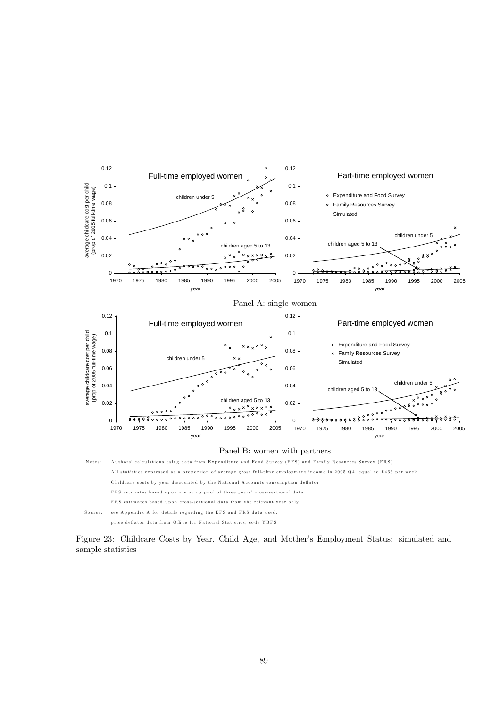

Figure 23: Childcare Costs by Year, Child Age, and Mother's Employment Status: simulated and sample statistics